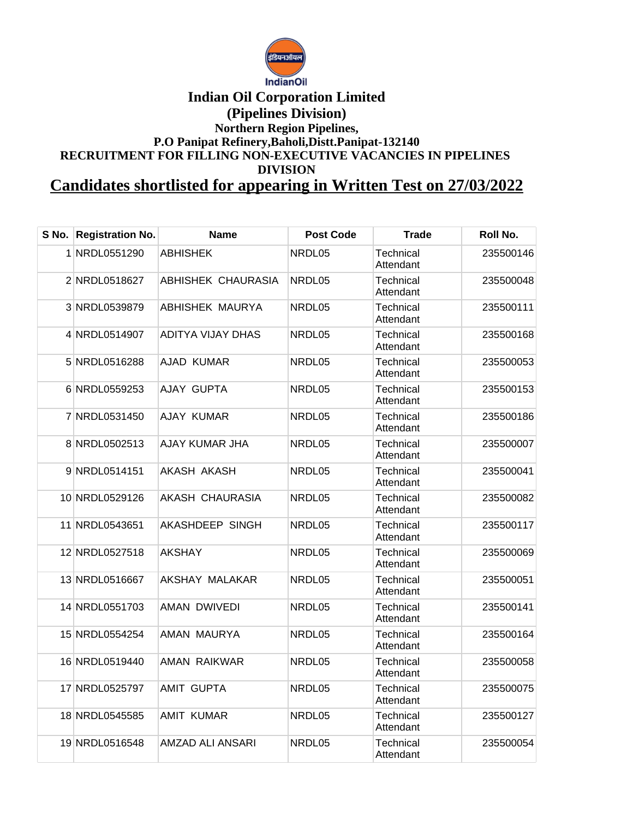

## **Indian Oil Corporation Limited (Pipelines Division) Northern Region Pipelines, P.O Panipat Refinery,Baholi,Distt.Panipat-132140 RECRUITMENT FOR FILLING NON-EXECUTIVE VACANCIES IN PIPELINES DIVISION**

**Candidates shortlisted for appearing in Written Test on 27/03/2022**

| S No. l | <b>Registration No.</b> | <b>Name</b>           | <b>Post Code</b> | <b>Trade</b>           | Roll No.  |
|---------|-------------------------|-----------------------|------------------|------------------------|-----------|
|         | 1 NRDL0551290           | <b>ABHISHEK</b>       | NRDL05           | Technical<br>Attendant | 235500146 |
|         | 2 NRDL0518627           | ABHISHEK CHAURASIA    | NRDL05           | Technical<br>Attendant | 235500048 |
|         | 3 NRDL0539879           | ABHISHEK MAURYA       | NRDL05           | Technical<br>Attendant | 235500111 |
|         | 4 NRDL0514907           | ADITYA VIJAY DHAS     | NRDL05           | Technical<br>Attendant | 235500168 |
|         | 5 NRDL0516288           | <b>AJAD KUMAR</b>     | NRDL05           | Technical<br>Attendant | 235500053 |
|         | 6 NRDL0559253           | AJAY GUPTA            | NRDL05           | Technical<br>Attendant | 235500153 |
|         | 7 NRDL0531450           | AJAY KUMAR            | NRDL05           | Technical<br>Attendant | 235500186 |
|         | 8 NRDL0502513           | <b>AJAY KUMAR JHA</b> | NRDL05           | Technical<br>Attendant | 235500007 |
|         | 9 NRDL0514151           | AKASH AKASH           | NRDL05           | Technical<br>Attendant | 235500041 |
|         | 10 NRDL0529126          | AKASH CHAURASIA       | NRDL05           | Technical<br>Attendant | 235500082 |
|         | 11 NRDL0543651          | AKASHDEEP SINGH       | NRDL05           | Technical<br>Attendant | 235500117 |
|         | 12 NRDL0527518          | AKSHAY                | NRDL05           | Technical<br>Attendant | 235500069 |
|         | 13 NRDL0516667          | AKSHAY MALAKAR        | NRDL05           | Technical<br>Attendant | 235500051 |
|         | 14 NRDL0551703          | <b>AMAN DWIVEDI</b>   | NRDL05           | Technical<br>Attendant | 235500141 |
|         | 15 NRDL0554254          | AMAN MAURYA           | NRDL05           | Technical<br>Attendant | 235500164 |
|         | 16 NRDL0519440          | AMAN RAIKWAR          | NRDL05           | Technical<br>Attendant | 235500058 |
|         | 17 NRDL0525797          | <b>AMIT GUPTA</b>     | NRDL05           | Technical<br>Attendant | 235500075 |
|         | 18 NRDL0545585          | <b>AMIT KUMAR</b>     | NRDL05           | Technical<br>Attendant | 235500127 |
|         | 19 NRDL0516548          | AMZAD ALI ANSARI      | NRDL05           | Technical<br>Attendant | 235500054 |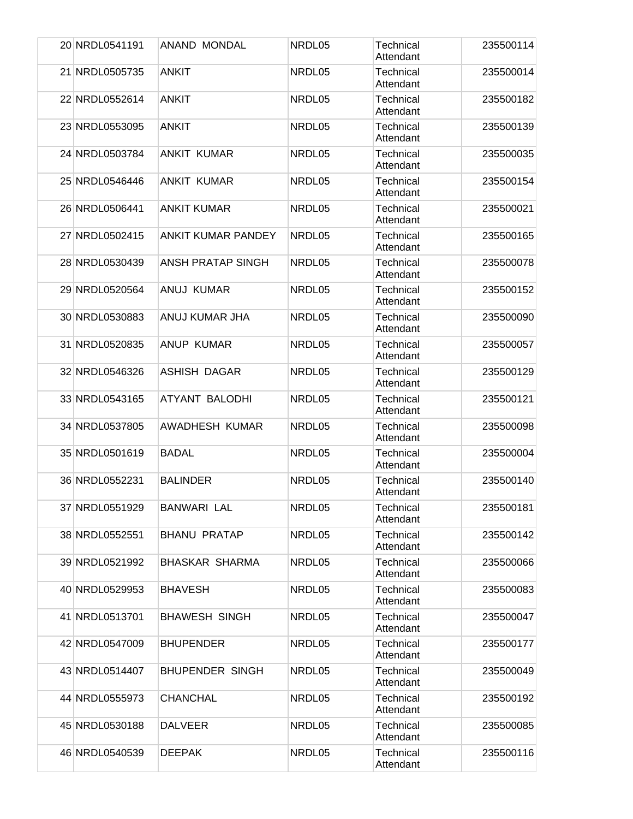| 20 NRDL0541191 | ANAND MONDAL              | NRDL05 | Technical<br>Attendant        | 235500114 |
|----------------|---------------------------|--------|-------------------------------|-----------|
| 21 NRDL0505735 | <b>ANKIT</b>              | NRDL05 | Technical<br>Attendant        | 235500014 |
| 22 NRDL0552614 | <b>ANKIT</b>              | NRDL05 | Technical<br>Attendant        | 235500182 |
| 23 NRDL0553095 | <b>ANKIT</b>              | NRDL05 | Technical<br>Attendant        | 235500139 |
| 24 NRDL0503784 | <b>ANKIT KUMAR</b>        | NRDL05 | Technical<br>Attendant        | 235500035 |
| 25 NRDL0546446 | <b>ANKIT KUMAR</b>        | NRDL05 | <b>Technical</b><br>Attendant | 235500154 |
| 26 NRDL0506441 | <b>ANKIT KUMAR</b>        | NRDL05 | <b>Technical</b><br>Attendant | 235500021 |
| 27 NRDL0502415 | <b>ANKIT KUMAR PANDEY</b> | NRDL05 | Technical<br>Attendant        | 235500165 |
| 28 NRDL0530439 | <b>ANSH PRATAP SINGH</b>  | NRDL05 | Technical<br>Attendant        | 235500078 |
| 29 NRDL0520564 | ANUJ KUMAR                | NRDL05 | Technical<br>Attendant        | 235500152 |
| 30 NRDL0530883 | ANUJ KUMAR JHA            | NRDL05 | Technical<br>Attendant        | 235500090 |
| 31 NRDL0520835 | <b>ANUP KUMAR</b>         | NRDL05 | Technical<br>Attendant        | 235500057 |
| 32 NRDL0546326 | <b>ASHISH DAGAR</b>       | NRDL05 | Technical<br>Attendant        | 235500129 |
| 33 NRDL0543165 | ATYANT BALODHI            | NRDL05 | Technical<br>Attendant        | 235500121 |
| 34 NRDL0537805 | AWADHESH KUMAR            | NRDL05 | Technical<br>Attendant        | 235500098 |
| 35 NRDL0501619 | <b>BADAL</b>              | NRDL05 | Technical<br>Attendant        | 235500004 |
| 36 NRDL0552231 | <b>BALINDER</b>           | NRDL05 | Technical<br>Attendant        | 235500140 |
| 37 NRDL0551929 | <b>BANWARI LAL</b>        | NRDL05 | Technical<br>Attendant        | 235500181 |
| 38 NRDL0552551 | <b>BHANU PRATAP</b>       | NRDL05 | <b>Technical</b><br>Attendant | 235500142 |
| 39 NRDL0521992 | <b>BHASKAR SHARMA</b>     | NRDL05 | Technical<br>Attendant        | 235500066 |
| 40 NRDL0529953 | <b>BHAVESH</b>            | NRDL05 | <b>Technical</b><br>Attendant | 235500083 |
| 41 NRDL0513701 | <b>BHAWESH SINGH</b>      | NRDL05 | Technical<br>Attendant        | 235500047 |
| 42 NRDL0547009 | <b>BHUPENDER</b>          | NRDL05 | Technical<br>Attendant        | 235500177 |
| 43 NRDL0514407 | <b>BHUPENDER SINGH</b>    | NRDL05 | Technical<br>Attendant        | 235500049 |
| 44 NRDL0555973 | <b>CHANCHAL</b>           | NRDL05 | Technical<br>Attendant        | 235500192 |
| 45 NRDL0530188 | <b>DALVEER</b>            | NRDL05 | Technical<br>Attendant        | 235500085 |
| 46 NRDL0540539 | <b>DEEPAK</b>             | NRDL05 | Technical<br>Attendant        | 235500116 |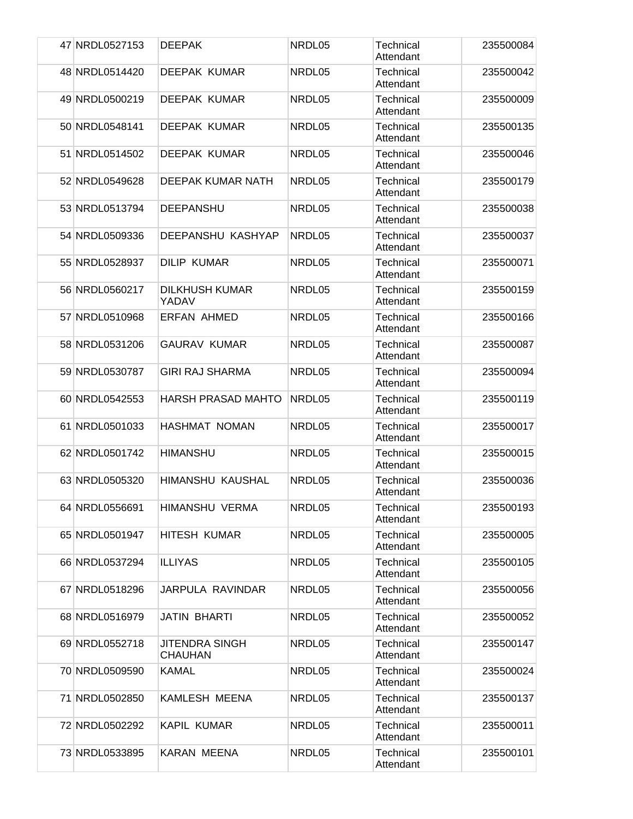| 47 NRDL0527153 | <b>DEEPAK</b>                           | NRDL05 | Technical<br>Attendant        | 235500084 |
|----------------|-----------------------------------------|--------|-------------------------------|-----------|
| 48 NRDL0514420 | <b>DEEPAK KUMAR</b>                     | NRDL05 | <b>Technical</b><br>Attendant | 235500042 |
| 49 NRDL0500219 | <b>DEEPAK KUMAR</b>                     | NRDL05 | Technical<br>Attendant        | 235500009 |
| 50 NRDL0548141 | <b>DEEPAK KUMAR</b>                     | NRDL05 | Technical<br>Attendant        | 235500135 |
| 51 NRDL0514502 | DEEPAK KUMAR                            | NRDL05 | Technical<br>Attendant        | 235500046 |
| 52 NRDL0549628 | DEEPAK KUMAR NATH                       | NRDL05 | Technical<br>Attendant        | 235500179 |
| 53 NRDL0513794 | <b>DEEPANSHU</b>                        | NRDL05 | <b>Technical</b><br>Attendant | 235500038 |
| 54 NRDL0509336 | DEEPANSHU KASHYAP                       | NRDL05 | Technical<br>Attendant        | 235500037 |
| 55 NRDL0528937 | <b>DILIP KUMAR</b>                      | NRDL05 | Technical<br>Attendant        | 235500071 |
| 56 NRDL0560217 | <b>DILKHUSH KUMAR</b><br>YADAV          | NRDL05 | Technical<br>Attendant        | 235500159 |
| 57 NRDL0510968 | <b>ERFAN AHMED</b>                      | NRDL05 | Technical<br>Attendant        | 235500166 |
| 58 NRDL0531206 | <b>GAURAV KUMAR</b>                     | NRDL05 | Technical<br>Attendant        | 235500087 |
| 59 NRDL0530787 | <b>GIRI RAJ SHARMA</b>                  | NRDL05 | Technical<br>Attendant        | 235500094 |
| 60 NRDL0542553 | <b>HARSH PRASAD MAHTO</b>               | NRDL05 | <b>Technical</b><br>Attendant | 235500119 |
| 61 NRDL0501033 | HASHMAT NOMAN                           | NRDL05 | <b>Technical</b><br>Attendant | 235500017 |
| 62 NRDL0501742 | <b>HIMANSHU</b>                         | NRDL05 | <b>Technical</b><br>Attendant | 235500015 |
| 63 NRDL0505320 | <b>HIMANSHU KAUSHAL</b>                 | NRDL05 | Technical<br>Attendant        | 235500036 |
| 64 NRDL0556691 | HIMANSHU VERMA                          | NRDL05 | Technical<br>Attendant        | 235500193 |
| 65 NRDL0501947 | <b>HITESH KUMAR</b>                     | NRDL05 | Technical<br>Attendant        | 235500005 |
| 66 NRDL0537294 | <b>ILLIYAS</b>                          | NRDL05 | <b>Technical</b><br>Attendant | 235500105 |
| 67 NRDL0518296 | JARPULA RAVINDAR                        | NRDL05 | Technical<br>Attendant        | 235500056 |
| 68 NRDL0516979 | <b>JATIN BHARTI</b>                     | NRDL05 | Technical<br>Attendant        | 235500052 |
| 69 NRDL0552718 | <b>JITENDRA SINGH</b><br><b>CHAUHAN</b> | NRDL05 | <b>Technical</b><br>Attendant | 235500147 |
| 70 NRDL0509590 | <b>KAMAL</b>                            | NRDL05 | Technical<br>Attendant        | 235500024 |
| 71 NRDL0502850 | KAMLESH MEENA                           | NRDL05 | Technical<br>Attendant        | 235500137 |
| 72 NRDL0502292 | <b>KAPIL KUMAR</b>                      | NRDL05 | Technical<br>Attendant        | 235500011 |
| 73 NRDL0533895 | <b>KARAN MEENA</b>                      | NRDL05 | Technical<br>Attendant        | 235500101 |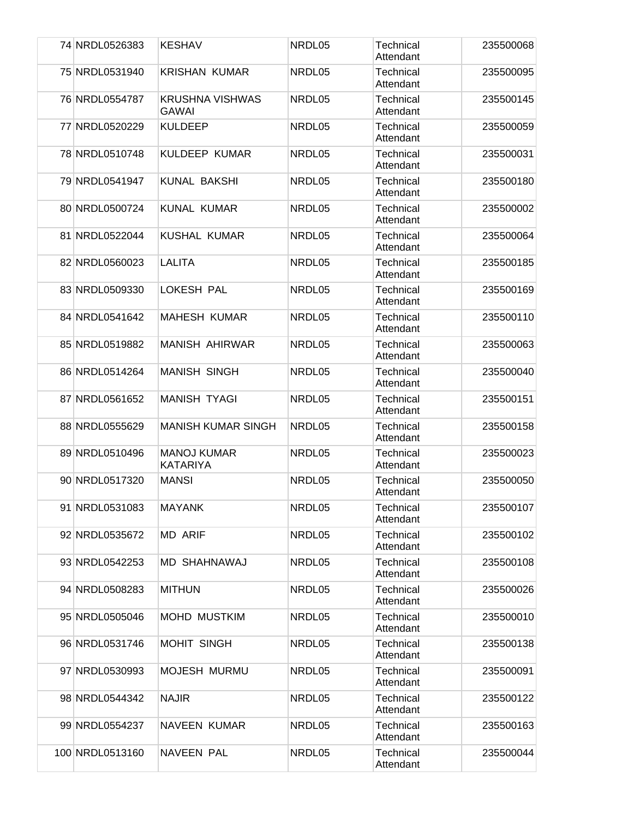| 74 NRDL0526383  | <b>KESHAV</b>                          | NRDL05 | Technical<br>Attendant        | 235500068 |
|-----------------|----------------------------------------|--------|-------------------------------|-----------|
| 75 NRDL0531940  | <b>KRISHAN KUMAR</b>                   | NRDL05 | <b>Technical</b><br>Attendant | 235500095 |
| 76 NRDL0554787  | <b>KRUSHNA VISHWAS</b><br><b>GAWAI</b> | NRDL05 | Technical<br>Attendant        | 235500145 |
| 77 NRDL0520229  | <b>KULDEEP</b>                         | NRDL05 | Technical<br>Attendant        | 235500059 |
| 78 NRDL0510748  | KULDEEP KUMAR                          | NRDL05 | Technical<br>Attendant        | 235500031 |
| 79 NRDL0541947  | KUNAL BAKSHI                           | NRDL05 | <b>Technical</b><br>Attendant | 235500180 |
| 80 NRDL0500724  | <b>KUNAL KUMAR</b>                     | NRDL05 | <b>Technical</b><br>Attendant | 235500002 |
| 81 NRDL0522044  | KUSHAL KUMAR                           | NRDL05 | Technical<br>Attendant        | 235500064 |
| 82 NRDL0560023  | <b>LALITA</b>                          | NRDL05 | Technical<br>Attendant        | 235500185 |
| 83 NRDL0509330  | <b>LOKESH PAL</b>                      | NRDL05 | Technical<br>Attendant        | 235500169 |
| 84 NRDL0541642  | <b>MAHESH KUMAR</b>                    | NRDL05 | Technical<br>Attendant        | 235500110 |
| 85 NRDL0519882  | <b>MANISH AHIRWAR</b>                  | NRDL05 | Technical<br>Attendant        | 235500063 |
| 86 NRDL0514264  | <b>MANISH SINGH</b>                    | NRDL05 | Technical<br>Attendant        | 235500040 |
| 87 NRDL0561652  | <b>MANISH TYAGI</b>                    | NRDL05 | <b>Technical</b><br>Attendant | 235500151 |
| 88 NRDL0555629  | <b>MANISH KUMAR SINGH</b>              | NRDL05 | <b>Technical</b><br>Attendant | 235500158 |
| 89 NRDL0510496  | <b>MANOJ KUMAR</b><br><b>KATARIYA</b>  | NRDL05 | <b>Technical</b><br>Attendant | 235500023 |
| 90 NRDL0517320  | <b>MANSI</b>                           | NRDL05 | Technical<br>Attendant        | 235500050 |
| 91 NRDL0531083  | <b>MAYANK</b>                          | NRDL05 | Technical<br>Attendant        | 235500107 |
| 92 NRDL0535672  | <b>MD ARIF</b>                         | NRDL05 | Technical<br>Attendant        | 235500102 |
| 93 NRDL0542253  | MD SHAHNAWAJ                           | NRDL05 | Technical<br>Attendant        | 235500108 |
| 94 NRDL0508283  | <b>MITHUN</b>                          | NRDL05 | Technical<br>Attendant        | 235500026 |
| 95 NRDL0505046  | <b>MOHD MUSTKIM</b>                    | NRDL05 | Technical<br>Attendant        | 235500010 |
| 96 NRDL0531746  | <b>MOHIT SINGH</b>                     | NRDL05 | <b>Technical</b><br>Attendant | 235500138 |
| 97 NRDL0530993  | MOJESH MURMU                           | NRDL05 | Technical<br>Attendant        | 235500091 |
| 98 NRDL0544342  | <b>NAJIR</b>                           | NRDL05 | Technical<br>Attendant        | 235500122 |
| 99 NRDL0554237  | <b>NAVEEN KUMAR</b>                    | NRDL05 | Technical<br>Attendant        | 235500163 |
| 100 NRDL0513160 | <b>NAVEEN PAL</b>                      | NRDL05 | Technical<br>Attendant        | 235500044 |
|                 |                                        |        |                               |           |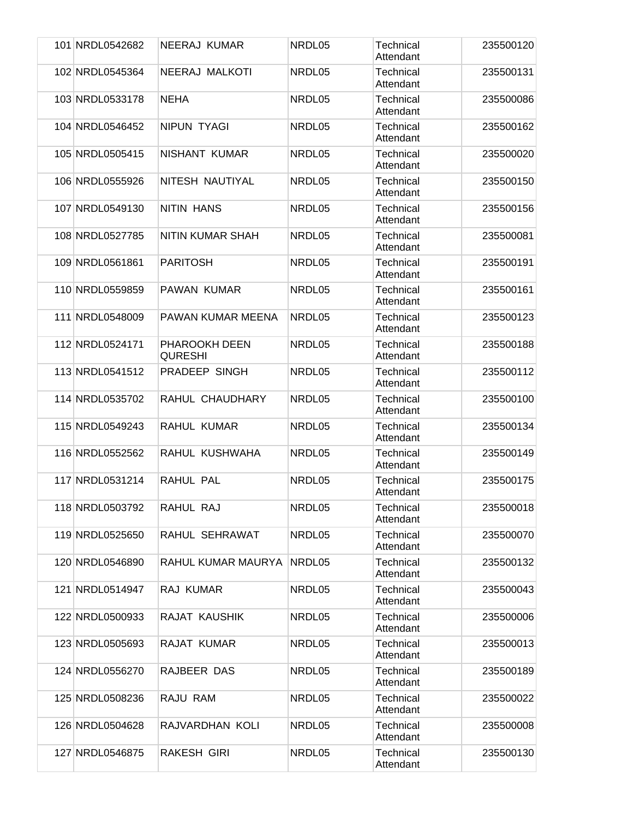| 101 NRDL0542682 | NEERAJ KUMAR                    | NRDL05 | Technical<br>Attendant        | 235500120 |
|-----------------|---------------------------------|--------|-------------------------------|-----------|
| 102 NRDL0545364 | NEERAJ MALKOTI                  | NRDL05 | <b>Technical</b><br>Attendant | 235500131 |
| 103 NRDL0533178 | <b>NEHA</b>                     | NRDL05 | Technical<br>Attendant        | 235500086 |
| 104 NRDL0546452 | <b>NIPUN TYAGI</b>              | NRDL05 | Technical<br>Attendant        | 235500162 |
| 105 NRDL0505415 | NISHANT KUMAR                   | NRDL05 | Technical<br>Attendant        | 235500020 |
| 106 NRDL0555926 | NITESH NAUTIYAL                 | NRDL05 | Technical<br>Attendant        | 235500150 |
| 107 NRDL0549130 | <b>NITIN HANS</b>               | NRDL05 | <b>Technical</b><br>Attendant | 235500156 |
| 108 NRDL0527785 | NITIN KUMAR SHAH                | NRDL05 | Technical<br>Attendant        | 235500081 |
| 109 NRDL0561861 | <b>PARITOSH</b>                 | NRDL05 | Technical<br>Attendant        | 235500191 |
| 110 NRDL0559859 | <b>PAWAN KUMAR</b>              | NRDL05 | Technical<br>Attendant        | 235500161 |
| 111 NRDL0548009 | PAWAN KUMAR MEENA               | NRDL05 | Technical<br>Attendant        | 235500123 |
| 112 NRDL0524171 | PHAROOKH DEEN<br><b>QURESHI</b> | NRDL05 | Technical<br>Attendant        | 235500188 |
| 113 NRDL0541512 | PRADEEP SINGH                   | NRDL05 | Technical<br>Attendant        | 235500112 |
| 114 NRDL0535702 | RAHUL CHAUDHARY                 | NRDL05 | <b>Technical</b><br>Attendant | 235500100 |
| 115 NRDL0549243 | RAHUL KUMAR                     | NRDL05 | <b>Technical</b><br>Attendant | 235500134 |
| 116 NRDL0552562 | RAHUL KUSHWAHA                  | NRDL05 | Technical<br>Attendant        | 235500149 |
| 117 NRDL0531214 | <b>RAHUL PAL</b>                | NRDL05 | Technical<br>Attendant        | 235500175 |
| 118 NRDL0503792 | RAHUL RAJ                       | NRDL05 | Technical<br>Attendant        | 235500018 |
| 119 NRDL0525650 | RAHUL SEHRAWAT                  | NRDL05 | <b>Technical</b><br>Attendant | 235500070 |
| 120 NRDL0546890 | RAHUL KUMAR MAURYA              | NRDL05 | <b>Technical</b><br>Attendant | 235500132 |
| 121 NRDL0514947 | <b>RAJ KUMAR</b>                | NRDL05 | Technical<br>Attendant        | 235500043 |
| 122 NRDL0500933 | RAJAT KAUSHIK                   | NRDL05 | Technical<br>Attendant        | 235500006 |
| 123 NRDL0505693 | RAJAT KUMAR                     | NRDL05 | <b>Technical</b><br>Attendant | 235500013 |
| 124 NRDL0556270 | RAJBEER DAS                     | NRDL05 | <b>Technical</b><br>Attendant | 235500189 |
| 125 NRDL0508236 | RAJU RAM                        | NRDL05 | Technical<br>Attendant        | 235500022 |
| 126 NRDL0504628 | RAJVARDHAN KOLI                 | NRDL05 | Technical<br>Attendant        | 235500008 |
| 127 NRDL0546875 | <b>RAKESH GIRI</b>              | NRDL05 | Technical<br>Attendant        | 235500130 |
|                 |                                 |        |                               |           |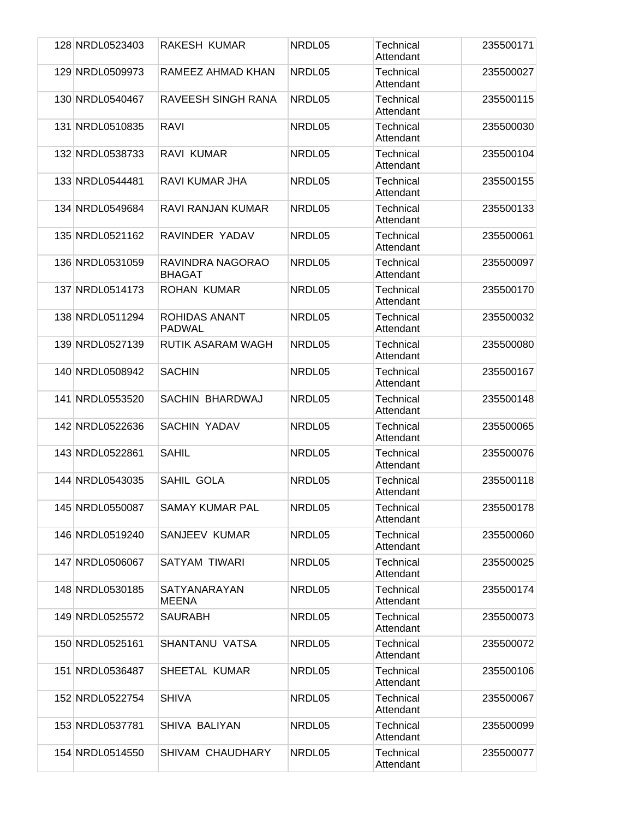|  | 128 NRDL0523403 | <b>RAKESH KUMAR</b>                   | NRDL05 | Technical<br>Attendant        | 235500171 |
|--|-----------------|---------------------------------------|--------|-------------------------------|-----------|
|  | 129 NRDL0509973 | RAMEEZ AHMAD KHAN                     | NRDL05 | <b>Technical</b><br>Attendant | 235500027 |
|  | 130 NRDL0540467 | <b>RAVEESH SINGH RANA</b>             | NRDL05 | <b>Technical</b><br>Attendant | 235500115 |
|  | 131 NRDL0510835 | <b>RAVI</b>                           | NRDL05 | Technical<br>Attendant        | 235500030 |
|  | 132 NRDL0538733 | RAVI KUMAR                            | NRDL05 | Technical<br>Attendant        | 235500104 |
|  | 133 NRDL0544481 | RAVI KUMAR JHA                        | NRDL05 | Technical<br>Attendant        | 235500155 |
|  | 134 NRDL0549684 | RAVI RANJAN KUMAR                     | NRDL05 | <b>Technical</b><br>Attendant | 235500133 |
|  | 135 NRDL0521162 | RAVINDER YADAV                        | NRDL05 | Technical<br>Attendant        | 235500061 |
|  | 136 NRDL0531059 | RAVINDRA NAGORAO<br><b>BHAGAT</b>     | NRDL05 | Technical<br>Attendant        | 235500097 |
|  | 137 NRDL0514173 | <b>ROHAN KUMAR</b>                    | NRDL05 | Technical<br>Attendant        | 235500170 |
|  | 138 NRDL0511294 | <b>ROHIDAS ANANT</b><br><b>PADWAL</b> | NRDL05 | <b>Technical</b><br>Attendant | 235500032 |
|  | 139 NRDL0527139 | RUTIK ASARAM WAGH                     | NRDL05 | <b>Technical</b><br>Attendant | 235500080 |
|  | 140 NRDL0508942 | <b>SACHIN</b>                         | NRDL05 | Technical<br>Attendant        | 235500167 |
|  | 141 NRDL0553520 | SACHIN BHARDWAJ                       | NRDL05 | <b>Technical</b><br>Attendant | 235500148 |
|  | 142 NRDL0522636 | <b>SACHIN YADAV</b>                   | NRDL05 | <b>Technical</b><br>Attendant | 235500065 |
|  | 143 NRDL0522861 | <b>SAHIL</b>                          | NRDL05 | <b>Technical</b><br>Attendant | 235500076 |
|  | 144 NRDL0543035 | SAHIL GOLA                            | NRDL05 | Technical<br>Attendant        | 235500118 |
|  | 145 NRDL0550087 | <b>SAMAY KUMAR PAL</b>                | NRDL05 | Technical<br>Attendant        | 235500178 |
|  | 146 NRDL0519240 | SANJEEV KUMAR                         | NRDL05 | Technical<br>Attendant        | 235500060 |
|  | 147 NRDL0506067 | <b>SATYAM TIWARI</b>                  | NRDL05 | <b>Technical</b><br>Attendant | 235500025 |
|  | 148 NRDL0530185 | <b>SATYANARAYAN</b><br><b>MEENA</b>   | NRDL05 | Technical<br>Attendant        | 235500174 |
|  | 149 NRDL0525572 | <b>SAURABH</b>                        | NRDL05 | Technical<br>Attendant        | 235500073 |
|  | 150 NRDL0525161 | SHANTANU VATSA                        | NRDL05 | Technical<br>Attendant        | 235500072 |
|  | 151 NRDL0536487 | SHEETAL KUMAR                         | NRDL05 | Technical<br>Attendant        | 235500106 |
|  | 152 NRDL0522754 | <b>SHIVA</b>                          | NRDL05 | Technical<br>Attendant        | 235500067 |
|  | 153 NRDL0537781 | SHIVA BALIYAN                         | NRDL05 | Technical<br>Attendant        | 235500099 |
|  | 154 NRDL0514550 | <b>SHIVAM CHAUDHARY</b>               | NRDL05 | Technical<br>Attendant        | 235500077 |
|  |                 |                                       |        |                               |           |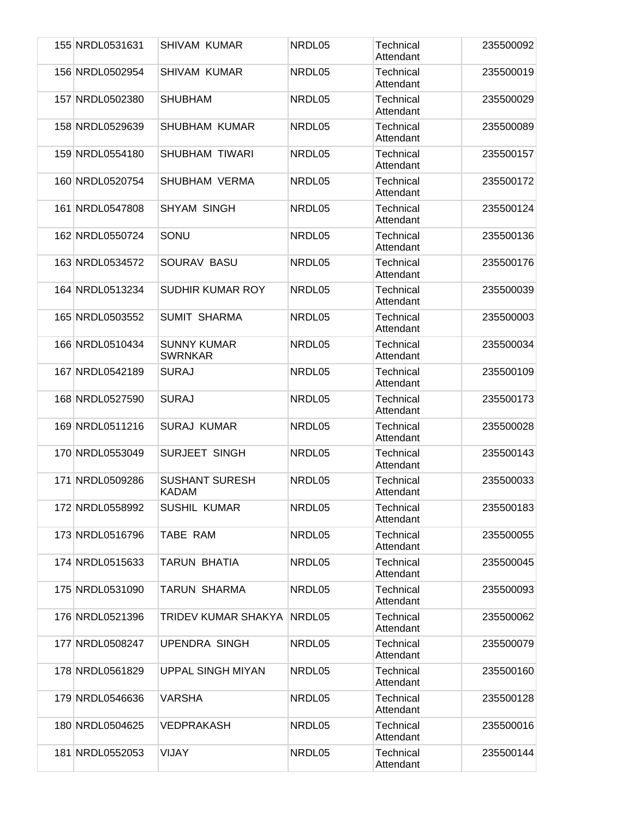|     | 155 NRDL0531631 | <b>SHIVAM KUMAR</b>                   | NRDL05 | Technical<br>Attendant        | 235500092 |
|-----|-----------------|---------------------------------------|--------|-------------------------------|-----------|
|     | 156 NRDL0502954 | <b>SHIVAM KUMAR</b>                   | NRDL05 | <b>Technical</b><br>Attendant | 235500019 |
|     | 157 NRDL0502380 | <b>SHUBHAM</b>                        | NRDL05 | Technical<br>Attendant        | 235500029 |
|     | 158 NRDL0529639 | <b>SHUBHAM KUMAR</b>                  | NRDL05 | Technical<br>Attendant        | 235500089 |
|     | 159 NRDL0554180 | SHUBHAM TIWARI                        | NRDL05 | Technical<br>Attendant        | 235500157 |
|     | 160 NRDL0520754 | <b>SHUBHAM VERMA</b>                  | NRDL05 | Technical<br>Attendant        | 235500172 |
|     | 161 NRDL0547808 | <b>SHYAM SINGH</b>                    | NRDL05 | <b>Technical</b><br>Attendant | 235500124 |
|     | 162 NRDL0550724 | SONU                                  | NRDL05 | Technical<br>Attendant        | 235500136 |
|     | 163 NRDL0534572 | SOURAV BASU                           | NRDL05 | Technical<br>Attendant        | 235500176 |
|     | 164 NRDL0513234 | <b>SUDHIR KUMAR ROY</b>               | NRDL05 | Technical<br>Attendant        | 235500039 |
|     | 165 NRDL0503552 | <b>SUMIT SHARMA</b>                   | NRDL05 | <b>Technical</b><br>Attendant | 235500003 |
|     | 166 NRDL0510434 | <b>SUNNY KUMAR</b><br><b>SWRNKAR</b>  | NRDL05 | <b>Technical</b><br>Attendant | 235500034 |
|     | 167 NRDL0542189 | <b>SURAJ</b>                          | NRDL05 | Technical<br>Attendant        | 235500109 |
|     | 168 NRDL0527590 | <b>SURAJ</b>                          | NRDL05 | <b>Technical</b><br>Attendant | 235500173 |
|     | 169 NRDL0511216 | <b>SURAJ KUMAR</b>                    | NRDL05 | Technical<br>Attendant        | 235500028 |
|     | 170 NRDL0553049 | <b>SURJEET SINGH</b>                  | NRDL05 | Technical<br>Attendant        | 235500143 |
| 171 | NRDL0509286     | <b>SUSHANT SURESH</b><br><b>KADAM</b> | NRDL05 | Technical<br>Attendant        | 235500033 |
|     | 172 NRDL0558992 | <b>SUSHIL KUMAR</b>                   | NRDL05 | Technical<br>Attendant        | 235500183 |
|     | 173 NRDL0516796 | TABE RAM                              | NRDL05 | Technical<br>Attendant        | 235500055 |
|     | 174 NRDL0515633 | TARUN BHATIA                          | NRDL05 | <b>Technical</b><br>Attendant | 235500045 |
|     | 175 NRDL0531090 | <b>TARUN SHARMA</b>                   | NRDL05 | Technical<br>Attendant        | 235500093 |
|     | 176 NRDL0521396 | TRIDEV KUMAR SHAKYA                   | NRDL05 | Technical<br>Attendant        | 235500062 |
|     | 177 NRDL0508247 | <b>UPENDRA SINGH</b>                  | NRDL05 | Technical<br>Attendant        | 235500079 |
|     | 178 NRDL0561829 | <b>UPPAL SINGH MIYAN</b>              | NRDL05 | <b>Technical</b><br>Attendant | 235500160 |
|     | 179 NRDL0546636 | <b>VARSHA</b>                         | NRDL05 | Technical<br>Attendant        | 235500128 |
|     | 180 NRDL0504625 | <b>VEDPRAKASH</b>                     | NRDL05 | Technical<br>Attendant        | 235500016 |
|     | 181 NRDL0552053 | <b>VIJAY</b>                          | NRDL05 | Technical<br>Attendant        | 235500144 |
|     |                 |                                       |        |                               |           |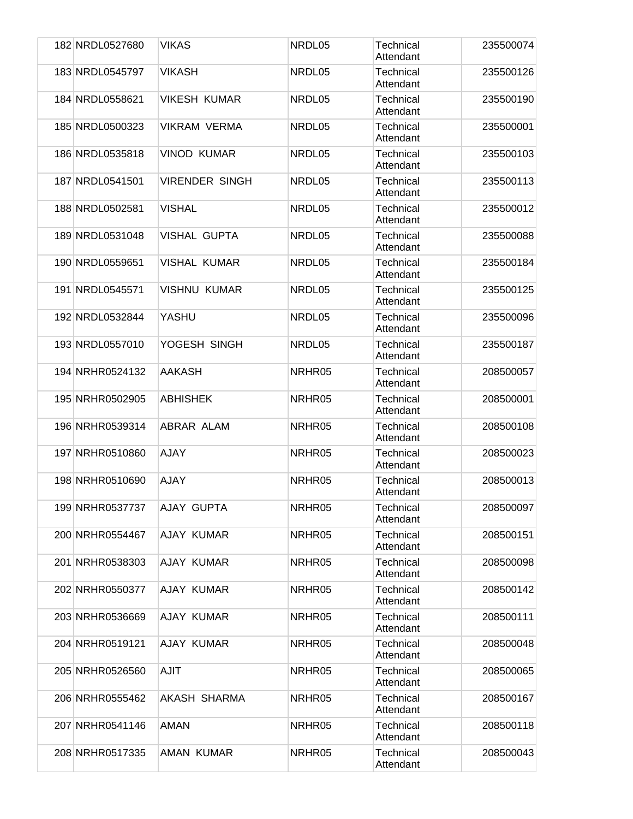| 182 NRDL0527680 | <b>VIKAS</b>          | NRDL05 | Technical<br>Attendant        | 235500074 |
|-----------------|-----------------------|--------|-------------------------------|-----------|
| 183 NRDL0545797 | <b>VIKASH</b>         | NRDL05 | <b>Technical</b><br>Attendant | 235500126 |
| 184 NRDL0558621 | <b>VIKESH KUMAR</b>   | NRDL05 | <b>Technical</b><br>Attendant | 235500190 |
| 185 NRDL0500323 | <b>VIKRAM VERMA</b>   | NRDL05 | Technical<br>Attendant        | 235500001 |
| 186 NRDL0535818 | <b>VINOD KUMAR</b>    | NRDL05 | <b>Technical</b><br>Attendant | 235500103 |
| 187 NRDL0541501 | <b>VIRENDER SINGH</b> | NRDL05 | Technical<br>Attendant        | 235500113 |
| 188 NRDL0502581 | <b>VISHAL</b>         | NRDL05 | <b>Technical</b><br>Attendant | 235500012 |
| 189 NRDL0531048 | <b>VISHAL GUPTA</b>   | NRDL05 | Technical<br>Attendant        | 235500088 |
| 190 NRDL0559651 | <b>VISHAL KUMAR</b>   | NRDL05 | Technical<br>Attendant        | 235500184 |
| 191 NRDL0545571 | <b>VISHNU KUMAR</b>   | NRDL05 | Technical<br>Attendant        | 235500125 |
| 192 NRDL0532844 | YASHU                 | NRDL05 | Technical<br>Attendant        | 235500096 |
| 193 NRDL0557010 | YOGESH SINGH          | NRDL05 | Technical<br>Attendant        | 235500187 |
| 194 NRHR0524132 | AAKASH                | NRHR05 | Technical<br>Attendant        | 208500057 |
| 195 NRHR0502905 | <b>ABHISHEK</b>       | NRHR05 | Technical<br>Attendant        | 208500001 |
| 196 NRHR0539314 | ABRAR ALAM            | NRHR05 | Technical<br>Attendant        | 208500108 |
| 197 NRHR0510860 | <b>AJAY</b>           | NRHR05 | Technical<br>Attendant        | 208500023 |
| 198 NRHR0510690 | <b>AJAY</b>           | NRHR05 | <b>Technical</b><br>Attendant | 208500013 |
| 199 NRHR0537737 | AJAY GUPTA            | NRHR05 | Technical<br>Attendant        | 208500097 |
| 200 NRHR0554467 | AJAY KUMAR            | NRHR05 | Technical<br>Attendant        | 208500151 |
| 201 NRHR0538303 | AJAY KUMAR            | NRHR05 | <b>Technical</b><br>Attendant | 208500098 |
| 202 NRHR0550377 | AJAY KUMAR            | NRHR05 | Technical<br>Attendant        | 208500142 |
| 203 NRHR0536669 | AJAY KUMAR            | NRHR05 | Technical<br>Attendant        | 208500111 |
| 204 NRHR0519121 | AJAY KUMAR            | NRHR05 | <b>Technical</b><br>Attendant | 208500048 |
| 205 NRHR0526560 | <b>AJIT</b>           | NRHR05 | <b>Technical</b><br>Attendant | 208500065 |
| 206 NRHR0555462 | <b>AKASH SHARMA</b>   | NRHR05 | Technical<br>Attendant        | 208500167 |
| 207 NRHR0541146 | <b>AMAN</b>           | NRHR05 | Technical<br>Attendant        | 208500118 |
| 208 NRHR0517335 | AMAN KUMAR            | NRHR05 | Technical<br>Attendant        | 208500043 |
|                 |                       |        |                               |           |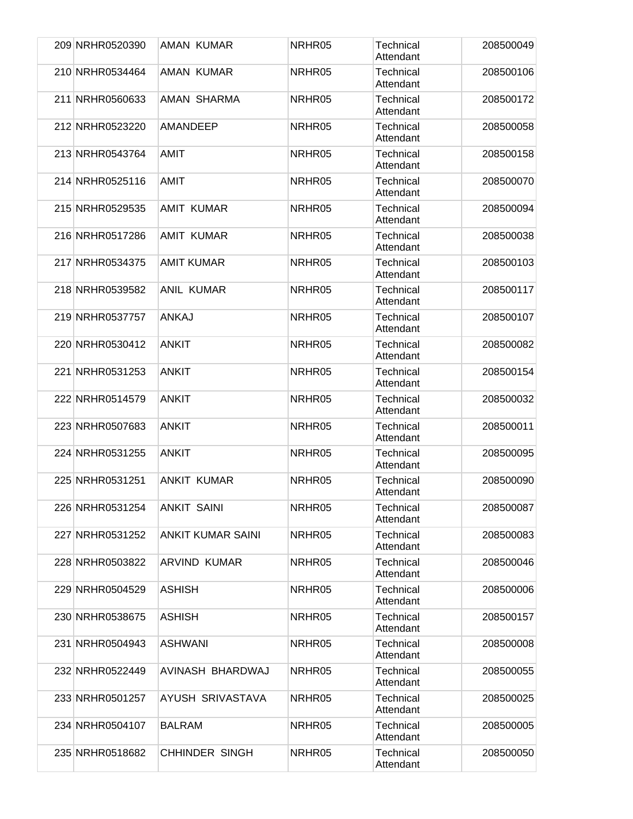|  | 209 NRHR0520390 | AMAN KUMAR               | NRHR05 | Technical<br>Attendant        | 208500049 |
|--|-----------------|--------------------------|--------|-------------------------------|-----------|
|  | 210 NRHR0534464 | AMAN KUMAR               | NRHR05 | <b>Technical</b><br>Attendant | 208500106 |
|  | 211 NRHR0560633 | AMAN SHARMA              | NRHR05 | Technical<br>Attendant        | 208500172 |
|  | 212 NRHR0523220 | <b>AMANDEEP</b>          | NRHR05 | <b>Technical</b><br>Attendant | 208500058 |
|  | 213 NRHR0543764 | <b>AMIT</b>              | NRHR05 | Technical<br>Attendant        | 208500158 |
|  | 214 NRHR0525116 | AMIT                     | NRHR05 | Technical<br>Attendant        | 208500070 |
|  | 215 NRHR0529535 | <b>AMIT KUMAR</b>        | NRHR05 | <b>Technical</b><br>Attendant | 208500094 |
|  | 216 NRHR0517286 | <b>AMIT KUMAR</b>        | NRHR05 | Technical<br>Attendant        | 208500038 |
|  | 217 NRHR0534375 | <b>AMIT KUMAR</b>        | NRHR05 | <b>Technical</b><br>Attendant | 208500103 |
|  | 218 NRHR0539582 | <b>ANIL KUMAR</b>        | NRHR05 | Technical<br>Attendant        | 208500117 |
|  | 219 NRHR0537757 | <b>ANKAJ</b>             | NRHR05 | Technical<br>Attendant        | 208500107 |
|  | 220 NRHR0530412 | <b>ANKIT</b>             | NRHR05 | Technical<br>Attendant        | 208500082 |
|  | 221 NRHR0531253 | <b>ANKIT</b>             | NRHR05 | Technical<br>Attendant        | 208500154 |
|  | 222 NRHR0514579 | <b>ANKIT</b>             | NRHR05 | <b>Technical</b><br>Attendant | 208500032 |
|  | 223 NRHR0507683 | <b>ANKIT</b>             | NRHR05 | <b>Technical</b><br>Attendant | 208500011 |
|  | 224 NRHR0531255 | <b>ANKIT</b>             | NRHR05 | <b>Technical</b><br>Attendant | 208500095 |
|  | 225 NRHR0531251 | <b>ANKIT KUMAR</b>       | NRHR05 | Technical<br>Attendant        | 208500090 |
|  | 226 NRHR0531254 | <b>ANKIT SAINI</b>       | NRHR05 | Technical<br>Attendant        | 208500087 |
|  | 227 NRHR0531252 | <b>ANKIT KUMAR SAINI</b> | NRHR05 | Technical<br>Attendant        | 208500083 |
|  | 228 NRHR0503822 | <b>ARVIND KUMAR</b>      | NRHR05 | Technical<br>Attendant        | 208500046 |
|  | 229 NRHR0504529 | <b>ASHISH</b>            | NRHR05 | Technical<br>Attendant        | 208500006 |
|  | 230 NRHR0538675 | <b>ASHISH</b>            | NRHR05 | Technical<br>Attendant        | 208500157 |
|  | 231 NRHR0504943 | <b>ASHWANI</b>           | NRHR05 | <b>Technical</b><br>Attendant | 208500008 |
|  | 232 NRHR0522449 | AVINASH BHARDWAJ         | NRHR05 | Technical<br>Attendant        | 208500055 |
|  | 233 NRHR0501257 | AYUSH SRIVASTAVA         | NRHR05 | Technical<br>Attendant        | 208500025 |
|  | 234 NRHR0504107 | <b>BALRAM</b>            | NRHR05 | Technical<br>Attendant        | 208500005 |
|  | 235 NRHR0518682 | <b>CHHINDER SINGH</b>    | NRHR05 | Technical<br>Attendant        | 208500050 |
|  |                 |                          |        |                               |           |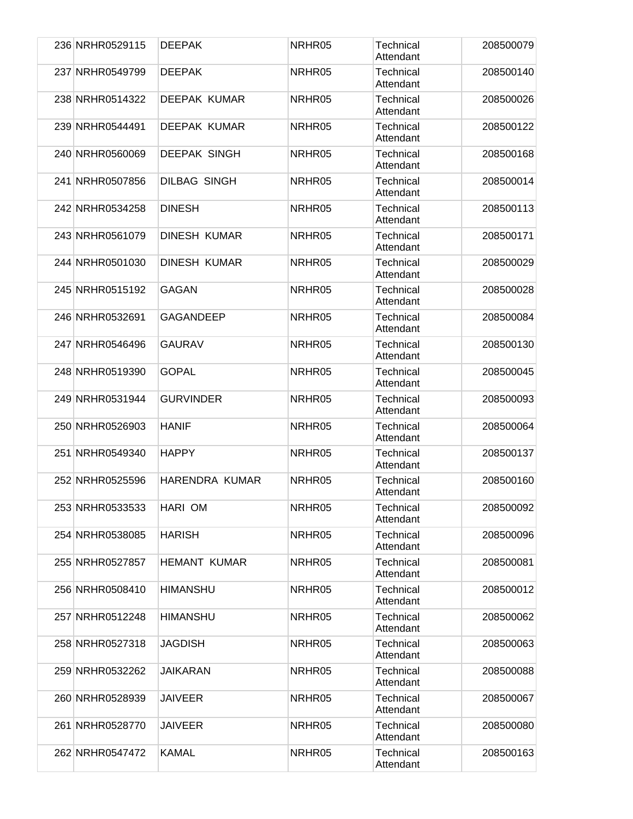| 236 NRHR0529115 | <b>DEEPAK</b>         | NRHR05 | Technical<br>Attendant        | 208500079 |
|-----------------|-----------------------|--------|-------------------------------|-----------|
| 237 NRHR0549799 | <b>DEEPAK</b>         | NRHR05 | <b>Technical</b><br>Attendant | 208500140 |
| 238 NRHR0514322 | <b>DEEPAK KUMAR</b>   | NRHR05 | <b>Technical</b><br>Attendant | 208500026 |
| 239 NRHR0544491 | <b>DEEPAK KUMAR</b>   | NRHR05 | Technical<br>Attendant        | 208500122 |
| 240 NRHR0560069 | <b>DEEPAK SINGH</b>   | NRHR05 | Technical<br>Attendant        | 208500168 |
| 241 NRHR0507856 | <b>DILBAG SINGH</b>   | NRHR05 | <b>Technical</b><br>Attendant | 208500014 |
| 242 NRHR0534258 | <b>DINESH</b>         | NRHR05 | <b>Technical</b><br>Attendant | 208500113 |
| 243 NRHR0561079 | <b>DINESH KUMAR</b>   | NRHR05 | Technical<br>Attendant        | 208500171 |
| 244 NRHR0501030 | <b>DINESH KUMAR</b>   | NRHR05 | <b>Technical</b><br>Attendant | 208500029 |
| 245 NRHR0515192 | <b>GAGAN</b>          | NRHR05 | <b>Technical</b><br>Attendant | 208500028 |
| 246 NRHR0532691 | <b>GAGANDEEP</b>      | NRHR05 | Technical<br>Attendant        | 208500084 |
| 247 NRHR0546496 | <b>GAURAV</b>         | NRHR05 | <b>Technical</b><br>Attendant | 208500130 |
| 248 NRHR0519390 | <b>GOPAL</b>          | NRHR05 | Technical<br>Attendant        | 208500045 |
| 249 NRHR0531944 | <b>GURVINDER</b>      | NRHR05 | Technical<br>Attendant        | 208500093 |
| 250 NRHR0526903 | <b>HANIF</b>          | NRHR05 | <b>Technical</b><br>Attendant | 208500064 |
| 251 NRHR0549340 | <b>HAPPY</b>          | NRHR05 | Technical<br>Attendant        | 208500137 |
| 252 NRHR0525596 | <b>HARENDRA KUMAR</b> | NRHR05 | Technical<br>Attendant        | 208500160 |
| 253 NRHR0533533 | HARI OM               | NRHR05 | Technical<br>Attendant        | 208500092 |
| 254 NRHR0538085 | <b>HARISH</b>         | NRHR05 | Technical<br>Attendant        | 208500096 |
| 255 NRHR0527857 | <b>HEMANT KUMAR</b>   | NRHR05 | Technical<br>Attendant        | 208500081 |
| 256 NRHR0508410 | <b>HIMANSHU</b>       | NRHR05 | Technical<br>Attendant        | 208500012 |
| 257 NRHR0512248 | <b>HIMANSHU</b>       | NRHR05 | Technical<br>Attendant        | 208500062 |
| 258 NRHR0527318 | <b>JAGDISH</b>        | NRHR05 | Technical<br>Attendant        | 208500063 |
| 259 NRHR0532262 | JAIKARAN              | NRHR05 | Technical<br>Attendant        | 208500088 |
| 260 NRHR0528939 | JAIVEER               | NRHR05 | Technical<br>Attendant        | 208500067 |
| 261 NRHR0528770 | <b>JAIVEER</b>        | NRHR05 | Technical<br>Attendant        | 208500080 |
| 262 NRHR0547472 | <b>KAMAL</b>          | NRHR05 | Technical<br>Attendant        | 208500163 |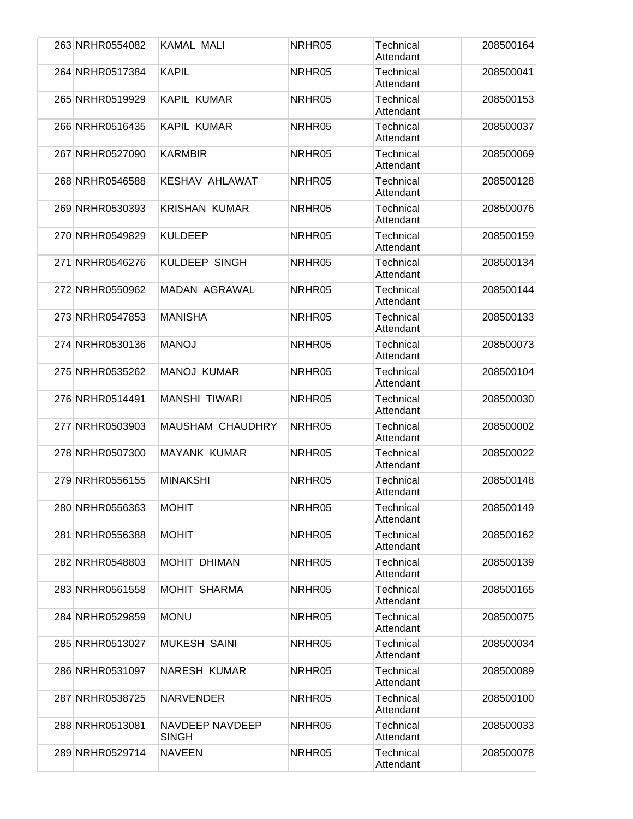|  | 263 NRHR0554082 | <b>KAMAL MALI</b>               | NRHR05 | Technical<br>Attendant        | 208500164 |
|--|-----------------|---------------------------------|--------|-------------------------------|-----------|
|  | 264 NRHR0517384 | <b>KAPIL</b>                    | NRHR05 | <b>Technical</b><br>Attendant | 208500041 |
|  | 265 NRHR0519929 | <b>KAPIL KUMAR</b>              | NRHR05 | <b>Technical</b><br>Attendant | 208500153 |
|  | 266 NRHR0516435 | <b>KAPIL KUMAR</b>              | NRHR05 | Technical<br>Attendant        | 208500037 |
|  | 267 NRHR0527090 | <b>KARMBIR</b>                  | NRHR05 | Technical<br>Attendant        | 208500069 |
|  | 268 NRHR0546588 | <b>KESHAV AHLAWAT</b>           | NRHR05 | <b>Technical</b><br>Attendant | 208500128 |
|  | 269 NRHR0530393 | <b>KRISHAN KUMAR</b>            | NRHR05 | <b>Technical</b><br>Attendant | 208500076 |
|  | 270 NRHR0549829 | <b>KULDEEP</b>                  | NRHR05 | Technical<br>Attendant        | 208500159 |
|  | 271 NRHR0546276 | <b>KULDEEP SINGH</b>            | NRHR05 | <b>Technical</b><br>Attendant | 208500134 |
|  | 272 NRHR0550962 | <b>MADAN AGRAWAL</b>            | NRHR05 | <b>Technical</b><br>Attendant | 208500144 |
|  | 273 NRHR0547853 | <b>MANISHA</b>                  | NRHR05 | Technical<br>Attendant        | 208500133 |
|  | 274 NRHR0530136 | <b>MANOJ</b>                    | NRHR05 | <b>Technical</b><br>Attendant | 208500073 |
|  | 275 NRHR0535262 | <b>MANOJ KUMAR</b>              | NRHR05 | Technical<br>Attendant        | 208500104 |
|  | 276 NRHR0514491 | <b>MANSHI TIWARI</b>            | NRHR05 | <b>Technical</b><br>Attendant | 208500030 |
|  | 277 NRHR0503903 | <b>MAUSHAM CHAUDHRY</b>         | NRHR05 | <b>Technical</b><br>Attendant | 208500002 |
|  | 278 NRHR0507300 | <b>MAYANK KUMAR</b>             | NRHR05 | Technical<br>Attendant        | 208500022 |
|  | 279 NRHR0556155 | <b>MINAKSHI</b>                 | NRHR05 | Technical<br>Attendant        | 208500148 |
|  | 280 NRHR0556363 | <b>MOHIT</b>                    | NRHR05 | Technical<br>Attendant        | 208500149 |
|  | 281 NRHR0556388 | <b>MOHIT</b>                    | NRHR05 | Technical<br>Attendant        | 208500162 |
|  | 282 NRHR0548803 | <b>MOHIT DHIMAN</b>             | NRHR05 | Technical<br>Attendant        | 208500139 |
|  | 283 NRHR0561558 | <b>MOHIT SHARMA</b>             | NRHR05 | Technical<br>Attendant        | 208500165 |
|  | 284 NRHR0529859 | <b>MONU</b>                     | NRHR05 | Technical<br>Attendant        | 208500075 |
|  | 285 NRHR0513027 | <b>MUKESH SAINI</b>             | NRHR05 | Technical<br>Attendant        | 208500034 |
|  | 286 NRHR0531097 | <b>NARESH KUMAR</b>             | NRHR05 | Technical<br>Attendant        | 208500089 |
|  | 287 NRHR0538725 | NARVENDER                       | NRHR05 | Technical<br>Attendant        | 208500100 |
|  | 288 NRHR0513081 | NAVDEEP NAVDEEP<br><b>SINGH</b> | NRHR05 | Technical<br>Attendant        | 208500033 |
|  | 289 NRHR0529714 | <b>NAVEEN</b>                   | NRHR05 | Technical<br>Attendant        | 208500078 |
|  |                 |                                 |        |                               |           |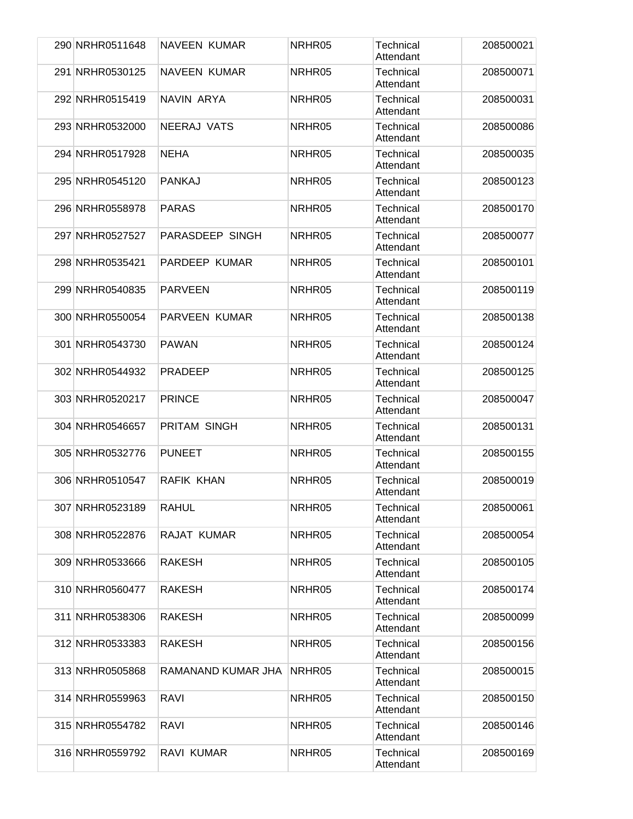|  | 290 NRHR0511648 | <b>NAVEEN KUMAR</b>  | NRHR05 | <b>Technical</b><br>Attendant | 208500021 |
|--|-----------------|----------------------|--------|-------------------------------|-----------|
|  | 291 NRHR0530125 | <b>NAVEEN KUMAR</b>  | NRHR05 | <b>Technical</b><br>Attendant | 208500071 |
|  | 292 NRHR0515419 | NAVIN ARYA           | NRHR05 | Technical<br>Attendant        | 208500031 |
|  | 293 NRHR0532000 | <b>NEERAJ VATS</b>   | NRHR05 | Technical<br>Attendant        | 208500086 |
|  | 294 NRHR0517928 | <b>NEHA</b>          | NRHR05 | <b>Technical</b><br>Attendant | 208500035 |
|  | 295 NRHR0545120 | <b>PANKAJ</b>        | NRHR05 | Technical<br>Attendant        | 208500123 |
|  | 296 NRHR0558978 | <b>PARAS</b>         | NRHR05 | Technical<br>Attendant        | 208500170 |
|  | 297 NRHR0527527 | PARASDEEP SINGH      | NRHR05 | Technical<br>Attendant        | 208500077 |
|  | 298 NRHR0535421 | <b>PARDEEP KUMAR</b> | NRHR05 | Technical<br>Attendant        | 208500101 |
|  | 299 NRHR0540835 | <b>PARVEEN</b>       | NRHR05 | Technical<br>Attendant        | 208500119 |
|  | 300 NRHR0550054 | <b>PARVEEN KUMAR</b> | NRHR05 | <b>Technical</b><br>Attendant | 208500138 |
|  | 301 NRHR0543730 | <b>PAWAN</b>         | NRHR05 | <b>Technical</b><br>Attendant | 208500124 |
|  | 302 NRHR0544932 | <b>PRADEEP</b>       | NRHR05 | <b>Technical</b><br>Attendant | 208500125 |
|  | 303 NRHR0520217 | <b>PRINCE</b>        | NRHR05 | Technical<br>Attendant        | 208500047 |
|  | 304 NRHR0546657 | PRITAM SINGH         | NRHR05 | Technical<br>Attendant        | 208500131 |
|  | 305 NRHR0532776 | <b>PUNEET</b>        | NRHR05 | Technical<br>Attendant        | 208500155 |
|  | 306 NRHR0510547 | RAFIK KHAN           | NRHR05 | Technical<br>Attendant        | 208500019 |
|  | 307 NRHR0523189 | <b>RAHUL</b>         | NRHR05 | Technical<br>Attendant        | 208500061 |
|  | 308 NRHR0522876 | RAJAT KUMAR          | NRHR05 | Technical<br>Attendant        | 208500054 |
|  | 309 NRHR0533666 | <b>RAKESH</b>        | NRHR05 | Technical<br>Attendant        | 208500105 |
|  | 310 NRHR0560477 | <b>RAKESH</b>        | NRHR05 | <b>Technical</b><br>Attendant | 208500174 |
|  | 311 NRHR0538306 | <b>RAKESH</b>        | NRHR05 | Technical<br>Attendant        | 208500099 |
|  | 312 NRHR0533383 | <b>RAKESH</b>        | NRHR05 | <b>Technical</b><br>Attendant | 208500156 |
|  | 313 NRHR0505868 | RAMANAND KUMAR JHA   | NRHR05 | Technical<br>Attendant        | 208500015 |
|  | 314 NRHR0559963 | <b>RAVI</b>          | NRHR05 | Technical<br>Attendant        | 208500150 |
|  | 315 NRHR0554782 | <b>RAVI</b>          | NRHR05 | Technical<br>Attendant        | 208500146 |
|  | 316 NRHR0559792 | RAVI KUMAR           | NRHR05 | Technical<br>Attendant        | 208500169 |
|  |                 |                      |        |                               |           |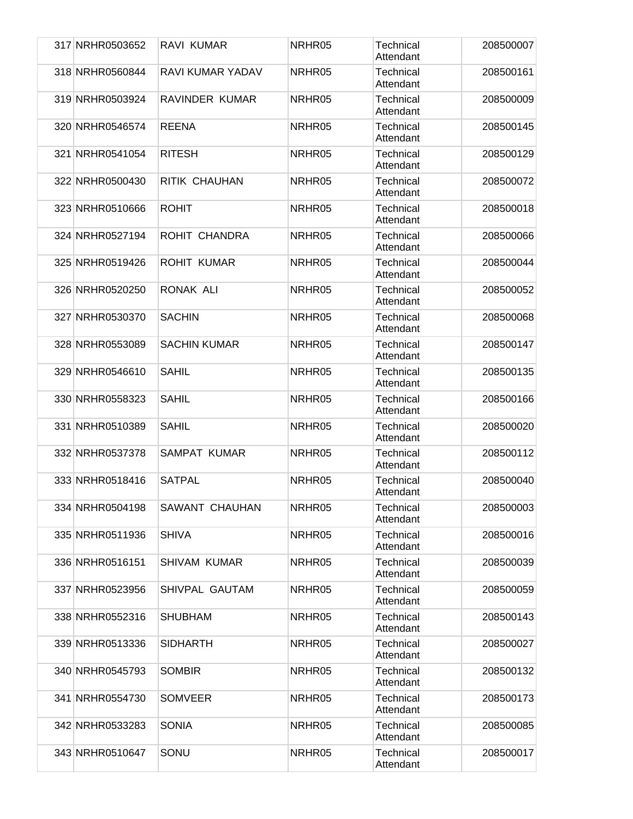| 317 NRHR0503652 | RAVI KUMAR          | NRHR05 | Technical<br>Attendant        | 208500007 |
|-----------------|---------------------|--------|-------------------------------|-----------|
| 318 NRHR0560844 | RAVI KUMAR YADAV    | NRHR05 | <b>Technical</b><br>Attendant | 208500161 |
| 319 NRHR0503924 | RAVINDER KUMAR      | NRHR05 | Technical<br>Attendant        | 208500009 |
| 320 NRHR0546574 | <b>REENA</b>        | NRHR05 | Technical<br>Attendant        | 208500145 |
| 321 NRHR0541054 | <b>RITESH</b>       | NRHR05 | Technical<br>Attendant        | 208500129 |
| 322 NRHR0500430 | RITIK CHAUHAN       | NRHR05 | Technical<br>Attendant        | 208500072 |
| 323 NRHR0510666 | <b>ROHIT</b>        | NRHR05 | <b>Technical</b><br>Attendant | 208500018 |
| 324 NRHR0527194 | ROHIT CHANDRA       | NRHR05 | Technical<br>Attendant        | 208500066 |
| 325 NRHR0519426 | <b>ROHIT KUMAR</b>  | NRHR05 | <b>Technical</b><br>Attendant | 208500044 |
| 326 NRHR0520250 | RONAK ALI           | NRHR05 | Technical<br>Attendant        | 208500052 |
| 327 NRHR0530370 | <b>SACHIN</b>       | NRHR05 | Technical<br>Attendant        | 208500068 |
| 328 NRHR0553089 | <b>SACHIN KUMAR</b> | NRHR05 | Technical<br>Attendant        | 208500147 |
| 329 NRHR0546610 | <b>SAHIL</b>        | NRHR05 | Technical<br>Attendant        | 208500135 |
| 330 NRHR0558323 | <b>SAHIL</b>        | NRHR05 | <b>Technical</b><br>Attendant | 208500166 |
| 331 NRHR0510389 | <b>SAHIL</b>        | NRHR05 | <b>Technical</b><br>Attendant | 208500020 |
| 332 NRHR0537378 | <b>SAMPAT KUMAR</b> | NRHR05 | Technical<br>Attendant        | 208500112 |
| 333 NRHR0518416 | <b>SATPAL</b>       | NRHR05 | Technical<br>Attendant        | 208500040 |
| 334 NRHR0504198 | SAWANT CHAUHAN      | NRHR05 | Technical<br>Attendant        | 208500003 |
| 335 NRHR0511936 | <b>SHIVA</b>        | NRHR05 | Technical<br>Attendant        | 208500016 |
| 336 NRHR0516151 | <b>SHIVAM KUMAR</b> | NRHR05 | <b>Technical</b><br>Attendant | 208500039 |
| 337 NRHR0523956 | SHIVPAL GAUTAM      | NRHR05 | Technical<br>Attendant        | 208500059 |
| 338 NRHR0552316 | <b>SHUBHAM</b>      | NRHR05 | Technical<br>Attendant        | 208500143 |
| 339 NRHR0513336 | <b>SIDHARTH</b>     | NRHR05 | <b>Technical</b><br>Attendant | 208500027 |
| 340 NRHR0545793 | <b>SOMBIR</b>       | NRHR05 | Technical<br>Attendant        | 208500132 |
| 341 NRHR0554730 | <b>SOMVEER</b>      | NRHR05 | Technical<br>Attendant        | 208500173 |
| 342 NRHR0533283 | <b>SONIA</b>        | NRHR05 | Technical<br>Attendant        | 208500085 |
| 343 NRHR0510647 | SONU                | NRHR05 | Technical<br>Attendant        | 208500017 |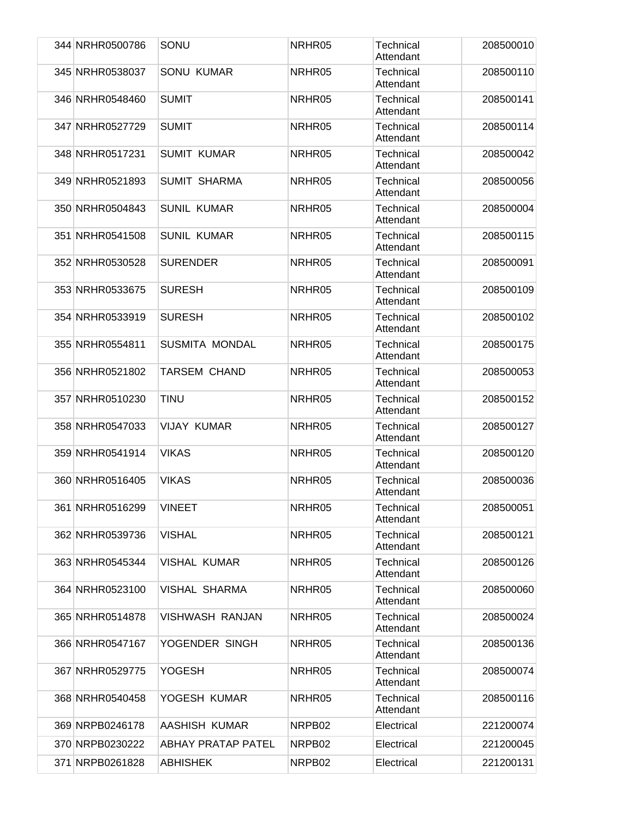|  | 344 NRHR0500786 | SONU                      | NRHR05 | Technical<br>Attendant        | 208500010 |
|--|-----------------|---------------------------|--------|-------------------------------|-----------|
|  | 345 NRHR0538037 | SONU KUMAR                | NRHR05 | <b>Technical</b><br>Attendant | 208500110 |
|  | 346 NRHR0548460 | <b>SUMIT</b>              | NRHR05 | Technical<br>Attendant        | 208500141 |
|  | 347 NRHR0527729 | <b>SUMIT</b>              | NRHR05 | <b>Technical</b><br>Attendant | 208500114 |
|  | 348 NRHR0517231 | <b>SUMIT KUMAR</b>        | NRHR05 | Technical<br>Attendant        | 208500042 |
|  | 349 NRHR0521893 | <b>SUMIT SHARMA</b>       | NRHR05 | Technical<br>Attendant        | 208500056 |
|  | 350 NRHR0504843 | <b>SUNIL KUMAR</b>        | NRHR05 | Technical<br>Attendant        | 208500004 |
|  | 351 NRHR0541508 | <b>SUNIL KUMAR</b>        | NRHR05 | Technical<br>Attendant        | 208500115 |
|  | 352 NRHR0530528 | <b>SURENDER</b>           | NRHR05 | Technical<br>Attendant        | 208500091 |
|  | 353 NRHR0533675 | <b>SURESH</b>             | NRHR05 | Technical<br>Attendant        | 208500109 |
|  | 354 NRHR0533919 | <b>SURESH</b>             | NRHR05 | <b>Technical</b><br>Attendant | 208500102 |
|  | 355 NRHR0554811 | SUSMITA MONDAL            | NRHR05 | Technical<br>Attendant        | 208500175 |
|  | 356 NRHR0521802 | TARSEM CHAND              | NRHR05 | Technical<br>Attendant        | 208500053 |
|  | 357 NRHR0510230 | <b>TINU</b>               | NRHR05 | Technical<br>Attendant        | 208500152 |
|  | 358 NRHR0547033 | VIJAY KUMAR               | NRHR05 | <b>Technical</b><br>Attendant | 208500127 |
|  | 359 NRHR0541914 | <b>VIKAS</b>              | NRHR05 | Technical<br>Attendant        | 208500120 |
|  | 360 NRHR0516405 | <b>VIKAS</b>              | NRHR05 | Technical<br>Attendant        | 208500036 |
|  | 361 NRHR0516299 | <b>VINEET</b>             | NRHR05 | Technical<br>Attendant        | 208500051 |
|  | 362 NRHR0539736 | <b>VISHAL</b>             | NRHR05 | Technical<br>Attendant        | 208500121 |
|  | 363 NRHR0545344 | VISHAL KUMAR              | NRHR05 | Technical<br>Attendant        | 208500126 |
|  | 364 NRHR0523100 | <b>VISHAL SHARMA</b>      | NRHR05 | Technical<br>Attendant        | 208500060 |
|  | 365 NRHR0514878 | <b>VISHWASH RANJAN</b>    | NRHR05 | Technical<br>Attendant        | 208500024 |
|  | 366 NRHR0547167 | YOGENDER SINGH            | NRHR05 | Technical<br>Attendant        | 208500136 |
|  | 367 NRHR0529775 | YOGESH                    | NRHR05 | Technical<br>Attendant        | 208500074 |
|  | 368 NRHR0540458 | YOGESH KUMAR              | NRHR05 | Technical<br>Attendant        | 208500116 |
|  | 369 NRPB0246178 | AASHISH KUMAR             | NRPB02 | Electrical                    | 221200074 |
|  | 370 NRPB0230222 | <b>ABHAY PRATAP PATEL</b> | NRPB02 | Electrical                    | 221200045 |
|  | 371 NRPB0261828 | <b>ABHISHEK</b>           | NRPB02 | Electrical                    | 221200131 |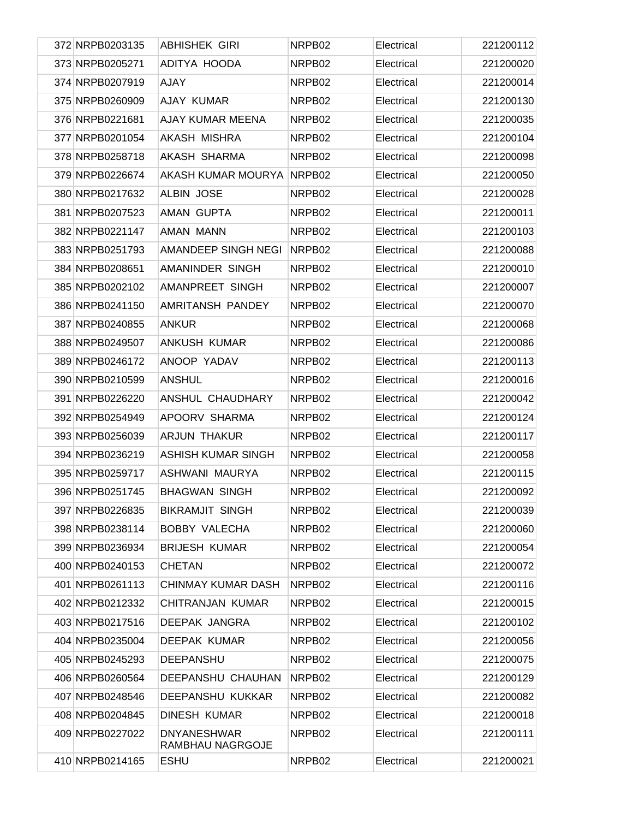| 372 NRPB0203135 | <b>ABHISHEK GIRI</b>                   | NRPB02 | Electrical | 221200112 |
|-----------------|----------------------------------------|--------|------------|-----------|
| 373 NRPB0205271 | ADITYA HOODA                           | NRPB02 | Electrical | 221200020 |
| 374 NRPB0207919 | <b>AJAY</b>                            | NRPB02 | Electrical | 221200014 |
| 375 NRPB0260909 | AJAY KUMAR                             | NRPB02 | Electrical | 221200130 |
| 376 NRPB0221681 | AJAY KUMAR MEENA                       | NRPB02 | Electrical | 221200035 |
| 377 NRPB0201054 | AKASH MISHRA                           | NRPB02 | Electrical | 221200104 |
| 378 NRPB0258718 | AKASH SHARMA                           | NRPB02 | Electrical | 221200098 |
| 379 NRPB0226674 | AKASH KUMAR MOURYA                     | NRPB02 | Electrical | 221200050 |
| 380 NRPB0217632 | <b>ALBIN JOSE</b>                      | NRPB02 | Electrical | 221200028 |
| 381 NRPB0207523 | AMAN GUPTA                             | NRPB02 | Electrical | 221200011 |
| 382 NRPB0221147 | AMAN MANN                              | NRPB02 | Electrical | 221200103 |
| 383 NRPB0251793 | AMANDEEP SINGH NEGI                    | NRPB02 | Electrical | 221200088 |
| 384 NRPB0208651 | AMANINDER SINGH                        | NRPB02 | Electrical | 221200010 |
| 385 NRPB0202102 | AMANPREET SINGH                        | NRPB02 | Electrical | 221200007 |
| 386 NRPB0241150 | AMRITANSH PANDEY                       | NRPB02 | Electrical | 221200070 |
| 387 NRPB0240855 | <b>ANKUR</b>                           | NRPB02 | Electrical | 221200068 |
| 388 NRPB0249507 | ANKUSH KUMAR                           | NRPB02 | Electrical | 221200086 |
| 389 NRPB0246172 | ANOOP YADAV                            | NRPB02 | Electrical | 221200113 |
| 390 NRPB0210599 | <b>ANSHUL</b>                          | NRPB02 | Electrical | 221200016 |
| 391 NRPB0226220 | ANSHUL CHAUDHARY                       | NRPB02 | Electrical | 221200042 |
| 392 NRPB0254949 | APOORV SHARMA                          | NRPB02 | Electrical | 221200124 |
| 393 NRPB0256039 | <b>ARJUN THAKUR</b>                    | NRPB02 | Electrical | 221200117 |
| 394 NRPB0236219 | ASHISH KUMAR SINGH                     | NRPB02 | Electrical | 221200058 |
| 395 NRPB0259717 | ASHWANI MAURYA                         | NRPB02 | Electrical | 221200115 |
| 396 NRPB0251745 | <b>BHAGWAN SINGH</b>                   | NRPB02 | Electrical | 221200092 |
| 397 NRPB0226835 | <b>BIKRAMJIT SINGH</b>                 | NRPB02 | Electrical | 221200039 |
| 398 NRPB0238114 | <b>BOBBY VALECHA</b>                   | NRPB02 | Electrical | 221200060 |
| 399 NRPB0236934 | <b>BRIJESH KUMAR</b>                   | NRPB02 | Electrical | 221200054 |
| 400 NRPB0240153 | <b>CHETAN</b>                          | NRPB02 | Electrical | 221200072 |
| 401 NRPB0261113 | CHINMAY KUMAR DASH                     | NRPB02 | Electrical | 221200116 |
| 402 NRPB0212332 | <b>CHITRANJAN KUMAR</b>                | NRPB02 | Electrical | 221200015 |
| 403 NRPB0217516 | DEEPAK JANGRA                          | NRPB02 | Electrical | 221200102 |
| 404 NRPB0235004 | DEEPAK KUMAR                           | NRPB02 | Electrical | 221200056 |
| 405 NRPB0245293 | <b>DEEPANSHU</b>                       | NRPB02 | Electrical | 221200075 |
| 406 NRPB0260564 | DEEPANSHU CHAUHAN                      | NRPB02 | Electrical | 221200129 |
| 407 NRPB0248546 | DEEPANSHU KUKKAR                       | NRPB02 | Electrical | 221200082 |
| 408 NRPB0204845 | DINESH KUMAR                           | NRPB02 | Electrical | 221200018 |
| 409 NRPB0227022 | <b>DNYANESHWAR</b><br>RAMBHAU NAGRGOJE | NRPB02 | Electrical | 221200111 |
| 410 NRPB0214165 | <b>ESHU</b>                            | NRPB02 | Electrical | 221200021 |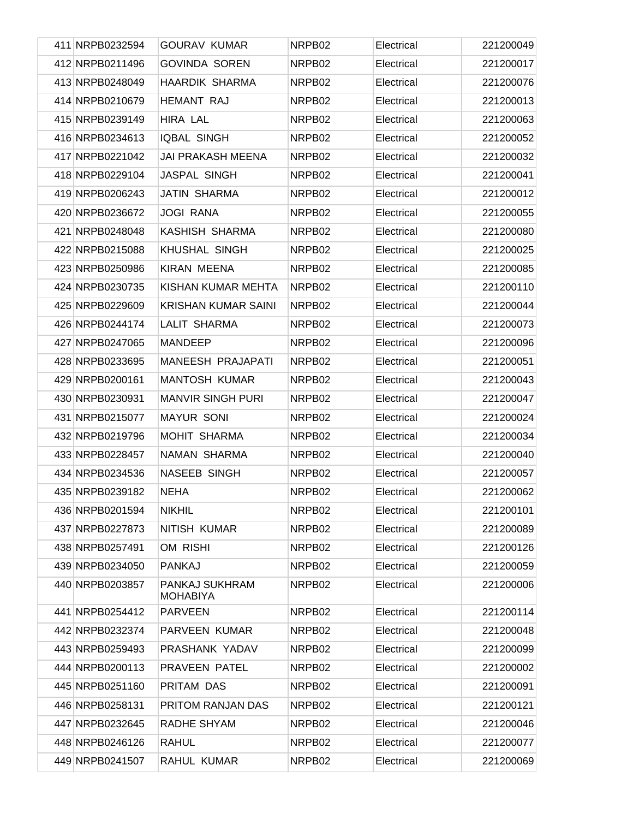| 411 NRPB0232594 | <b>GOURAV KUMAR</b>               | NRPB02 | Electrical | 221200049 |
|-----------------|-----------------------------------|--------|------------|-----------|
| 412 NRPB0211496 | <b>GOVINDA SOREN</b>              | NRPB02 | Electrical | 221200017 |
| 413 NRPB0248049 | <b>HAARDIK SHARMA</b>             | NRPB02 | Electrical | 221200076 |
| 414 NRPB0210679 | <b>HEMANT RAJ</b>                 | NRPB02 | Electrical | 221200013 |
| 415 NRPB0239149 | HIRA LAL                          | NRPB02 | Electrical | 221200063 |
| 416 NRPB0234613 | <b>IQBAL SINGH</b>                | NRPB02 | Electrical | 221200052 |
| 417 NRPB0221042 | <b>JAI PRAKASH MEENA</b>          | NRPB02 | Electrical | 221200032 |
| 418 NRPB0229104 | JASPAL SINGH                      | NRPB02 | Electrical | 221200041 |
| 419 NRPB0206243 | <b>JATIN SHARMA</b>               | NRPB02 | Electrical | 221200012 |
| 420 NRPB0236672 | <b>JOGI RANA</b>                  | NRPB02 | Electrical | 221200055 |
| 421 NRPB0248048 | KASHISH SHARMA                    | NRPB02 | Electrical | 221200080 |
| 422 NRPB0215088 | <b>KHUSHAL SINGH</b>              | NRPB02 | Electrical | 221200025 |
| 423 NRPB0250986 | <b>KIRAN MEENA</b>                | NRPB02 | Electrical | 221200085 |
| 424 NRPB0230735 | KISHAN KUMAR MEHTA                | NRPB02 | Electrical | 221200110 |
| 425 NRPB0229609 | <b>KRISHAN KUMAR SAINI</b>        | NRPB02 | Electrical | 221200044 |
| 426 NRPB0244174 | <b>LALIT SHARMA</b>               | NRPB02 | Electrical | 221200073 |
| 427 NRPB0247065 | <b>MANDEEP</b>                    | NRPB02 | Electrical | 221200096 |
| 428 NRPB0233695 | MANEESH PRAJAPATI                 | NRPB02 | Electrical | 221200051 |
| 429 NRPB0200161 | <b>MANTOSH KUMAR</b>              | NRPB02 | Electrical | 221200043 |
| 430 NRPB0230931 | <b>MANVIR SINGH PURI</b>          | NRPB02 | Electrical | 221200047 |
| 431 NRPB0215077 | <b>MAYUR SONI</b>                 | NRPB02 | Electrical | 221200024 |
| 432 NRPB0219796 | MOHIT SHARMA                      | NRPB02 | Electrical | 221200034 |
| 433 NRPB0228457 | NAMAN SHARMA                      | NRPB02 | Electrical | 221200040 |
| 434 NRPB0234536 | <b>NASEEB SINGH</b>               | NRPB02 | Electrical | 221200057 |
| 435 NRPB0239182 | <b>NEHA</b>                       | NRPB02 | Electrical | 221200062 |
| 436 NRPB0201594 | <b>NIKHIL</b>                     | NRPB02 | Electrical | 221200101 |
| 437 NRPB0227873 | NITISH KUMAR                      | NRPB02 | Electrical | 221200089 |
| 438 NRPB0257491 | OM RISHI                          | NRPB02 | Electrical | 221200126 |
| 439 NRPB0234050 | <b>PANKAJ</b>                     | NRPB02 | Electrical | 221200059 |
| 440 NRPB0203857 | PANKAJ SUKHRAM<br><b>MOHABIYA</b> | NRPB02 | Electrical | 221200006 |
| 441 NRPB0254412 | <b>PARVEEN</b>                    | NRPB02 | Electrical | 221200114 |
| 442 NRPB0232374 | PARVEEN KUMAR                     | NRPB02 | Electrical | 221200048 |
| 443 NRPB0259493 | PRASHANK YADAV                    | NRPB02 | Electrical | 221200099 |
| 444 NRPB0200113 | PRAVEEN PATEL                     | NRPB02 | Electrical | 221200002 |
| 445 NRPB0251160 | PRITAM DAS                        | NRPB02 | Electrical | 221200091 |
| 446 NRPB0258131 | PRITOM RANJAN DAS                 | NRPB02 | Electrical | 221200121 |
| 447 NRPB0232645 | RADHE SHYAM                       | NRPB02 | Electrical | 221200046 |
| 448 NRPB0246126 | <b>RAHUL</b>                      | NRPB02 | Electrical | 221200077 |
| 449 NRPB0241507 | RAHUL KUMAR                       | NRPB02 | Electrical | 221200069 |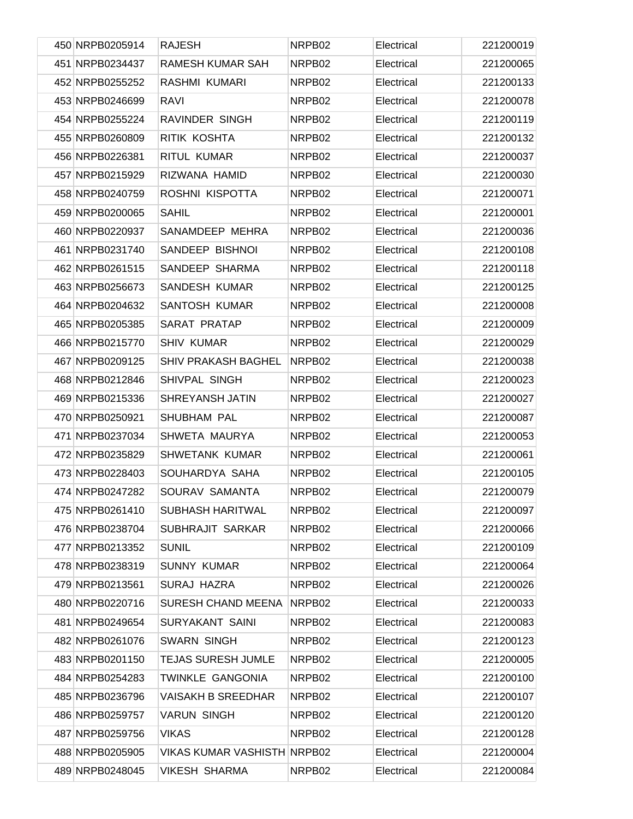| 450 NRPB0205914 | <b>RAJESH</b>                      | NRPB02 | Electrical | 221200019 |
|-----------------|------------------------------------|--------|------------|-----------|
| 451 NRPB0234437 | RAMESH KUMAR SAH                   | NRPB02 | Electrical | 221200065 |
| 452 NRPB0255252 | RASHMI KUMARI                      | NRPB02 | Electrical | 221200133 |
| 453 NRPB0246699 | <b>RAVI</b>                        | NRPB02 | Electrical | 221200078 |
| 454 NRPB0255224 | RAVINDER SINGH                     | NRPB02 | Electrical | 221200119 |
| 455 NRPB0260809 | RITIK KOSHTA                       | NRPB02 | Electrical | 221200132 |
| 456 NRPB0226381 | <b>RITUL KUMAR</b>                 | NRPB02 | Electrical | 221200037 |
| 457 NRPB0215929 | RIZWANA HAMID                      | NRPB02 | Electrical | 221200030 |
| 458 NRPB0240759 | ROSHNI KISPOTTA                    | NRPB02 | Electrical | 221200071 |
| 459 NRPB0200065 | <b>SAHIL</b>                       | NRPB02 | Electrical | 221200001 |
| 460 NRPB0220937 | SANAMDEEP MEHRA                    | NRPB02 | Electrical | 221200036 |
| 461 NRPB0231740 | SANDEEP BISHNOI                    | NRPB02 | Electrical | 221200108 |
| 462 NRPB0261515 | SANDEEP SHARMA                     | NRPB02 | Electrical | 221200118 |
| 463 NRPB0256673 | <b>SANDESH KUMAR</b>               | NRPB02 | Electrical | 221200125 |
| 464 NRPB0204632 | <b>SANTOSH KUMAR</b>               | NRPB02 | Electrical | 221200008 |
| 465 NRPB0205385 | SARAT PRATAP                       | NRPB02 | Electrical | 221200009 |
| 466 NRPB0215770 | <b>SHIV KUMAR</b>                  | NRPB02 | Electrical | 221200029 |
| 467 NRPB0209125 | SHIV PRAKASH BAGHEL                | NRPB02 | Electrical | 221200038 |
| 468 NRPB0212846 | SHIVPAL SINGH                      | NRPB02 | Electrical | 221200023 |
| 469 NRPB0215336 | SHREYANSH JATIN                    | NRPB02 | Electrical | 221200027 |
| 470 NRPB0250921 | <b>SHUBHAM PAL</b>                 | NRPB02 | Electrical | 221200087 |
| 471 NRPB0237034 | SHWETA MAURYA                      | NRPB02 | Electrical | 221200053 |
| 472 NRPB0235829 | <b>SHWETANK KUMAR</b>              | NRPB02 | Electrical | 221200061 |
| 473 NRPB0228403 | SOUHARDYA SAHA                     | NRPB02 | Electrical | 221200105 |
| 474 NRPB0247282 | SOURAV SAMANTA                     | NRPB02 | Electrical | 221200079 |
| 475 NRPB0261410 | <b>SUBHASH HARITWAL</b>            | NRPB02 | Electrical | 221200097 |
| 476 NRPB0238704 | SUBHRAJIT SARKAR                   | NRPB02 | Electrical | 221200066 |
| 477 NRPB0213352 | <b>SUNIL</b>                       | NRPB02 | Electrical | 221200109 |
| 478 NRPB0238319 | <b>SUNNY KUMAR</b>                 | NRPB02 | Electrical | 221200064 |
| 479 NRPB0213561 | SURAJ HAZRA                        | NRPB02 | Electrical | 221200026 |
| 480 NRPB0220716 | SURESH CHAND MEENA                 | NRPB02 | Electrical | 221200033 |
| 481 NRPB0249654 | <b>SURYAKANT SAINI</b>             | NRPB02 | Electrical | 221200083 |
| 482 NRPB0261076 | <b>SWARN SINGH</b>                 | NRPB02 | Electrical | 221200123 |
| 483 NRPB0201150 | <b>TEJAS SURESH JUMLE</b>          | NRPB02 | Electrical | 221200005 |
| 484 NRPB0254283 | <b>TWINKLE GANGONIA</b>            | NRPB02 | Electrical | 221200100 |
| 485 NRPB0236796 | VAISAKH B SREEDHAR                 | NRPB02 | Electrical | 221200107 |
| 486 NRPB0259757 | <b>VARUN SINGH</b>                 | NRPB02 | Electrical | 221200120 |
| 487 NRPB0259756 | <b>VIKAS</b>                       | NRPB02 | Electrical | 221200128 |
| 488 NRPB0205905 | <b>VIKAS KUMAR VASHISTH NRPB02</b> |        | Electrical | 221200004 |
| 489 NRPB0248045 | <b>VIKESH SHARMA</b>               | NRPB02 | Electrical | 221200084 |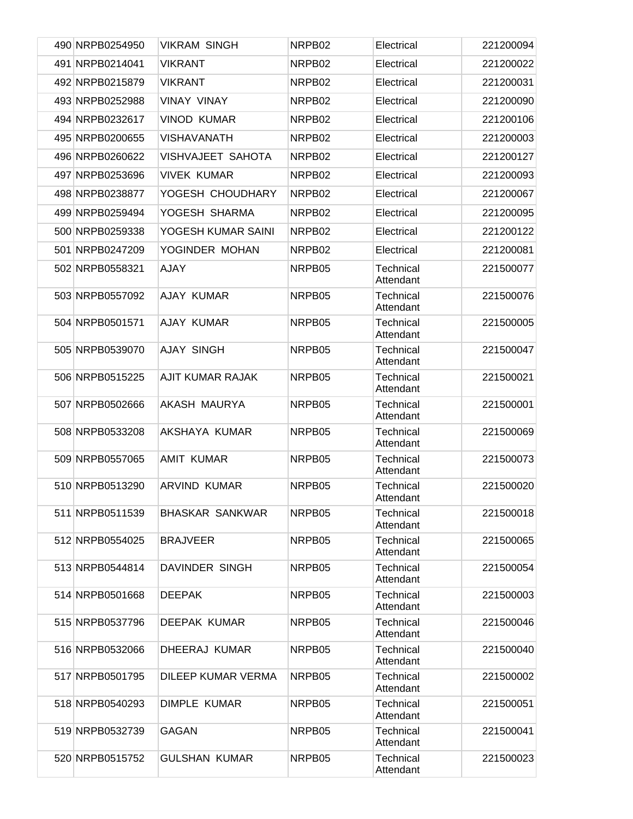|  | 490 NRPB0254950 | <b>VIKRAM SINGH</b>    | NRPB02             | Electrical                    | 221200094 |
|--|-----------------|------------------------|--------------------|-------------------------------|-----------|
|  | 491 NRPB0214041 | <b>VIKRANT</b>         | NRPB02             | Electrical                    | 221200022 |
|  | 492 NRPB0215879 | <b>VIKRANT</b>         | NRPB02             | Electrical                    | 221200031 |
|  | 493 NRPB0252988 | <b>VINAY VINAY</b>     | NRPB <sub>02</sub> | Electrical                    | 221200090 |
|  | 494 NRPB0232617 | <b>VINOD KUMAR</b>     | NRPB02             | Electrical                    | 221200106 |
|  | 495 NRPB0200655 | <b>VISHAVANATH</b>     | NRPB02             | Electrical                    | 221200003 |
|  | 496 NRPB0260622 | VISHVAJEET SAHOTA      | NRPB02             | Electrical                    | 221200127 |
|  | 497 NRPB0253696 | <b>VIVEK KUMAR</b>     | NRPB02             | Electrical                    | 221200093 |
|  | 498 NRPB0238877 | YOGESH CHOUDHARY       | NRPB02             | Electrical                    | 221200067 |
|  | 499 NRPB0259494 | YOGESH SHARMA          | NRPB02             | Electrical                    | 221200095 |
|  | 500 NRPB0259338 | YOGESH KUMAR SAINI     | NRPB02             | Electrical                    | 221200122 |
|  | 501 NRPB0247209 | YOGINDER MOHAN         | NRPB02             | Electrical                    | 221200081 |
|  | 502 NRPB0558321 | <b>AJAY</b>            | NRPB05             | Technical<br>Attendant        | 221500077 |
|  | 503 NRPB0557092 | AJAY KUMAR             | NRPB05             | Technical<br>Attendant        | 221500076 |
|  | 504 NRPB0501571 | AJAY KUMAR             | NRPB05             | Technical<br>Attendant        | 221500005 |
|  | 505 NRPB0539070 | <b>AJAY SINGH</b>      | NRPB05             | Technical<br>Attendant        | 221500047 |
|  | 506 NRPB0515225 | AJIT KUMAR RAJAK       | NRPB05             | Technical<br>Attendant        | 221500021 |
|  | 507 NRPB0502666 | AKASH MAURYA           | NRPB05             | Technical<br>Attendant        | 221500001 |
|  | 508 NRPB0533208 | AKSHAYA KUMAR          | NRPB05             | Technical<br>Attendant        | 221500069 |
|  | 509 NRPB0557065 | <b>AMIT KUMAR</b>      | NRPB05             | Technical<br>Attendant        | 221500073 |
|  | 510 NRPB0513290 | <b>ARVIND KUMAR</b>    | NRPB05             | <b>Technical</b><br>Attendant | 221500020 |
|  | 511 NRPB0511539 | <b>BHASKAR SANKWAR</b> | NRPB05             | Technical<br>Attendant        | 221500018 |
|  | 512 NRPB0554025 | <b>BRAJVEER</b>        | NRPB05             | Technical<br>Attendant        | 221500065 |
|  | 513 NRPB0544814 | DAVINDER SINGH         | NRPB05             | Technical<br>Attendant        | 221500054 |
|  | 514 NRPB0501668 | <b>DEEPAK</b>          | NRPB05             | Technical<br>Attendant        | 221500003 |
|  | 515 NRPB0537796 | <b>DEEPAK KUMAR</b>    | NRPB05             | <b>Technical</b><br>Attendant | 221500046 |
|  | 516 NRPB0532066 | DHEERAJ KUMAR          | NRPB05             | <b>Technical</b><br>Attendant | 221500040 |
|  | 517 NRPB0501795 | DILEEP KUMAR VERMA     | NRPB05             | Technical<br>Attendant        | 221500002 |
|  | 518 NRPB0540293 | <b>DIMPLE KUMAR</b>    | NRPB05             | Technical<br>Attendant        | 221500051 |
|  | 519 NRPB0532739 | <b>GAGAN</b>           | NRPB05             | Technical<br>Attendant        | 221500041 |
|  | 520 NRPB0515752 | <b>GULSHAN KUMAR</b>   | NRPB05             | Technical<br>Attendant        | 221500023 |
|  |                 |                        |                    |                               |           |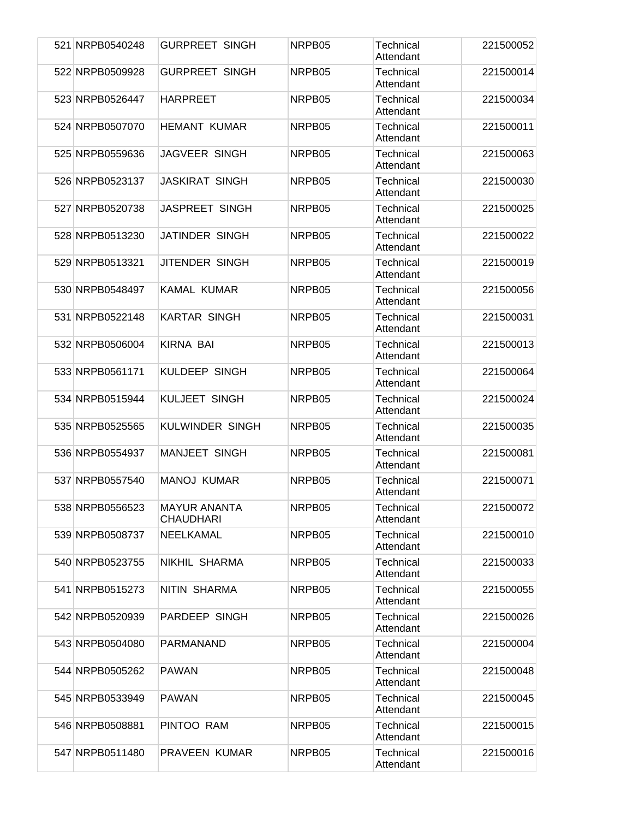| 521 NRPB0540248 | <b>GURPREET SINGH</b>                   | NRPB05 | Technical<br>Attendant        | 221500052 |
|-----------------|-----------------------------------------|--------|-------------------------------|-----------|
| 522 NRPB0509928 | <b>GURPREET SINGH</b>                   | NRPB05 | <b>Technical</b><br>Attendant | 221500014 |
| 523 NRPB0526447 | <b>HARPREET</b>                         | NRPB05 | Technical<br>Attendant        | 221500034 |
| 524 NRPB0507070 | <b>HEMANT KUMAR</b>                     | NRPB05 | Technical<br>Attendant        | 221500011 |
| 525 NRPB0559636 | JAGVEER SINGH                           | NRPB05 | Technical<br>Attendant        | 221500063 |
| 526 NRPB0523137 | <b>JASKIRAT SINGH</b>                   | NRPB05 | Technical<br>Attendant        | 221500030 |
| 527 NRPB0520738 | JASPREET SINGH                          | NRPB05 | <b>Technical</b><br>Attendant | 221500025 |
| 528 NRPB0513230 | JATINDER SINGH                          | NRPB05 | Technical<br>Attendant        | 221500022 |
| 529 NRPB0513321 | <b>JITENDER SINGH</b>                   | NRPB05 | Technical<br>Attendant        | 221500019 |
| 530 NRPB0548497 | <b>KAMAL KUMAR</b>                      | NRPB05 | Technical<br>Attendant        | 221500056 |
| 531 NRPB0522148 | <b>KARTAR SINGH</b>                     | NRPB05 | Technical<br>Attendant        | 221500031 |
| 532 NRPB0506004 | <b>KIRNA BAI</b>                        | NRPB05 | Technical<br>Attendant        | 221500013 |
| 533 NRPB0561171 | <b>KULDEEP SINGH</b>                    | NRPB05 | Technical<br>Attendant        | 221500064 |
| 534 NRPB0515944 | <b>KULJEET SINGH</b>                    | NRPB05 | Technical<br>Attendant        | 221500024 |
| 535 NRPB0525565 | <b>KULWINDER SINGH</b>                  | NRPB05 | <b>Technical</b><br>Attendant | 221500035 |
| 536 NRPB0554937 | <b>MANJEET SINGH</b>                    | NRPB05 | Technical<br>Attendant        | 221500081 |
| 537 NRPB0557540 | <b>MANOJ KUMAR</b>                      | NRPB05 | Technical<br>Attendant        | 221500071 |
| 538 NRPB0556523 | <b>MAYUR ANANTA</b><br><b>CHAUDHARI</b> | NRPB05 | <b>Technical</b><br>Attendant | 221500072 |
| 539 NRPB0508737 | NEELKAMAL                               | NRPB05 | Technical<br>Attendant        | 221500010 |
| 540 NRPB0523755 | NIKHIL SHARMA                           | NRPB05 | Technical<br>Attendant        | 221500033 |
| 541 NRPB0515273 | NITIN SHARMA                            | NRPB05 | Technical<br>Attendant        | 221500055 |
| 542 NRPB0520939 | PARDEEP SINGH                           | NRPB05 | Technical<br>Attendant        | 221500026 |
| 543 NRPB0504080 | PARMANAND                               | NRPB05 | Technical<br>Attendant        | 221500004 |
| 544 NRPB0505262 | <b>PAWAN</b>                            | NRPB05 | Technical<br>Attendant        | 221500048 |
| 545 NRPB0533949 | <b>PAWAN</b>                            | NRPB05 | Technical<br>Attendant        | 221500045 |
| 546 NRPB0508881 | PINTOO RAM                              | NRPB05 | Technical<br>Attendant        | 221500015 |
| 547 NRPB0511480 | PRAVEEN KUMAR                           | NRPB05 | Technical<br>Attendant        | 221500016 |
|                 |                                         |        |                               |           |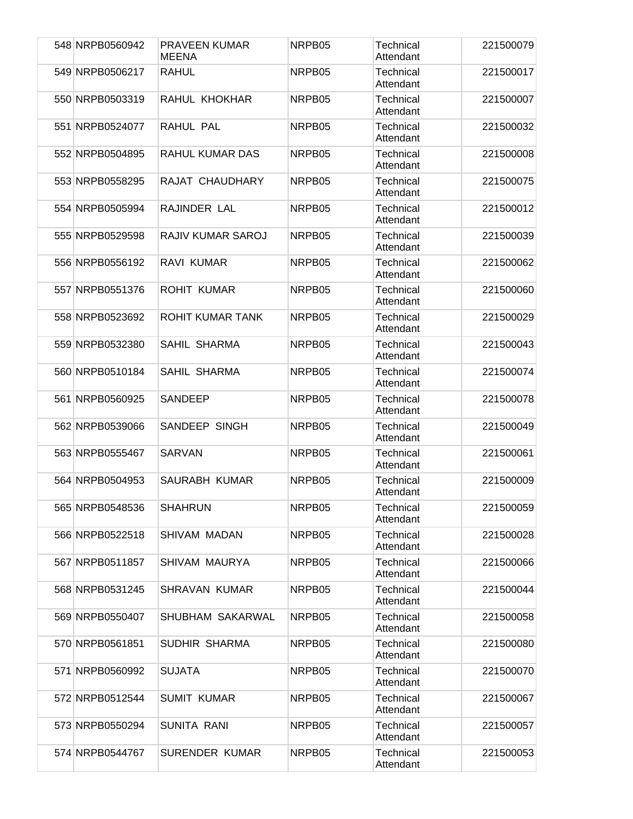| 548 NRPB0560942 | <b>PRAVEEN KUMAR</b><br><b>MEENA</b> | NRPB <sub>05</sub> | Technical<br>Attendant        | 221500079 |
|-----------------|--------------------------------------|--------------------|-------------------------------|-----------|
| 549 NRPB0506217 | <b>RAHUL</b>                         | NRPB05             | <b>Technical</b><br>Attendant | 221500017 |
| 550 NRPB0503319 | RAHUL KHOKHAR                        | NRPB05             | Technical<br>Attendant        | 221500007 |
| 551 NRPB0524077 | RAHUL PAL                            | NRPB05             | Technical<br>Attendant        | 221500032 |
| 552 NRPB0504895 | <b>RAHUL KUMAR DAS</b>               | NRPB05             | Technical<br>Attendant        | 221500008 |
| 553 NRPB0558295 | RAJAT CHAUDHARY                      | NRPB05             | <b>Technical</b><br>Attendant | 221500075 |
| 554 NRPB0505994 | RAJINDER LAL                         | NRPB05             | <b>Technical</b><br>Attendant | 221500012 |
| 555 NRPB0529598 | RAJIV KUMAR SAROJ                    | NRPB05             | Technical<br>Attendant        | 221500039 |
| 556 NRPB0556192 | RAVI KUMAR                           | NRPB05             | <b>Technical</b><br>Attendant | 221500062 |
| 557 NRPB0551376 | <b>ROHIT KUMAR</b>                   | NRPB05             | <b>Technical</b><br>Attendant | 221500060 |
| 558 NRPB0523692 | ROHIT KUMAR TANK                     | NRPB05             | Technical<br>Attendant        | 221500029 |
| 559 NRPB0532380 | SAHIL SHARMA                         | NRPB05             | <b>Technical</b><br>Attendant | 221500043 |
| 560 NRPB0510184 | SAHIL SHARMA                         | NRPB05             | Technical<br>Attendant        | 221500074 |
| 561 NRPB0560925 | SANDEEP                              | NRPB05             | Technical<br>Attendant        | 221500078 |
| 562 NRPB0539066 | SANDEEP SINGH                        | NRPB05             | <b>Technical</b><br>Attendant | 221500049 |
| 563 NRPB0555467 | <b>SARVAN</b>                        | NRPB05             | Technical<br>Attendant        | 221500061 |
| 564 NRPB0504953 | SAURABH KUMAR                        | NRPB05             | Technical<br>Attendant        | 221500009 |
| 565 NRPB0548536 | <b>SHAHRUN</b>                       | NRPB05             | Technical<br>Attendant        | 221500059 |
| 566 NRPB0522518 | SHIVAM MADAN                         | NRPB05             | Technical<br>Attendant        | 221500028 |
| 567 NRPB0511857 | SHIVAM MAURYA                        | NRPB05             | Technical<br>Attendant        | 221500066 |
| 568 NRPB0531245 | <b>SHRAVAN KUMAR</b>                 | NRPB05             | Technical<br>Attendant        | 221500044 |
| 569 NRPB0550407 | SHUBHAM SAKARWAL                     | NRPB05             | Technical<br>Attendant        | 221500058 |
| 570 NRPB0561851 | SUDHIR SHARMA                        | NRPB05             | Technical<br>Attendant        | 221500080 |
| 571 NRPB0560992 | <b>SUJATA</b>                        | NRPB05             | Technical<br>Attendant        | 221500070 |
| 572 NRPB0512544 | <b>SUMIT KUMAR</b>                   | NRPB05             | Technical<br>Attendant        | 221500067 |
| 573 NRPB0550294 | <b>SUNITA RANI</b>                   | NRPB05             | Technical<br>Attendant        | 221500057 |
| 574 NRPB0544767 | <b>SURENDER KUMAR</b>                | NRPB05             | Technical<br>Attendant        | 221500053 |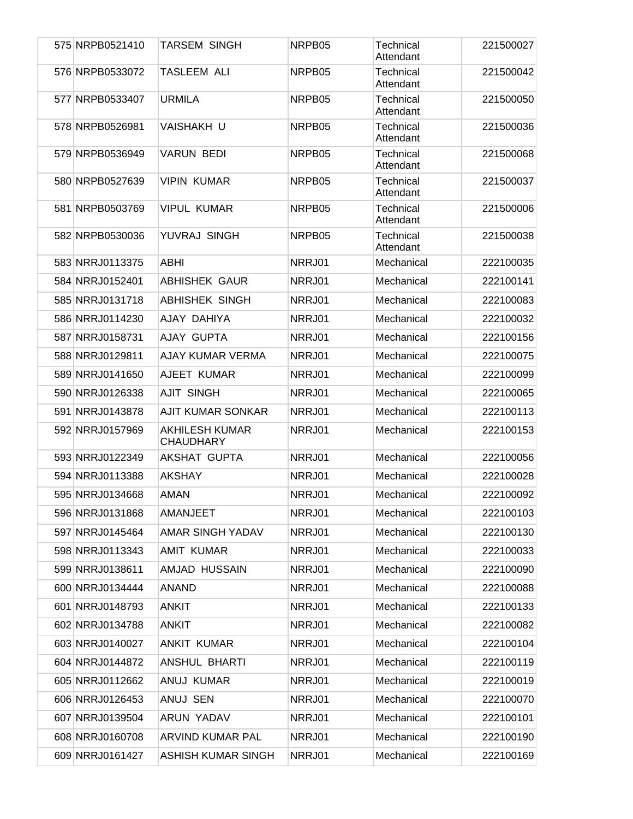| 575 NRPB0521410<br><b>TARSEM SINGH</b><br>NRPB05<br>Technical<br>Attendant<br>576 NRPB0533072<br><b>TASLEEM ALI</b><br>NRPB05<br>Technical<br>Attendant<br>577 NRPB0533407<br><b>URMILA</b><br>NRPB05<br>Technical<br>Attendant<br>Technical<br>578 NRPB0526981<br>VAISHAKH U<br>NRPB05<br>Attendant<br>579 NRPB0536949<br><b>VARUN BEDI</b><br>NRPB05<br>Technical<br>Attendant<br>580 NRPB0527639<br><b>VIPIN KUMAR</b><br>NRPB05<br>Technical<br>Attendant<br>581 NRPB0503769<br><b>VIPUL KUMAR</b><br>NRPB05<br>Technical<br>Attendant<br>YUVRAJ SINGH<br>582 NRPB0530036<br>NRPB05<br>Technical<br>Attendant<br>583 NRRJ0113375<br><b>ABHI</b><br>NRRJ01<br>Mechanical<br>584 NRRJ0152401<br><b>ABHISHEK GAUR</b><br>NRRJ01<br>Mechanical<br><b>ABHISHEK SINGH</b><br>585 NRRJ0131718<br>NRRJ01<br>Mechanical<br>586 NRRJ0114230<br>AJAY DAHIYA<br>NRRJ01<br>Mechanical | 221500027<br>221500042<br>221500050<br>221500036<br>221500068<br>221500037<br>221500006<br>221500038<br>222100035 |
|------------------------------------------------------------------------------------------------------------------------------------------------------------------------------------------------------------------------------------------------------------------------------------------------------------------------------------------------------------------------------------------------------------------------------------------------------------------------------------------------------------------------------------------------------------------------------------------------------------------------------------------------------------------------------------------------------------------------------------------------------------------------------------------------------------------------------------------------------------------------------|-------------------------------------------------------------------------------------------------------------------|
|                                                                                                                                                                                                                                                                                                                                                                                                                                                                                                                                                                                                                                                                                                                                                                                                                                                                              |                                                                                                                   |
|                                                                                                                                                                                                                                                                                                                                                                                                                                                                                                                                                                                                                                                                                                                                                                                                                                                                              |                                                                                                                   |
|                                                                                                                                                                                                                                                                                                                                                                                                                                                                                                                                                                                                                                                                                                                                                                                                                                                                              |                                                                                                                   |
|                                                                                                                                                                                                                                                                                                                                                                                                                                                                                                                                                                                                                                                                                                                                                                                                                                                                              |                                                                                                                   |
|                                                                                                                                                                                                                                                                                                                                                                                                                                                                                                                                                                                                                                                                                                                                                                                                                                                                              |                                                                                                                   |
|                                                                                                                                                                                                                                                                                                                                                                                                                                                                                                                                                                                                                                                                                                                                                                                                                                                                              |                                                                                                                   |
|                                                                                                                                                                                                                                                                                                                                                                                                                                                                                                                                                                                                                                                                                                                                                                                                                                                                              |                                                                                                                   |
|                                                                                                                                                                                                                                                                                                                                                                                                                                                                                                                                                                                                                                                                                                                                                                                                                                                                              |                                                                                                                   |
|                                                                                                                                                                                                                                                                                                                                                                                                                                                                                                                                                                                                                                                                                                                                                                                                                                                                              |                                                                                                                   |
|                                                                                                                                                                                                                                                                                                                                                                                                                                                                                                                                                                                                                                                                                                                                                                                                                                                                              | 222100141                                                                                                         |
|                                                                                                                                                                                                                                                                                                                                                                                                                                                                                                                                                                                                                                                                                                                                                                                                                                                                              | 222100083                                                                                                         |
|                                                                                                                                                                                                                                                                                                                                                                                                                                                                                                                                                                                                                                                                                                                                                                                                                                                                              | 222100032                                                                                                         |
| AJAY GUPTA<br>587 NRRJ0158731<br>NRRJ01<br>Mechanical                                                                                                                                                                                                                                                                                                                                                                                                                                                                                                                                                                                                                                                                                                                                                                                                                        | 222100156                                                                                                         |
| 588 NRRJ0129811<br>AJAY KUMAR VERMA<br>NRRJ01<br>Mechanical                                                                                                                                                                                                                                                                                                                                                                                                                                                                                                                                                                                                                                                                                                                                                                                                                  | 222100075                                                                                                         |
| AJEET KUMAR<br>589 NRRJ0141650<br>NRRJ01<br>Mechanical                                                                                                                                                                                                                                                                                                                                                                                                                                                                                                                                                                                                                                                                                                                                                                                                                       | 222100099                                                                                                         |
| <b>AJIT SINGH</b><br>590 NRRJ0126338<br>NRRJ01<br>Mechanical                                                                                                                                                                                                                                                                                                                                                                                                                                                                                                                                                                                                                                                                                                                                                                                                                 | 222100065                                                                                                         |
| 591 NRRJ0143878<br><b>AJIT KUMAR SONKAR</b><br>NRRJ01<br>Mechanical                                                                                                                                                                                                                                                                                                                                                                                                                                                                                                                                                                                                                                                                                                                                                                                                          | 222100113                                                                                                         |
| 592 NRRJ0157969<br><b>AKHILESH KUMAR</b><br>NRRJ01<br>Mechanical<br><b>CHAUDHARY</b>                                                                                                                                                                                                                                                                                                                                                                                                                                                                                                                                                                                                                                                                                                                                                                                         | 222100153                                                                                                         |
| AKSHAT GUPTA<br>593 NRRJ0122349<br>NRRJ01<br>Mechanical                                                                                                                                                                                                                                                                                                                                                                                                                                                                                                                                                                                                                                                                                                                                                                                                                      | 222100056                                                                                                         |
| 594 NRRJ0113388<br><b>AKSHAY</b><br>NRRJ01<br>Mechanical                                                                                                                                                                                                                                                                                                                                                                                                                                                                                                                                                                                                                                                                                                                                                                                                                     | 222100028                                                                                                         |
| 595 NRRJ0134668<br><b>AMAN</b><br>NRRJ01<br>Mechanical                                                                                                                                                                                                                                                                                                                                                                                                                                                                                                                                                                                                                                                                                                                                                                                                                       | 222100092                                                                                                         |
| 596 NRRJ0131868<br>AMANJEET<br>NRRJ01<br>Mechanical                                                                                                                                                                                                                                                                                                                                                                                                                                                                                                                                                                                                                                                                                                                                                                                                                          | 222100103                                                                                                         |
| AMAR SINGH YADAV<br>597 NRRJ0145464<br>NRRJ01<br>Mechanical                                                                                                                                                                                                                                                                                                                                                                                                                                                                                                                                                                                                                                                                                                                                                                                                                  | 222100130                                                                                                         |
| 598 NRRJ0113343<br><b>AMIT KUMAR</b><br>Mechanical<br>NRRJ01                                                                                                                                                                                                                                                                                                                                                                                                                                                                                                                                                                                                                                                                                                                                                                                                                 | 222100033                                                                                                         |
| 599 NRRJ0138611<br>AMJAD HUSSAIN<br>Mechanical<br>NRRJ01                                                                                                                                                                                                                                                                                                                                                                                                                                                                                                                                                                                                                                                                                                                                                                                                                     | 222100090                                                                                                         |
| 600 NRRJ0134444<br><b>ANAND</b><br>Mechanical<br>NRRJ01                                                                                                                                                                                                                                                                                                                                                                                                                                                                                                                                                                                                                                                                                                                                                                                                                      | 222100088                                                                                                         |
| 601 NRRJ0148793<br><b>ANKIT</b><br>NRRJ01<br>Mechanical                                                                                                                                                                                                                                                                                                                                                                                                                                                                                                                                                                                                                                                                                                                                                                                                                      | 222100133                                                                                                         |
| 602 NRRJ0134788<br><b>ANKIT</b><br>Mechanical<br>NRRJ01                                                                                                                                                                                                                                                                                                                                                                                                                                                                                                                                                                                                                                                                                                                                                                                                                      | 222100082                                                                                                         |
| 603 NRRJ0140027<br>ANKIT KUMAR<br>Mechanical<br>NRRJ01                                                                                                                                                                                                                                                                                                                                                                                                                                                                                                                                                                                                                                                                                                                                                                                                                       | 222100104                                                                                                         |
| ANSHUL BHARTI<br>Mechanical<br>604 NRRJ0144872<br>NRRJ01                                                                                                                                                                                                                                                                                                                                                                                                                                                                                                                                                                                                                                                                                                                                                                                                                     | 222100119                                                                                                         |
| 605 NRRJ0112662<br>ANUJ KUMAR<br>Mechanical<br>NRRJ01                                                                                                                                                                                                                                                                                                                                                                                                                                                                                                                                                                                                                                                                                                                                                                                                                        | 222100019                                                                                                         |
| 606 NRRJ0126453<br>ANUJ SEN<br>Mechanical<br>NRRJ01                                                                                                                                                                                                                                                                                                                                                                                                                                                                                                                                                                                                                                                                                                                                                                                                                          | 222100070                                                                                                         |
| 607 NRRJ0139504<br>ARUN YADAV<br>NRRJ01<br>Mechanical                                                                                                                                                                                                                                                                                                                                                                                                                                                                                                                                                                                                                                                                                                                                                                                                                        | 222100101                                                                                                         |
| ARVIND KUMAR PAL<br>608 NRRJ0160708<br>NRRJ01<br>Mechanical                                                                                                                                                                                                                                                                                                                                                                                                                                                                                                                                                                                                                                                                                                                                                                                                                  | 222100190                                                                                                         |
| 609 NRRJ0161427<br><b>ASHISH KUMAR SINGH</b><br>NRRJ01<br>Mechanical                                                                                                                                                                                                                                                                                                                                                                                                                                                                                                                                                                                                                                                                                                                                                                                                         | 222100169                                                                                                         |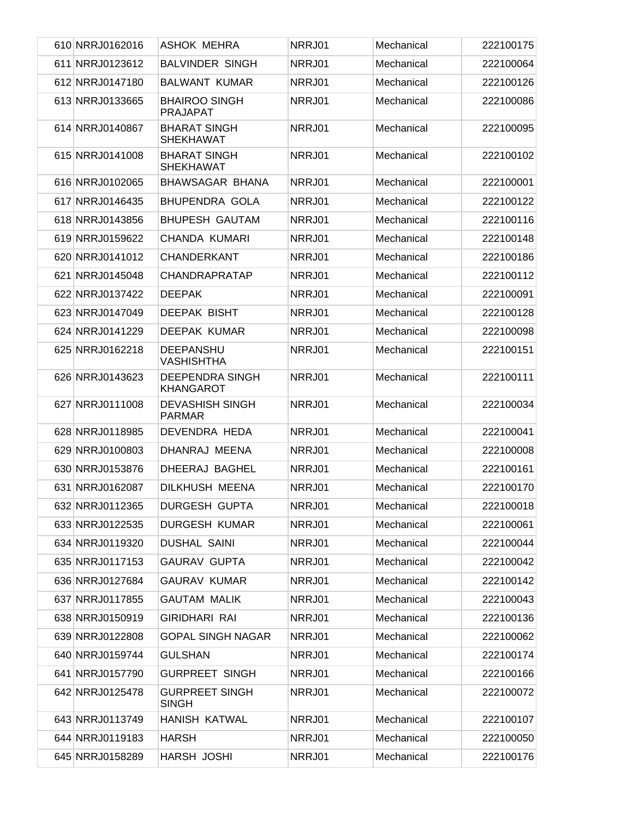| 610 NRRJ0162016 | ASHOK MEHRA                                | NRRJ01 | Mechanical | 222100175 |
|-----------------|--------------------------------------------|--------|------------|-----------|
| 611 NRRJ0123612 | <b>BALVINDER SINGH</b>                     | NRRJ01 | Mechanical | 222100064 |
| 612 NRRJ0147180 | <b>BALWANT KUMAR</b>                       | NRRJ01 | Mechanical | 222100126 |
| 613 NRRJ0133665 | <b>BHAIROO SINGH</b><br><b>PRAJAPAT</b>    | NRRJ01 | Mechanical | 222100086 |
| 614 NRRJ0140867 | <b>BHARAT SINGH</b><br><b>SHEKHAWAT</b>    | NRRJ01 | Mechanical | 222100095 |
| 615 NRRJ0141008 | <b>BHARAT SINGH</b><br><b>SHEKHAWAT</b>    | NRRJ01 | Mechanical | 222100102 |
| 616 NRRJ0102065 | <b>BHAWSAGAR BHANA</b>                     | NRRJ01 | Mechanical | 222100001 |
| 617 NRRJ0146435 | <b>BHUPENDRA GOLA</b>                      | NRRJ01 | Mechanical | 222100122 |
| 618 NRRJ0143856 | <b>BHUPESH GAUTAM</b>                      | NRRJ01 | Mechanical | 222100116 |
| 619 NRRJ0159622 | CHANDA KUMARI                              | NRRJ01 | Mechanical | 222100148 |
| 620 NRRJ0141012 | CHANDERKANT                                | NRRJ01 | Mechanical | 222100186 |
| 621 NRRJ0145048 | <b>CHANDRAPRATAP</b>                       | NRRJ01 | Mechanical | 222100112 |
| 622 NRRJ0137422 | <b>DEEPAK</b>                              | NRRJ01 | Mechanical | 222100091 |
| 623 NRRJ0147049 | <b>DEEPAK BISHT</b>                        | NRRJ01 | Mechanical | 222100128 |
| 624 NRRJ0141229 | DEEPAK KUMAR                               | NRRJ01 | Mechanical | 222100098 |
| 625 NRRJ0162218 | <b>DEEPANSHU</b><br><b>VASHISHTHA</b>      | NRRJ01 | Mechanical | 222100151 |
| 626 NRRJ0143623 | <b>DEEPENDRA SINGH</b><br><b>KHANGAROT</b> | NRRJ01 | Mechanical | 222100111 |
| 627 NRRJ0111008 | <b>DEVASHISH SINGH</b><br><b>PARMAR</b>    | NRRJ01 | Mechanical | 222100034 |
| 628 NRRJ0118985 | DEVENDRA HEDA                              | NRRJ01 | Mechanical | 222100041 |
| 629 NRRJ0100803 | DHANRAJ MEENA                              | NRRJ01 | Mechanical | 222100008 |
| 630 NRRJ0153876 | DHEERAJ BAGHEL                             | NRRJ01 | Mechanical | 222100161 |
| 631 NRRJ0162087 | DILKHUSH MEENA                             | NRRJ01 | Mechanical | 222100170 |
| 632 NRRJ0112365 | <b>DURGESH GUPTA</b>                       | NRRJ01 | Mechanical | 222100018 |
| 633 NRRJ0122535 | <b>DURGESH KUMAR</b>                       | NRRJ01 | Mechanical | 222100061 |
| 634 NRRJ0119320 | <b>DUSHAL SAINI</b>                        | NRRJ01 | Mechanical | 222100044 |
| 635 NRRJ0117153 | <b>GAURAV GUPTA</b>                        | NRRJ01 | Mechanical | 222100042 |
| 636 NRRJ0127684 | <b>GAURAV KUMAR</b>                        | NRRJ01 | Mechanical | 222100142 |
| 637 NRRJ0117855 | <b>GAUTAM MALIK</b>                        | NRRJ01 | Mechanical | 222100043 |
| 638 NRRJ0150919 | <b>GIRIDHARI RAI</b>                       | NRRJ01 | Mechanical | 222100136 |
| 639 NRRJ0122808 | <b>GOPAL SINGH NAGAR</b>                   | NRRJ01 | Mechanical | 222100062 |
| 640 NRRJ0159744 | <b>GULSHAN</b>                             | NRRJ01 | Mechanical | 222100174 |
| 641 NRRJ0157790 | <b>GURPREET SINGH</b>                      | NRRJ01 | Mechanical | 222100166 |
| 642 NRRJ0125478 | <b>GURPREET SINGH</b><br><b>SINGH</b>      | NRRJ01 | Mechanical | 222100072 |
| 643 NRRJ0113749 | <b>HANISH KATWAL</b>                       | NRRJ01 | Mechanical | 222100107 |
| 644 NRRJ0119183 | <b>HARSH</b>                               | NRRJ01 | Mechanical | 222100050 |
| 645 NRRJ0158289 | HARSH JOSHI                                | NRRJ01 | Mechanical | 222100176 |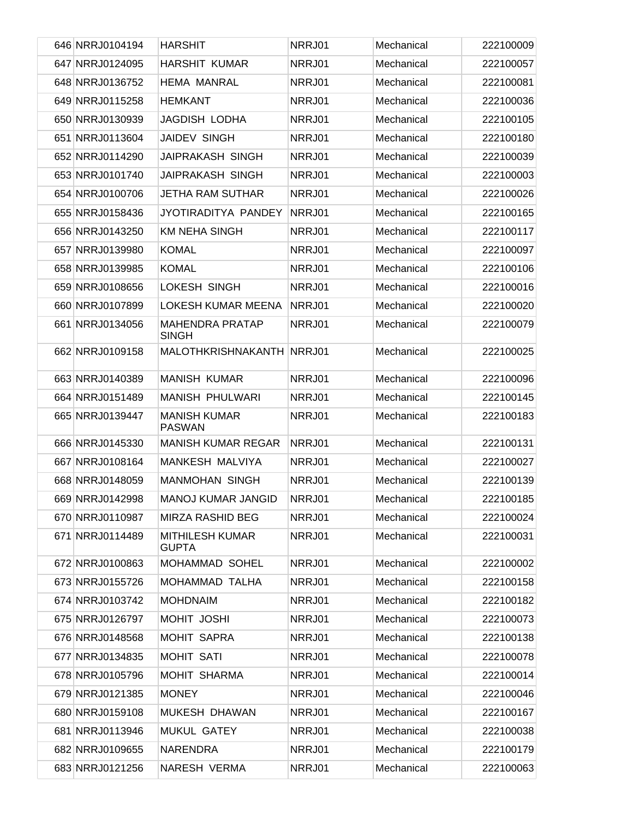|  | 646 NRRJ0104194 | <b>HARSHIT</b>                         | NRRJ01 | Mechanical | 222100009 |
|--|-----------------|----------------------------------------|--------|------------|-----------|
|  | 647 NRRJ0124095 | <b>HARSHIT KUMAR</b>                   | NRRJ01 | Mechanical | 222100057 |
|  | 648 NRRJ0136752 | <b>HEMA MANRAL</b>                     | NRRJ01 | Mechanical | 222100081 |
|  | 649 NRRJ0115258 | <b>HEMKANT</b>                         | NRRJ01 | Mechanical | 222100036 |
|  | 650 NRRJ0130939 | <b>JAGDISH LODHA</b>                   | NRRJ01 | Mechanical | 222100105 |
|  | 651 NRRJ0113604 | <b>JAIDEV SINGH</b>                    | NRRJ01 | Mechanical | 222100180 |
|  | 652 NRRJ0114290 | <b>JAIPRAKASH SINGH</b>                | NRRJ01 | Mechanical | 222100039 |
|  | 653 NRRJ0101740 | <b>JAIPRAKASH SINGH</b>                | NRRJ01 | Mechanical | 222100003 |
|  | 654 NRRJ0100706 | <b>JETHA RAM SUTHAR</b>                | NRRJ01 | Mechanical | 222100026 |
|  | 655 NRRJ0158436 | JYOTIRADITYA PANDEY                    | NRRJ01 | Mechanical | 222100165 |
|  | 656 NRRJ0143250 | <b>KM NEHA SINGH</b>                   | NRRJ01 | Mechanical | 222100117 |
|  | 657 NRRJ0139980 | <b>KOMAL</b>                           | NRRJ01 | Mechanical | 222100097 |
|  | 658 NRRJ0139985 | <b>KOMAL</b>                           | NRRJ01 | Mechanical | 222100106 |
|  | 659 NRRJ0108656 | LOKESH SINGH                           | NRRJ01 | Mechanical | 222100016 |
|  | 660 NRRJ0107899 | <b>LOKESH KUMAR MEENA</b>              | NRRJ01 | Mechanical | 222100020 |
|  | 661 NRRJ0134056 | <b>MAHENDRA PRATAP</b><br><b>SINGH</b> | NRRJ01 | Mechanical | 222100079 |
|  | 662 NRRJ0109158 | MALOTHKRISHNAKANTH NRRJ01              |        | Mechanical | 222100025 |
|  | 663 NRRJ0140389 | <b>MANISH KUMAR</b>                    | NRRJ01 | Mechanical | 222100096 |
|  | 664 NRRJ0151489 | <b>MANISH PHULWARI</b>                 | NRRJ01 | Mechanical | 222100145 |
|  | 665 NRRJ0139447 | <b>MANISH KUMAR</b><br><b>PASWAN</b>   | NRRJ01 | Mechanical | 222100183 |
|  | 666 NRRJ0145330 | <b>MANISH KUMAR REGAR</b>              | NRRJ01 | Mechanical | 222100131 |
|  | 667 NRRJ0108164 | MANKESH MALVIYA                        | NRRJ01 | Mechanical | 222100027 |
|  | 668 NRRJ0148059 | <b>MANMOHAN SINGH</b>                  | NRRJ01 | Mechanical | 222100139 |
|  | 669 NRRJ0142998 | <b>MANOJ KUMAR JANGID</b>              | NRRJ01 | Mechanical | 222100185 |
|  | 670 NRRJ0110987 | MIRZA RASHID BEG                       | NRRJ01 | Mechanical | 222100024 |
|  | 671 NRRJ0114489 | <b>MITHILESH KUMAR</b><br><b>GUPTA</b> | NRRJ01 | Mechanical | 222100031 |
|  | 672 NRRJ0100863 | MOHAMMAD SOHEL                         | NRRJ01 | Mechanical | 222100002 |
|  | 673 NRRJ0155726 | MOHAMMAD TALHA                         | NRRJ01 | Mechanical | 222100158 |
|  | 674 NRRJ0103742 | <b>MOHDNAIM</b>                        | NRRJ01 | Mechanical | 222100182 |
|  | 675 NRRJ0126797 | MOHIT JOSHI                            | NRRJ01 | Mechanical | 222100073 |
|  | 676 NRRJ0148568 | <b>MOHIT SAPRA</b>                     | NRRJ01 | Mechanical | 222100138 |
|  | 677 NRRJ0134835 | MOHIT SATI                             | NRRJ01 | Mechanical | 222100078 |
|  | 678 NRRJ0105796 | MOHIT SHARMA                           | NRRJ01 | Mechanical | 222100014 |
|  | 679 NRRJ0121385 | <b>MONEY</b>                           | NRRJ01 | Mechanical | 222100046 |
|  | 680 NRRJ0159108 | MUKESH DHAWAN                          | NRRJ01 | Mechanical | 222100167 |
|  | 681 NRRJ0113946 | MUKUL GATEY                            | NRRJ01 | Mechanical | 222100038 |
|  | 682 NRRJ0109655 | NARENDRA                               | NRRJ01 | Mechanical | 222100179 |
|  | 683 NRRJ0121256 | NARESH VERMA                           | NRRJ01 | Mechanical | 222100063 |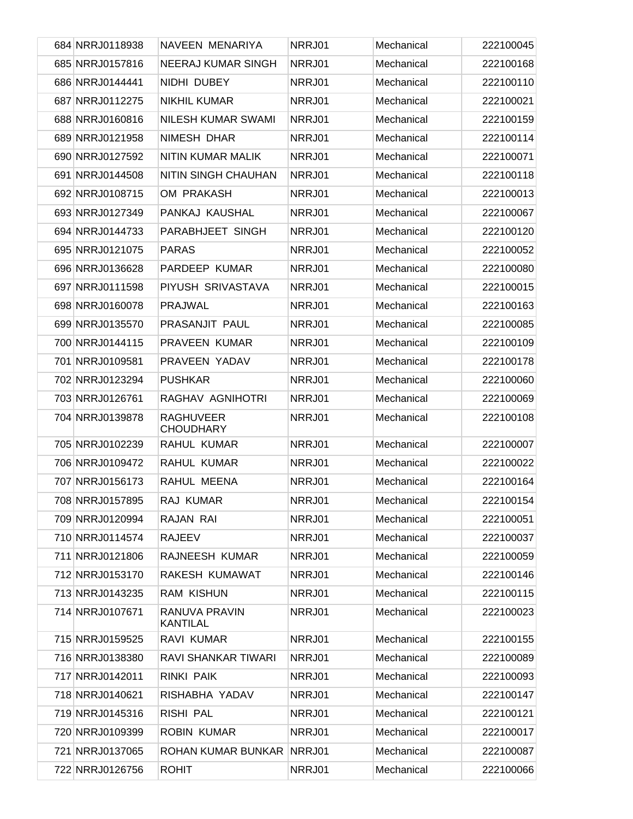| 684 NRRJ0118938 | NAVEEN MENARIYA                      | NRRJ01 | Mechanical | 222100045 |
|-----------------|--------------------------------------|--------|------------|-----------|
| 685 NRRJ0157816 | <b>NEERAJ KUMAR SINGH</b>            | NRRJ01 | Mechanical | 222100168 |
| 686 NRRJ0144441 | NIDHI DUBEY                          | NRRJ01 | Mechanical | 222100110 |
| 687 NRRJ0112275 | <b>NIKHIL KUMAR</b>                  | NRRJ01 | Mechanical | 222100021 |
| 688 NRRJ0160816 | <b>NILESH KUMAR SWAMI</b>            | NRRJ01 | Mechanical | 222100159 |
| 689 NRRJ0121958 | NIMESH DHAR                          | NRRJ01 | Mechanical | 222100114 |
| 690 NRRJ0127592 | NITIN KUMAR MALIK                    | NRRJ01 | Mechanical | 222100071 |
| 691 NRRJ0144508 | NITIN SINGH CHAUHAN                  | NRRJ01 | Mechanical | 222100118 |
| 692 NRRJ0108715 | OM PRAKASH                           | NRRJ01 | Mechanical | 222100013 |
| 693 NRRJ0127349 | PANKAJ KAUSHAL                       | NRRJ01 | Mechanical | 222100067 |
| 694 NRRJ0144733 | PARABHJEET SINGH                     | NRRJ01 | Mechanical | 222100120 |
| 695 NRRJ0121075 | <b>PARAS</b>                         | NRRJ01 | Mechanical | 222100052 |
| 696 NRRJ0136628 | PARDEEP KUMAR                        | NRRJ01 | Mechanical | 222100080 |
| 697 NRRJ0111598 | PIYUSH SRIVASTAVA                    | NRRJ01 | Mechanical | 222100015 |
| 698 NRRJ0160078 | <b>PRAJWAL</b>                       | NRRJ01 | Mechanical | 222100163 |
| 699 NRRJ0135570 | PRASANJIT PAUL                       | NRRJ01 | Mechanical | 222100085 |
| 700 NRRJ0144115 | <b>PRAVEEN KUMAR</b>                 | NRRJ01 | Mechanical | 222100109 |
| 701 NRRJ0109581 | PRAVEEN YADAV                        | NRRJ01 | Mechanical | 222100178 |
| 702 NRRJ0123294 | <b>PUSHKAR</b>                       | NRRJ01 | Mechanical | 222100060 |
| 703 NRRJ0126761 | RAGHAV AGNIHOTRI                     | NRRJ01 | Mechanical | 222100069 |
| 704 NRRJ0139878 | <b>RAGHUVEER</b><br><b>CHOUDHARY</b> | NRRJ01 | Mechanical | 222100108 |
| 705 NRRJ0102239 | RAHUL KUMAR                          | NRRJ01 | Mechanical | 222100007 |
| 706 NRRJ0109472 | RAHUL KUMAR                          | NRRJ01 | Mechanical | 222100022 |
| 707 NRRJ0156173 | RAHUL MEENA                          | NRRJ01 | Mechanical | 222100164 |
| 708 NRRJ0157895 | RAJ KUMAR                            | NRRJ01 | Mechanical | 222100154 |
| 709 NRRJ0120994 | RAJAN RAI                            | NRRJ01 | Mechanical | 222100051 |
| 710 NRRJ0114574 | <b>RAJEEV</b>                        | NRRJ01 | Mechanical | 222100037 |
| 711 NRRJ0121806 | RAJNEESH KUMAR                       | NRRJ01 | Mechanical | 222100059 |
| 712 NRRJ0153170 | RAKESH KUMAWAT                       | NRRJ01 | Mechanical | 222100146 |
| 713 NRRJ0143235 | <b>RAM KISHUN</b>                    | NRRJ01 | Mechanical | 222100115 |
| 714 NRRJ0107671 | RANUVA PRAVIN<br><b>KANTILAL</b>     | NRRJ01 | Mechanical | 222100023 |
| 715 NRRJ0159525 | RAVI KUMAR                           | NRRJ01 | Mechanical | 222100155 |
| 716 NRRJ0138380 | RAVI SHANKAR TIWARI                  | NRRJ01 | Mechanical | 222100089 |
| 717 NRRJ0142011 | <b>RINKI PAIK</b>                    | NRRJ01 | Mechanical | 222100093 |
| 718 NRRJ0140621 | RISHABHA YADAV                       | NRRJ01 | Mechanical | 222100147 |
| 719 NRRJ0145316 | RISHI PAL                            | NRRJ01 | Mechanical | 222100121 |
| 720 NRRJ0109399 | <b>ROBIN KUMAR</b>                   | NRRJ01 | Mechanical | 222100017 |
| 721 NRRJ0137065 | ROHAN KUMAR BUNKAR NRRJ01            |        | Mechanical | 222100087 |
| 722 NRRJ0126756 | <b>ROHIT</b>                         | NRRJ01 | Mechanical | 222100066 |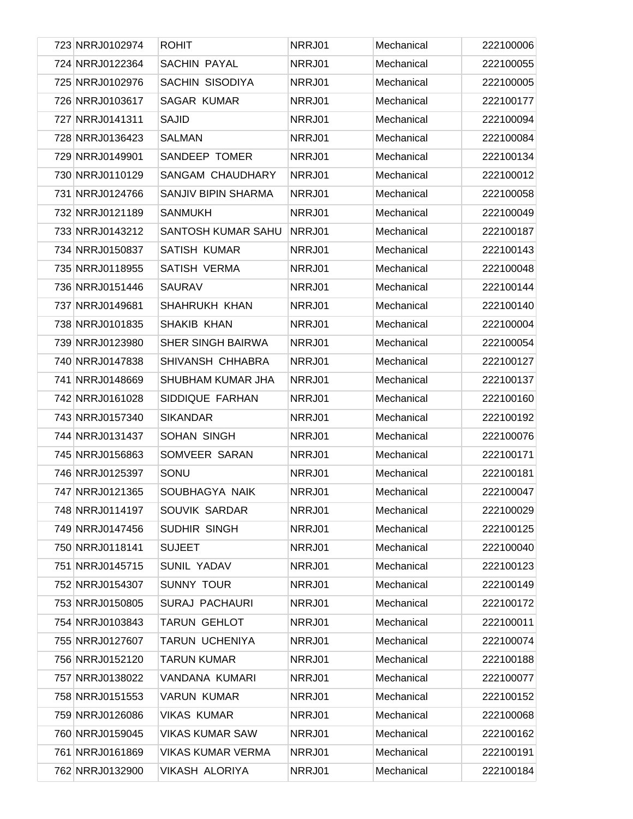|  | 723 NRRJ0102974 | <b>ROHIT</b>             | NRRJ01 | Mechanical | 222100006 |
|--|-----------------|--------------------------|--------|------------|-----------|
|  | 724 NRRJ0122364 | <b>SACHIN PAYAL</b>      | NRRJ01 | Mechanical | 222100055 |
|  | 725 NRRJ0102976 | SACHIN SISODIYA          | NRRJ01 | Mechanical | 222100005 |
|  | 726 NRRJ0103617 | <b>SAGAR KUMAR</b>       | NRRJ01 | Mechanical | 222100177 |
|  | 727 NRRJ0141311 | <b>SAJID</b>             | NRRJ01 | Mechanical | 222100094 |
|  | 728 NRRJ0136423 | <b>SALMAN</b>            | NRRJ01 | Mechanical | 222100084 |
|  | 729 NRRJ0149901 | SANDEEP TOMER            | NRRJ01 | Mechanical | 222100134 |
|  | 730 NRRJ0110129 | <b>SANGAM CHAUDHARY</b>  | NRRJ01 | Mechanical | 222100012 |
|  | 731 NRRJ0124766 | SANJIV BIPIN SHARMA      | NRRJ01 | Mechanical | 222100058 |
|  | 732 NRRJ0121189 | <b>SANMUKH</b>           | NRRJ01 | Mechanical | 222100049 |
|  | 733 NRRJ0143212 | SANTOSH KUMAR SAHU       | NRRJ01 | Mechanical | 222100187 |
|  | 734 NRRJ0150837 | <b>SATISH KUMAR</b>      | NRRJ01 | Mechanical | 222100143 |
|  | 735 NRRJ0118955 | SATISH VERMA             | NRRJ01 | Mechanical | 222100048 |
|  | 736 NRRJ0151446 | <b>SAURAV</b>            | NRRJ01 | Mechanical | 222100144 |
|  | 737 NRRJ0149681 | SHAHRUKH KHAN            | NRRJ01 | Mechanical | 222100140 |
|  | 738 NRRJ0101835 | SHAKIB KHAN              | NRRJ01 | Mechanical | 222100004 |
|  | 739 NRRJ0123980 | <b>SHER SINGH BAIRWA</b> | NRRJ01 | Mechanical | 222100054 |
|  | 740 NRRJ0147838 | SHIVANSH CHHABRA         | NRRJ01 | Mechanical | 222100127 |
|  | 741 NRRJ0148669 | SHUBHAM KUMAR JHA        | NRRJ01 | Mechanical | 222100137 |
|  | 742 NRRJ0161028 | SIDDIQUE FARHAN          | NRRJ01 | Mechanical | 222100160 |
|  | 743 NRRJ0157340 | <b>SIKANDAR</b>          | NRRJ01 | Mechanical | 222100192 |
|  | 744 NRRJ0131437 | SOHAN SINGH              | NRRJ01 | Mechanical | 222100076 |
|  | 745 NRRJ0156863 | SOMVEER SARAN            | NRRJ01 | Mechanical | 222100171 |
|  | 746 NRRJ0125397 | SONU                     | NRRJ01 | Mechanical | 222100181 |
|  | 747 NRRJ0121365 | SOUBHAGYA NAIK           | NRRJ01 | Mechanical | 222100047 |
|  | 748 NRRJ0114197 | SOUVIK SARDAR            | NRRJ01 | Mechanical | 222100029 |
|  | 749 NRRJ0147456 | SUDHIR SINGH             | NRRJ01 | Mechanical | 222100125 |
|  | 750 NRRJ0118141 | <b>SUJEET</b>            | NRRJ01 | Mechanical | 222100040 |
|  | 751 NRRJ0145715 | SUNIL YADAV              | NRRJ01 | Mechanical | 222100123 |
|  | 752 NRRJ0154307 | <b>SUNNY TOUR</b>        | NRRJ01 | Mechanical | 222100149 |
|  | 753 NRRJ0150805 | <b>SURAJ PACHAURI</b>    | NRRJ01 | Mechanical | 222100172 |
|  | 754 NRRJ0103843 | TARUN GEHLOT             | NRRJ01 | Mechanical | 222100011 |
|  | 755 NRRJ0127607 | TARUN UCHENIYA           | NRRJ01 | Mechanical | 222100074 |
|  | 756 NRRJ0152120 | <b>TARUN KUMAR</b>       | NRRJ01 | Mechanical | 222100188 |
|  | 757 NRRJ0138022 | VANDANA KUMARI           | NRRJ01 | Mechanical | 222100077 |
|  | 758 NRRJ0151553 | <b>VARUN KUMAR</b>       | NRRJ01 | Mechanical | 222100152 |
|  | 759 NRRJ0126086 | <b>VIKAS KUMAR</b>       | NRRJ01 | Mechanical | 222100068 |
|  | 760 NRRJ0159045 | <b>VIKAS KUMAR SAW</b>   | NRRJ01 | Mechanical | 222100162 |
|  | 761 NRRJ0161869 | <b>VIKAS KUMAR VERMA</b> | NRRJ01 | Mechanical | 222100191 |
|  | 762 NRRJ0132900 | VIKASH ALORIYA           | NRRJ01 | Mechanical | 222100184 |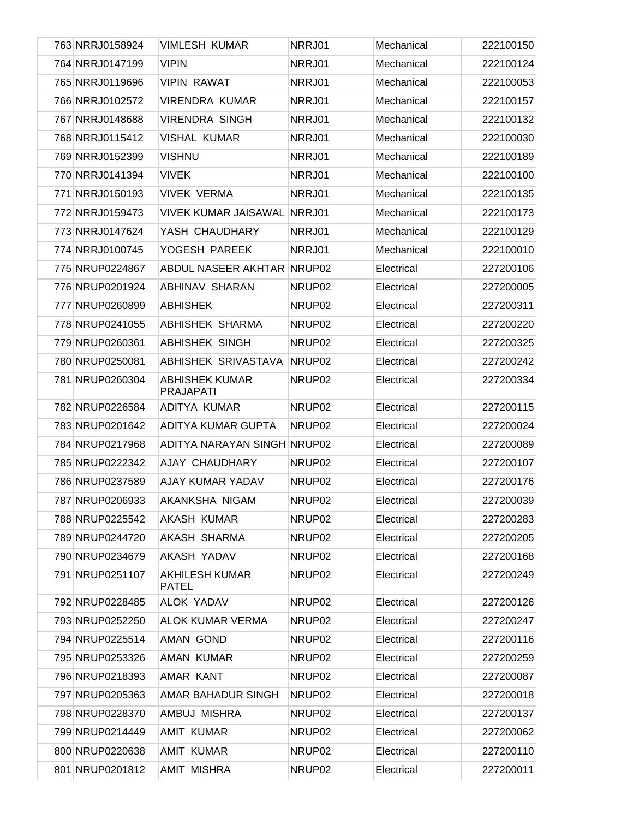| 763 NRRJ0158924 | <b>VIMLESH KUMAR</b>                      | NRRJ01             | Mechanical | 222100150 |
|-----------------|-------------------------------------------|--------------------|------------|-----------|
| 764 NRRJ0147199 | <b>VIPIN</b>                              | NRRJ01             | Mechanical | 222100124 |
| 765 NRRJ0119696 | <b>VIPIN RAWAT</b>                        | NRRJ01             | Mechanical | 222100053 |
| 766 NRRJ0102572 | <b>VIRENDRA KUMAR</b>                     | NRRJ01             | Mechanical | 222100157 |
| 767 NRRJ0148688 | <b>VIRENDRA SINGH</b>                     | NRRJ01             | Mechanical | 222100132 |
| 768 NRRJ0115412 | <b>VISHAL KUMAR</b>                       | NRRJ01             | Mechanical | 222100030 |
| 769 NRRJ0152399 | <b>VISHNU</b>                             | NRRJ01             | Mechanical | 222100189 |
| 770 NRRJ0141394 | <b>VIVEK</b>                              | NRRJ01             | Mechanical | 222100100 |
| 771 NRRJ0150193 | <b>VIVEK VERMA</b>                        | NRRJ01             | Mechanical | 222100135 |
| 772 NRRJ0159473 | <b>VIVEK KUMAR JAISAWAL NRRJ01</b>        |                    | Mechanical | 222100173 |
| 773 NRRJ0147624 | YASH CHAUDHARY                            | NRRJ01             | Mechanical | 222100129 |
| 774 NRRJ0100745 | YOGESH PAREEK                             | NRRJ01             | Mechanical | 222100010 |
| 775 NRUP0224867 | ABDUL NASEER AKHTAR NRUP02                |                    | Electrical | 227200106 |
| 776 NRUP0201924 | ABHINAV SHARAN                            | NRUP <sub>02</sub> | Electrical | 227200005 |
| 777 NRUP0260899 | <b>ABHISHEK</b>                           | NRUP <sub>02</sub> | Electrical | 227200311 |
| 778 NRUP0241055 | ABHISHEK SHARMA                           | NRUP <sub>02</sub> | Electrical | 227200220 |
| 779 NRUP0260361 | <b>ABHISHEK SINGH</b>                     | NRUP <sub>02</sub> | Electrical | 227200325 |
| 780 NRUP0250081 | ABHISHEK SRIVASTAVA                       | NRUP <sub>02</sub> | Electrical | 227200242 |
| 781 NRUP0260304 | <b>ABHISHEK KUMAR</b><br><b>PRAJAPATI</b> | NRUP02             | Electrical | 227200334 |
| 782 NRUP0226584 | ADITYA KUMAR                              | NRUP <sub>02</sub> | Electrical | 227200115 |
| 783 NRUP0201642 | ADITYA KUMAR GUPTA                        | NRUP02             | Electrical | 227200024 |
| 784 NRUP0217968 | ADITYA NARAYAN SINGH NRUP02               |                    | Electrical | 227200089 |
| 785 NRUP0222342 | AJAY CHAUDHARY                            | NRUP02             | Electrical | 227200107 |
| 786 NRUP0237589 | AJAY KUMAR YADAV                          | NRUP <sub>02</sub> | Electrical | 227200176 |
| 787 NRUP0206933 | AKANKSHA NIGAM                            | NRUP02             | Electrical | 227200039 |
| 788 NRUP0225542 | <b>AKASH KUMAR</b>                        | NRUP02             | Electrical | 227200283 |
| 789 NRUP0244720 | AKASH SHARMA                              | NRUP02             | Electrical | 227200205 |
| 790 NRUP0234679 | AKASH YADAV                               | NRUP02             | Electrical | 227200168 |
| 791 NRUP0251107 | <b>AKHILESH KUMAR</b><br><b>PATEL</b>     | NRUP02             | Electrical | 227200249 |
| 792 NRUP0228485 | ALOK YADAV                                | NRUP <sub>02</sub> | Electrical | 227200126 |
| 793 NRUP0252250 | <b>ALOK KUMAR VERMA</b>                   | NRUP <sub>02</sub> | Electrical | 227200247 |
| 794 NRUP0225514 | AMAN GOND                                 | NRUP <sub>02</sub> | Electrical | 227200116 |
| 795 NRUP0253326 | AMAN KUMAR                                | NRUP <sub>02</sub> | Electrical | 227200259 |
| 796 NRUP0218393 | AMAR KANT                                 | NRUP <sub>02</sub> | Electrical | 227200087 |
| 797 NRUP0205363 | AMAR BAHADUR SINGH                        | NRUP <sub>02</sub> | Electrical | 227200018 |
| 798 NRUP0228370 | AMBUJ MISHRA                              | NRUP <sub>02</sub> | Electrical | 227200137 |
| 799 NRUP0214449 | <b>AMIT KUMAR</b>                         | NRUP <sub>02</sub> | Electrical | 227200062 |
| 800 NRUP0220638 | <b>AMIT KUMAR</b>                         | NRUP <sub>02</sub> | Electrical | 227200110 |
| 801 NRUP0201812 | <b>AMIT MISHRA</b>                        | NRUP02             | Electrical | 227200011 |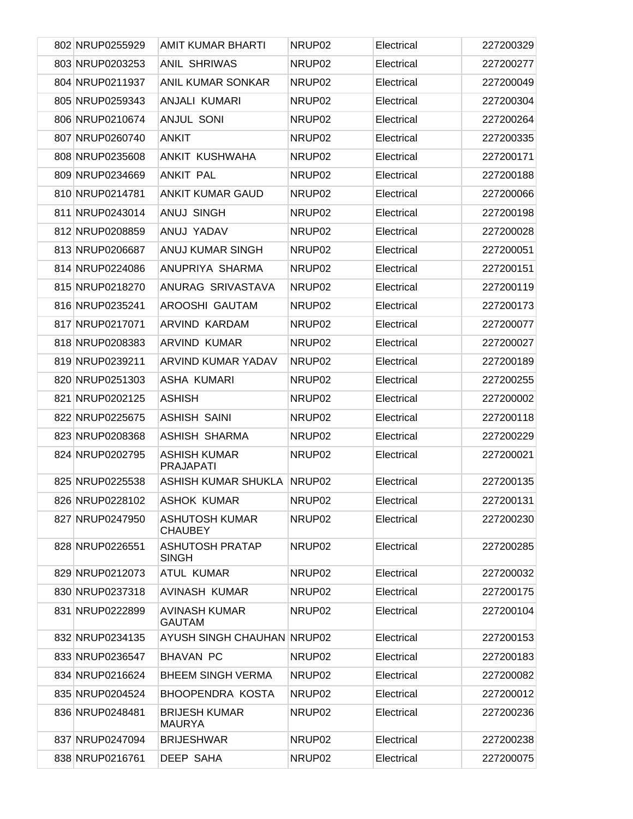| 802 NRUP0255929 | <b>AMIT KUMAR BHARTI</b>                | NRUP02             | Electrical | 227200329 |
|-----------------|-----------------------------------------|--------------------|------------|-----------|
| 803 NRUP0203253 | <b>ANIL SHRIWAS</b>                     | NRUP02             | Electrical | 227200277 |
| 804 NRUP0211937 | <b>ANIL KUMAR SONKAR</b>                | NRUP02             | Electrical | 227200049 |
| 805 NRUP0259343 | ANJALI KUMARI                           | NRUP02             | Electrical | 227200304 |
| 806 NRUP0210674 | <b>ANJUL SONI</b>                       | NRUP02             | Electrical | 227200264 |
| 807 NRUP0260740 | <b>ANKIT</b>                            | NRUP02             | Electrical | 227200335 |
| 808 NRUP0235608 | ANKIT KUSHWAHA                          | NRUP02             | Electrical | 227200171 |
| 809 NRUP0234669 | <b>ANKIT PAL</b>                        | NRUP02             | Electrical | 227200188 |
| 810 NRUP0214781 | <b>ANKIT KUMAR GAUD</b>                 | NRUP02             | Electrical | 227200066 |
| 811 NRUP0243014 | ANUJ SINGH                              | NRUP02             | Electrical | 227200198 |
| 812 NRUP0208859 | ANUJ YADAV                              | NRUP02             | Electrical | 227200028 |
| 813 NRUP0206687 | <b>ANUJ KUMAR SINGH</b>                 | NRUP02             | Electrical | 227200051 |
| 814 NRUP0224086 | ANUPRIYA SHARMA                         | NRUP02             | Electrical | 227200151 |
| 815 NRUP0218270 | ANURAG SRIVASTAVA                       | NRUP <sub>02</sub> | Electrical | 227200119 |
| 816 NRUP0235241 | AROOSHI GAUTAM                          | NRUP02             | Electrical | 227200173 |
| 817 NRUP0217071 | ARVIND KARDAM                           | NRUP02             | Electrical | 227200077 |
| 818 NRUP0208383 | <b>ARVIND KUMAR</b>                     | NRUP02             | Electrical | 227200027 |
| 819 NRUP0239211 | ARVIND KUMAR YADAV                      | NRUP <sub>02</sub> | Electrical | 227200189 |
| 820 NRUP0251303 | ASHA KUMARI                             | NRUP02             | Electrical | 227200255 |
| 821 NRUP0202125 | <b>ASHISH</b>                           | NRUP02             | Electrical | 227200002 |
| 822 NRUP0225675 | <b>ASHISH SAINI</b>                     | NRUP02             | Electrical | 227200118 |
| 823 NRUP0208368 | <b>ASHISH SHARMA</b>                    | NRUP02             | Electrical | 227200229 |
| 824 NRUP0202795 | <b>ASHISH KUMAR</b><br><b>PRAJAPATI</b> | NRUP02             | Electrical | 227200021 |
| 825 NRUP0225538 | ASHISH KUMAR SHUKLA                     | NRUP <sub>02</sub> | Electrical | 227200135 |
| 826 NRUP0228102 | <b>ASHOK KUMAR</b>                      | NRUP02             | Electrical | 227200131 |
| 827 NRUP0247950 | <b>ASHUTOSH KUMAR</b><br><b>CHAUBEY</b> | NRUP02             | Electrical | 227200230 |
| 828 NRUP0226551 | <b>ASHUTOSH PRATAP</b><br><b>SINGH</b>  | NRUP02             | Electrical | 227200285 |
| 829 NRUP0212073 | <b>ATUL KUMAR</b>                       | NRUP02             | Electrical | 227200032 |
| 830 NRUP0237318 | <b>AVINASH KUMAR</b>                    | NRUP02             | Electrical | 227200175 |
| 831 NRUP0222899 | <b>AVINASH KUMAR</b><br><b>GAUTAM</b>   | NRUP02             | Electrical | 227200104 |
| 832 NRUP0234135 | AYUSH SINGH CHAUHAN NRUP02              |                    | Electrical | 227200153 |
| 833 NRUP0236547 | <b>BHAVAN PC</b>                        | NRUP02             | Electrical | 227200183 |
| 834 NRUP0216624 | <b>BHEEM SINGH VERMA</b>                | NRUP02             | Electrical | 227200082 |
| 835 NRUP0204524 | <b>BHOOPENDRA KOSTA</b>                 | NRUP02             | Electrical | 227200012 |
| 836 NRUP0248481 | <b>BRIJESH KUMAR</b><br><b>MAURYA</b>   | NRUP02             | Electrical | 227200236 |
| 837 NRUP0247094 | <b>BRIJESHWAR</b>                       | NRUP02             | Electrical | 227200238 |
| 838 NRUP0216761 | <b>DEEP SAHA</b>                        | NRUP02             | Electrical | 227200075 |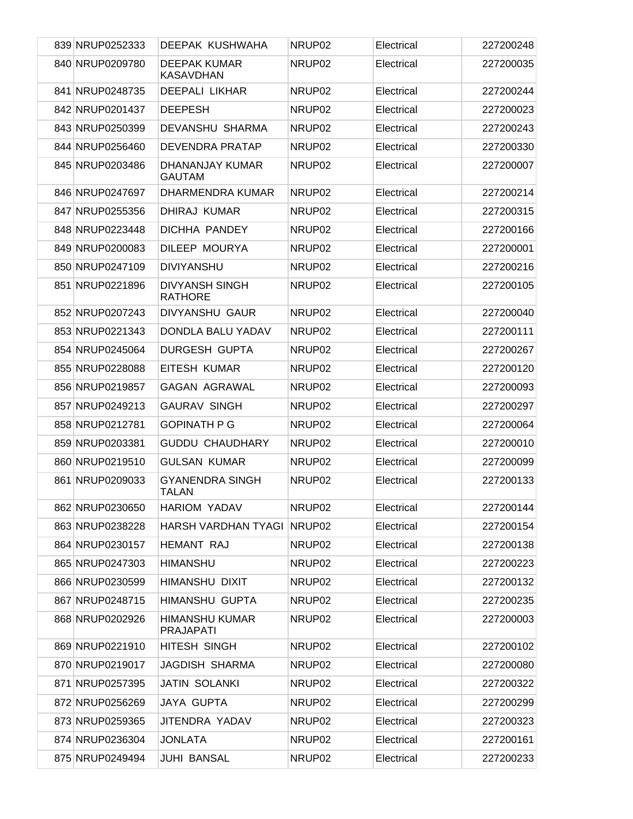| 839 NRUP0252333 | DEEPAK KUSHWAHA                           | NRUP02             | Electrical | 227200248 |
|-----------------|-------------------------------------------|--------------------|------------|-----------|
| 840 NRUP0209780 | <b>DEEPAK KUMAR</b><br><b>KASAVDHAN</b>   | NRUP02             | Electrical | 227200035 |
| 841 NRUP0248735 | <b>DEEPALI LIKHAR</b>                     | NRUP <sub>02</sub> | Electrical | 227200244 |
| 842 NRUP0201437 | <b>DEEPESH</b>                            | NRUP02             | Electrical | 227200023 |
| 843 NRUP0250399 | DEVANSHU SHARMA                           | NRUP02             | Electrical | 227200243 |
| 844 NRUP0256460 | <b>DEVENDRA PRATAP</b>                    | NRUP02             | Electrical | 227200330 |
| 845 NRUP0203486 | DHANANJAY KUMAR<br><b>GAUTAM</b>          | NRUP02             | Electrical | 227200007 |
| 846 NRUP0247697 | DHARMENDRA KUMAR                          | NRUP02             | Electrical | 227200214 |
| 847 NRUP0255356 | DHIRAJ KUMAR                              | NRUP02             | Electrical | 227200315 |
| 848 NRUP0223448 | DICHHA PANDEY                             | NRUP02             | Electrical | 227200166 |
| 849 NRUP0200083 | DILEEP MOURYA                             | NRUP02             | Electrical | 227200001 |
| 850 NRUP0247109 | <b>DIVIYANSHU</b>                         | NRUP02             | Electrical | 227200216 |
| 851 NRUP0221896 | <b>DIVYANSH SINGH</b><br><b>RATHORE</b>   | NRUP02             | Electrical | 227200105 |
| 852 NRUP0207243 | DIVYANSHU GAUR                            | NRUP02             | Electrical | 227200040 |
| 853 NRUP0221343 | DONDLA BALU YADAV                         | NRUP02             | Electrical | 227200111 |
| 854 NRUP0245064 | <b>DURGESH GUPTA</b>                      | NRUP02             | Electrical | 227200267 |
| 855 NRUP0228088 | <b>EITESH KUMAR</b>                       | NRUP02             | Electrical | 227200120 |
| 856 NRUP0219857 | <b>GAGAN AGRAWAL</b>                      | NRUP02             | Electrical | 227200093 |
| 857 NRUP0249213 | <b>GAURAV SINGH</b>                       | NRUP02             | Electrical | 227200297 |
| 858 NRUP0212781 | <b>GOPINATH P G</b>                       | NRUP02             | Electrical | 227200064 |
| 859 NRUP0203381 | <b>GUDDU CHAUDHARY</b>                    | NRUP02             | Electrical | 227200010 |
| 860 NRUP0219510 | <b>GULSAN KUMAR</b>                       | NRUP02             | Electrical | 227200099 |
| 861 NRUP0209033 | <b>GYANENDRA SINGH</b><br>TALAN           | NRUP02             | Electrical | 227200133 |
| 862 NRUP0230650 | <b>HARIOM YADAV</b>                       | NRUP02             | Electrical | 227200144 |
| 863 NRUP0238228 | HARSH VARDHAN TYAGI NRUP02                |                    | Electrical | 227200154 |
| 864 NRUP0230157 | <b>HEMANT RAJ</b>                         | NRUP02             | Electrical | 227200138 |
| 865 NRUP0247303 | <b>HIMANSHU</b>                           | NRUP02             | Electrical | 227200223 |
| 866 NRUP0230599 | HIMANSHU DIXIT                            | NRUP02             | Electrical | 227200132 |
| 867 NRUP0248715 | <b>HIMANSHU GUPTA</b>                     | NRUP02             | Electrical | 227200235 |
| 868 NRUP0202926 | <b>HIMANSHU KUMAR</b><br><b>PRAJAPATI</b> | NRUP02             | Electrical | 227200003 |
| 869 NRUP0221910 | HITESH SINGH                              | NRUP02             | Electrical | 227200102 |
| 870 NRUP0219017 | <b>JAGDISH SHARMA</b>                     | NRUP02             | Electrical | 227200080 |
| 871 NRUP0257395 | <b>JATIN SOLANKI</b>                      | NRUP02             | Electrical | 227200322 |
| 872 NRUP0256269 | <b>JAYA GUPTA</b>                         | NRUP02             | Electrical | 227200299 |
| 873 NRUP0259365 | JITENDRA YADAV                            | NRUP02             | Electrical | 227200323 |
| 874 NRUP0236304 | <b>JONLATA</b>                            | NRUP02             | Electrical | 227200161 |
| 875 NRUP0249494 | <b>JUHI BANSAL</b>                        | NRUP02             | Electrical | 227200233 |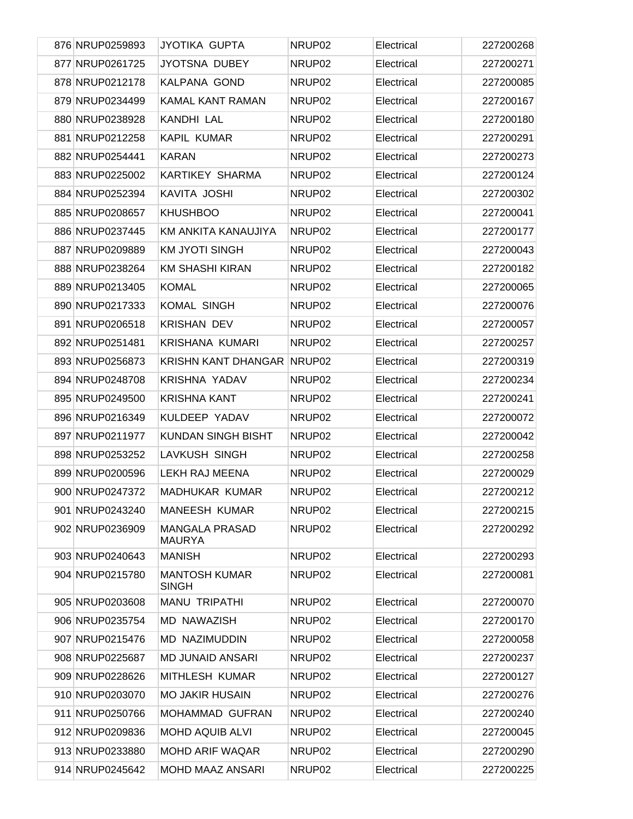|  | 876 NRUP0259893 | <b>JYOTIKA GUPTA</b>                   | NRUP <sub>02</sub> | Electrical | 227200268 |
|--|-----------------|----------------------------------------|--------------------|------------|-----------|
|  | 877 NRUP0261725 | JYOTSNA DUBEY                          | NRUP <sub>02</sub> | Electrical | 227200271 |
|  | 878 NRUP0212178 | KALPANA GOND                           | NRUP <sub>02</sub> | Electrical | 227200085 |
|  | 879 NRUP0234499 | KAMAL KANT RAMAN                       | NRUP <sub>02</sub> | Electrical | 227200167 |
|  | 880 NRUP0238928 | KANDHI LAL                             | NRUP <sub>02</sub> | Electrical | 227200180 |
|  | 881 NRUP0212258 | <b>KAPIL KUMAR</b>                     | NRUP <sub>02</sub> | Electrical | 227200291 |
|  | 882 NRUP0254441 | <b>KARAN</b>                           | NRUP <sub>02</sub> | Electrical | 227200273 |
|  | 883 NRUP0225002 | <b>KARTIKEY SHARMA</b>                 | NRUP <sub>02</sub> | Electrical | 227200124 |
|  | 884 NRUP0252394 | KAVITA JOSHI                           | NRUP <sub>02</sub> | Electrical | 227200302 |
|  | 885 NRUP0208657 | <b>KHUSHBOO</b>                        | NRUP <sub>02</sub> | Electrical | 227200041 |
|  | 886 NRUP0237445 | KM ANKITA KANAUJIYA                    | NRUP <sub>02</sub> | Electrical | 227200177 |
|  | 887 NRUP0209889 | <b>KM JYOTI SINGH</b>                  | NRUP <sub>02</sub> | Electrical | 227200043 |
|  | 888 NRUP0238264 | <b>KM SHASHI KIRAN</b>                 | NRUP02             | Electrical | 227200182 |
|  | 889 NRUP0213405 | <b>KOMAL</b>                           | NRUP02             | Electrical | 227200065 |
|  | 890 NRUP0217333 | <b>KOMAL SINGH</b>                     | NRUP <sub>02</sub> | Electrical | 227200076 |
|  | 891 NRUP0206518 | <b>KRISHAN DEV</b>                     | NRUP02             | Electrical | 227200057 |
|  | 892 NRUP0251481 | <b>KRISHANA KUMARI</b>                 | NRUP <sub>02</sub> | Electrical | 227200257 |
|  | 893 NRUP0256873 | <b>KRISHN KANT DHANGAR</b>             | NRUP <sub>02</sub> | Electrical | 227200319 |
|  | 894 NRUP0248708 | KRISHNA YADAV                          | NRUP <sub>02</sub> | Electrical | 227200234 |
|  | 895 NRUP0249500 | <b>KRISHNA KANT</b>                    | NRUP02             | Electrical | 227200241 |
|  | 896 NRUP0216349 | KULDEEP YADAV                          | NRUP <sub>02</sub> | Electrical | 227200072 |
|  | 897 NRUP0211977 | <b>KUNDAN SINGH BISHT</b>              | NRUP <sub>02</sub> | Electrical | 227200042 |
|  | 898 NRUP0253252 | LAVKUSH SINGH                          | NRUP <sub>02</sub> | Electrical | 227200258 |
|  | 899 NRUP0200596 | LEKH RAJ MEENA                         | NRUP <sub>02</sub> | Electrical | 227200029 |
|  | 900 NRUP0247372 | MADHUKAR KUMAR                         | NRUP <sub>02</sub> | Electrical | 227200212 |
|  | 901 NRUP0243240 | <b>MANEESH KUMAR</b>                   | NRUP02             | Electrical | 227200215 |
|  | 902 NRUP0236909 | <b>MANGALA PRASAD</b><br><b>MAURYA</b> | NRUP02             | Electrical | 227200292 |
|  | 903 NRUP0240643 | <b>MANISH</b>                          | NRUP <sub>02</sub> | Electrical | 227200293 |
|  | 904 NRUP0215780 | <b>MANTOSH KUMAR</b><br><b>SINGH</b>   | NRUP02             | Electrical | 227200081 |
|  | 905 NRUP0203608 | <b>MANU TRIPATHI</b>                   | NRUP <sub>02</sub> | Electrical | 227200070 |
|  | 906 NRUP0235754 | <b>MD NAWAZISH</b>                     | NRUP <sub>02</sub> | Electrical | 227200170 |
|  | 907 NRUP0215476 | MD NAZIMUDDIN                          | NRUP <sub>02</sub> | Electrical | 227200058 |
|  | 908 NRUP0225687 | <b>MD JUNAID ANSARI</b>                | NRUP <sub>02</sub> | Electrical | 227200237 |
|  | 909 NRUP0228626 | <b>MITHLESH KUMAR</b>                  | NRUP <sub>02</sub> | Electrical | 227200127 |
|  | 910 NRUP0203070 | <b>MO JAKIR HUSAIN</b>                 | NRUP <sub>02</sub> | Electrical | 227200276 |
|  | 911 NRUP0250766 | <b>MOHAMMAD GUFRAN</b>                 | NRUP <sub>02</sub> | Electrical | 227200240 |
|  | 912 NRUP0209836 | <b>MOHD AQUIB ALVI</b>                 | NRUP <sub>02</sub> | Electrical | 227200045 |
|  | 913 NRUP0233880 | <b>MOHD ARIF WAQAR</b>                 | NRUP <sub>02</sub> | Electrical | 227200290 |
|  | 914 NRUP0245642 | <b>MOHD MAAZ ANSARI</b>                | NRUP02             | Electrical | 227200225 |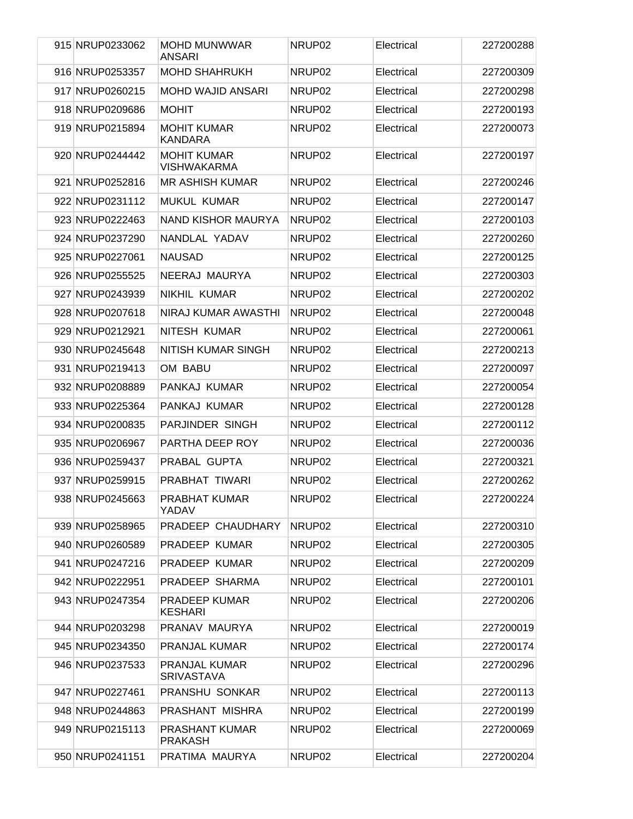| 915 NRUP0233062 | <b>MOHD MUNWWAR</b><br><b>ANSARI</b>      | NRUP <sub>02</sub> | Electrical | 227200288 |
|-----------------|-------------------------------------------|--------------------|------------|-----------|
| 916 NRUP0253357 | <b>MOHD SHAHRUKH</b>                      | NRUP <sub>02</sub> | Electrical | 227200309 |
| 917 NRUP0260215 | <b>MOHD WAJID ANSARI</b>                  | NRUP <sub>02</sub> | Electrical | 227200298 |
| 918 NRUP0209686 | <b>MOHIT</b>                              | NRUP02             | Electrical | 227200193 |
| 919 NRUP0215894 | <b>MOHIT KUMAR</b><br><b>KANDARA</b>      | NRUP02             | Electrical | 227200073 |
| 920 NRUP0244442 | <b>MOHIT KUMAR</b><br><b>VISHWAKARMA</b>  | NRUP <sub>02</sub> | Electrical | 227200197 |
| 921 NRUP0252816 | <b>MR ASHISH KUMAR</b>                    | NRUP02             | Electrical | 227200246 |
| 922 NRUP0231112 | <b>MUKUL KUMAR</b>                        | NRUP02             | Electrical | 227200147 |
| 923 NRUP0222463 | NAND KISHOR MAURYA                        | NRUP <sub>02</sub> | Electrical | 227200103 |
| 924 NRUP0237290 | NANDLAL YADAV                             | NRUP <sub>02</sub> | Electrical | 227200260 |
| 925 NRUP0227061 | <b>NAUSAD</b>                             | NRUP <sub>02</sub> | Electrical | 227200125 |
| 926 NRUP0255525 | NEERAJ MAURYA                             | NRUP02             | Electrical | 227200303 |
| 927 NRUP0243939 | NIKHIL KUMAR                              | NRUP <sub>02</sub> | Electrical | 227200202 |
| 928 NRUP0207618 | NIRAJ KUMAR AWASTHI                       | NRUP <sub>02</sub> | Electrical | 227200048 |
| 929 NRUP0212921 | NITESH KUMAR                              | NRUP02             | Electrical | 227200061 |
| 930 NRUP0245648 | NITISH KUMAR SINGH                        | NRUP02             | Electrical | 227200213 |
| 931 NRUP0219413 | OM BABU                                   | NRUP02             | Electrical | 227200097 |
| 932 NRUP0208889 | PANKAJ KUMAR                              | NRUP02             | Electrical | 227200054 |
| 933 NRUP0225364 | PANKAJ KUMAR                              | NRUP02             | Electrical | 227200128 |
| 934 NRUP0200835 | PARJINDER SINGH                           | NRUP02             | Electrical | 227200112 |
| 935 NRUP0206967 | PARTHA DEEP ROY                           | NRUP <sub>02</sub> | Electrical | 227200036 |
| 936 NRUP0259437 | PRABAL GUPTA                              | NRUP02             | Electrical | 227200321 |
| 937 NRUP0259915 | PRABHAT TIWARI                            | NRUP02             | Electrical | 227200262 |
| 938 NRUP0245663 | PRABHAT KUMAR<br>YADAV                    | NRUP02             | Electrical | 227200224 |
| 939 NRUP0258965 | PRADEEP CHAUDHARY                         | NRUP <sub>02</sub> | Electrical | 227200310 |
| 940 NRUP0260589 | PRADEEP KUMAR                             | NRUP <sub>02</sub> | Electrical | 227200305 |
| 941 NRUP0247216 | PRADEEP KUMAR                             | NRUP02             | Electrical | 227200209 |
| 942 NRUP0222951 | PRADEEP SHARMA                            | NRUP02             | Electrical | 227200101 |
| 943 NRUP0247354 | <b>PRADEEP KUMAR</b><br><b>KESHARI</b>    | NRUP02             | Electrical | 227200206 |
| 944 NRUP0203298 | PRANAV MAURYA                             | NRUP02             | Electrical | 227200019 |
| 945 NRUP0234350 | PRANJAL KUMAR                             | NRUP02             | Electrical | 227200174 |
| 946 NRUP0237533 | <b>PRANJAL KUMAR</b><br><b>SRIVASTAVA</b> | NRUP02             | Electrical | 227200296 |
| 947 NRUP0227461 | PRANSHU SONKAR                            | NRUP02             | Electrical | 227200113 |
| 948 NRUP0244863 | PRASHANT MISHRA                           | NRUP02             | Electrical | 227200199 |
| 949 NRUP0215113 | PRASHANT KUMAR<br><b>PRAKASH</b>          | NRUP02             | Electrical | 227200069 |
| 950 NRUP0241151 | PRATIMA MAURYA                            | NRUP02             | Electrical | 227200204 |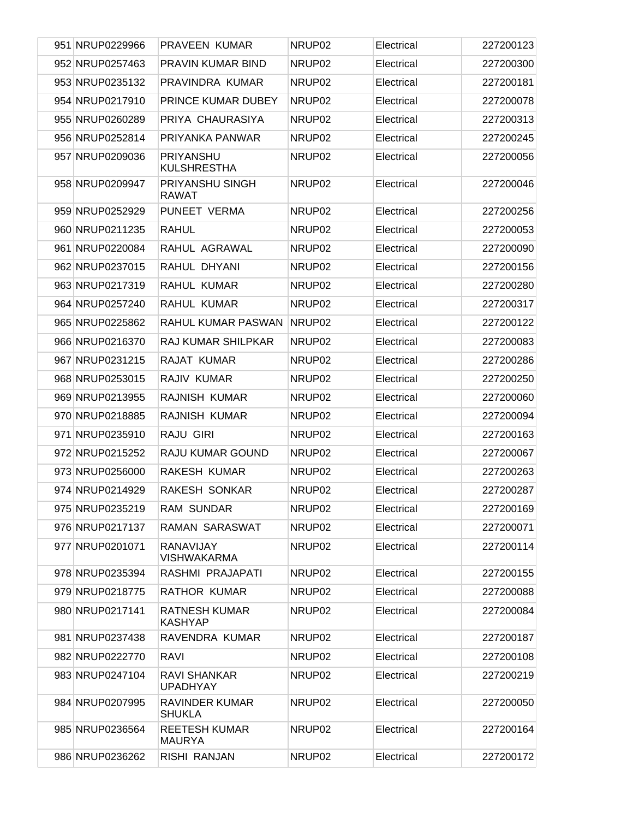| 951 NRUP0229966 | PRAVEEN KUMAR                          | NRUP <sub>02</sub> | Electrical | 227200123 |
|-----------------|----------------------------------------|--------------------|------------|-----------|
| 952 NRUP0257463 | <b>PRAVIN KUMAR BIND</b>               | NRUP02             | Electrical | 227200300 |
| 953 NRUP0235132 | PRAVINDRA KUMAR                        | NRUP02             | Electrical | 227200181 |
| 954 NRUP0217910 | PRINCE KUMAR DUBEY                     | NRUP02             | Electrical | 227200078 |
| 955 NRUP0260289 | PRIYA CHAURASIYA                       | NRUP02             | Electrical | 227200313 |
| 956 NRUP0252814 | PRIYANKA PANWAR                        | NRUP02             | Electrical | 227200245 |
| 957 NRUP0209036 | <b>PRIYANSHU</b><br><b>KULSHRESTHA</b> | NRUP02             | Electrical | 227200056 |
| 958 NRUP0209947 | PRIYANSHU SINGH<br><b>RAWAT</b>        | NRUP02             | Electrical | 227200046 |
| 959 NRUP0252929 | PUNEET VERMA                           | NRUP02             | Electrical | 227200256 |
| 960 NRUP0211235 | <b>RAHUL</b>                           | NRUP02             | Electrical | 227200053 |
| 961 NRUP0220084 | RAHUL AGRAWAL                          | NRUP02             | Electrical | 227200090 |
| 962 NRUP0237015 | RAHUL DHYANI                           | NRUP02             | Electrical | 227200156 |
| 963 NRUP0217319 | <b>RAHUL KUMAR</b>                     | NRUP02             | Electrical | 227200280 |
| 964 NRUP0257240 | <b>RAHUL KUMAR</b>                     | NRUP02             | Electrical | 227200317 |
| 965 NRUP0225862 | RAHUL KUMAR PASWAN                     | NRUP <sub>02</sub> | Electrical | 227200122 |
| 966 NRUP0216370 | <b>RAJ KUMAR SHILPKAR</b>              | NRUP <sub>02</sub> | Electrical | 227200083 |
| 967 NRUP0231215 | RAJAT KUMAR                            | NRUP02             | Electrical | 227200286 |
| 968 NRUP0253015 | RAJIV KUMAR                            | NRUP02             | Electrical | 227200250 |
| 969 NRUP0213955 | RAJNISH KUMAR                          | NRUP02             | Electrical | 227200060 |
| 970 NRUP0218885 | RAJNISH KUMAR                          | NRUP02             | Electrical | 227200094 |
| 971 NRUP0235910 | RAJU GIRI                              | NRUP02             | Electrical | 227200163 |
| 972 NRUP0215252 | RAJU KUMAR GOUND                       | NRUP02             | Electrical | 227200067 |
| 973 NRUP0256000 | RAKESH KUMAR                           | NRUP02             | Electrical | 227200263 |
| 974 NRUP0214929 | RAKESH SONKAR                          | NRUP <sub>02</sub> | Electrical | 227200287 |
| 975 NRUP0235219 | RAM SUNDAR                             | NRUP02             | Electrical | 227200169 |
| 976 NRUP0217137 | <b>RAMAN SARASWAT</b>                  | NRUP <sub>02</sub> | Electrical | 227200071 |
| 977 NRUP0201071 | RANAVIJAY<br><b>VISHWAKARMA</b>        | NRUP02             | Electrical | 227200114 |
| 978 NRUP0235394 | RASHMI PRAJAPATI                       | NRUP02             | Electrical | 227200155 |
| 979 NRUP0218775 | <b>RATHOR KUMAR</b>                    | NRUP02             | Electrical | 227200088 |
| 980 NRUP0217141 | <b>RATNESH KUMAR</b><br><b>KASHYAP</b> | NRUP02             | Electrical | 227200084 |
| 981 NRUP0237438 | RAVENDRA KUMAR                         | NRUP02             | Electrical | 227200187 |
| 982 NRUP0222770 | <b>RAVI</b>                            | NRUP02             | Electrical | 227200108 |
| 983 NRUP0247104 | <b>RAVI SHANKAR</b><br><b>UPADHYAY</b> | NRUP02             | Electrical | 227200219 |
| 984 NRUP0207995 | RAVINDER KUMAR<br><b>SHUKLA</b>        | NRUP02             | Electrical | 227200050 |
| 985 NRUP0236564 | <b>REETESH KUMAR</b><br><b>MAURYA</b>  | NRUP02             | Electrical | 227200164 |
| 986 NRUP0236262 | RISHI RANJAN                           | NRUP02             | Electrical | 227200172 |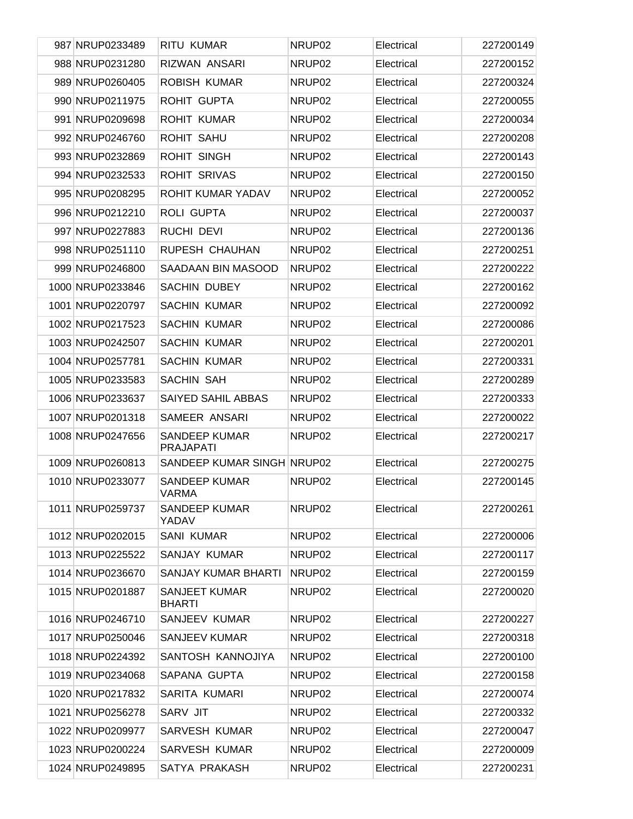| 987 NRUP0233489  | <b>RITU KUMAR</b>                        | NRUP <sub>02</sub> | Electrical | 227200149 |
|------------------|------------------------------------------|--------------------|------------|-----------|
| 988 NRUP0231280  | RIZWAN ANSARI                            | NRUP <sub>02</sub> | Electrical | 227200152 |
| 989 NRUP0260405  | <b>ROBISH KUMAR</b>                      | NRUP <sub>02</sub> | Electrical | 227200324 |
| 990 NRUP0211975  | ROHIT GUPTA                              | NRUP <sub>02</sub> | Electrical | 227200055 |
| 991 NRUP0209698  | <b>ROHIT KUMAR</b>                       | NRUP <sub>02</sub> | Electrical | 227200034 |
| 992 NRUP0246760  | <b>ROHIT SAHU</b>                        | NRUP <sub>02</sub> | Electrical | 227200208 |
| 993 NRUP0232869  | <b>ROHIT SINGH</b>                       | NRUP <sub>02</sub> | Electrical | 227200143 |
| 994 NRUP0232533  | <b>ROHIT SRIVAS</b>                      | NRUP <sub>02</sub> | Electrical | 227200150 |
| 995 NRUP0208295  | ROHIT KUMAR YADAV                        | NRUP <sub>02</sub> | Electrical | 227200052 |
| 996 NRUP0212210  | ROLI GUPTA                               | NRUP <sub>02</sub> | Electrical | 227200037 |
| 997 NRUP0227883  | <b>RUCHI DEVI</b>                        | NRUP <sub>02</sub> | Electrical | 227200136 |
| 998 NRUP0251110  | RUPESH CHAUHAN                           | NRUP <sub>02</sub> | Electrical | 227200251 |
| 999 NRUP0246800  | SAADAAN BIN MASOOD                       | NRUP <sub>02</sub> | Electrical | 227200222 |
| 1000 NRUP0233846 | <b>SACHIN DUBEY</b>                      | NRUP <sub>02</sub> | Electrical | 227200162 |
| 1001 NRUP0220797 | <b>SACHIN KUMAR</b>                      | NRUP <sub>02</sub> | Electrical | 227200092 |
| 1002 NRUP0217523 | <b>SACHIN KUMAR</b>                      | NRUP <sub>02</sub> | Electrical | 227200086 |
| 1003 NRUP0242507 | <b>SACHIN KUMAR</b>                      | NRUP <sub>02</sub> | Electrical | 227200201 |
| 1004 NRUP0257781 | <b>SACHIN KUMAR</b>                      | NRUP <sub>02</sub> | Electrical | 227200331 |
| 1005 NRUP0233583 | SACHIN SAH                               | NRUP <sub>02</sub> | Electrical | 227200289 |
| 1006 NRUP0233637 | SAIYED SAHIL ABBAS                       | NRUP <sub>02</sub> | Electrical | 227200333 |
| 1007 NRUP0201318 | SAMEER ANSARI                            | NRUP <sub>02</sub> | Electrical | 227200022 |
| 1008 NRUP0247656 | <b>SANDEEP KUMAR</b><br><b>PRAJAPATI</b> | NRUP <sub>02</sub> | Electrical | 227200217 |
| 1009 NRUP0260813 | SANDEEP KUMAR SINGH NRUP02               |                    | Electrical | 227200275 |
| 1010 NRUP0233077 | <b>SANDEEP KUMAR</b><br><b>VARMA</b>     | NRUP02             | Electrical | 227200145 |
| 1011 NRUP0259737 | <b>SANDEEP KUMAR</b><br>YADAV            | NRUP02             | Electrical | 227200261 |
| 1012 NRUP0202015 | <b>SANI KUMAR</b>                        | NRUP02             | Electrical | 227200006 |
| 1013 NRUP0225522 | SANJAY KUMAR                             | NRUP02             | Electrical | 227200117 |
| 1014 NRUP0236670 | SANJAY KUMAR BHARTI                      | NRUP02             | Electrical | 227200159 |
| 1015 NRUP0201887 | <b>SANJEET KUMAR</b><br><b>BHARTI</b>    | NRUP <sub>02</sub> | Electrical | 227200020 |
| 1016 NRUP0246710 | SANJEEV KUMAR                            | NRUP02             | Electrical | 227200227 |
| 1017 NRUP0250046 | SANJEEV KUMAR                            | NRUP02             | Electrical | 227200318 |
| 1018 NRUP0224392 | SANTOSH KANNOJIYA                        | NRUP02             | Electrical | 227200100 |
| 1019 NRUP0234068 | SAPANA GUPTA                             | NRUP02             | Electrical | 227200158 |
| 1020 NRUP0217832 | SARITA KUMARI                            | NRUP <sub>02</sub> | Electrical | 227200074 |
| 1021 NRUP0256278 | SARV JIT                                 | NRUP <sub>02</sub> | Electrical | 227200332 |
| 1022 NRUP0209977 | SARVESH KUMAR                            | NRUP <sub>02</sub> | Electrical | 227200047 |
| 1023 NRUP0200224 | SARVESH KUMAR                            | NRUP02             | Electrical | 227200009 |
| 1024 NRUP0249895 | SATYA PRAKASH                            | NRUP <sub>02</sub> | Electrical | 227200231 |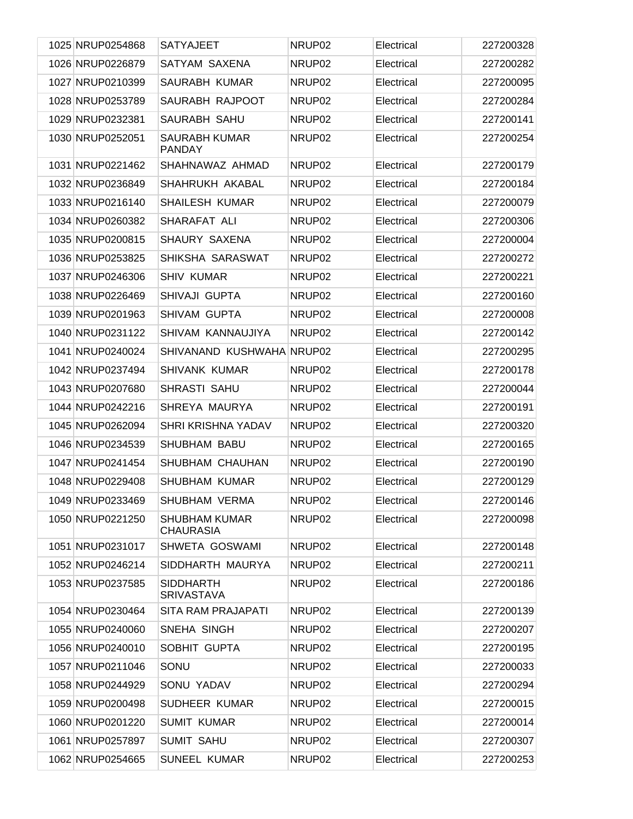| 1025 NRUP0254868 | <b>SATYAJEET</b>                         | NRUP <sub>02</sub> | Electrical | 227200328 |
|------------------|------------------------------------------|--------------------|------------|-----------|
| 1026 NRUP0226879 | SATYAM SAXENA                            | NRUP02             | Electrical | 227200282 |
| 1027 NRUP0210399 | SAURABH KUMAR                            | NRUP02             | Electrical | 227200095 |
| 1028 NRUP0253789 | SAURABH RAJPOOT                          | NRUP02             | Electrical | 227200284 |
| 1029 NRUP0232381 | SAURABH SAHU                             | NRUP <sub>02</sub> | Electrical | 227200141 |
| 1030 NRUP0252051 | <b>SAURABH KUMAR</b><br><b>PANDAY</b>    | NRUP <sub>02</sub> | Electrical | 227200254 |
| 1031 NRUP0221462 | SHAHNAWAZ AHMAD                          | NRUP <sub>02</sub> | Electrical | 227200179 |
| 1032 NRUP0236849 | SHAHRUKH AKABAL                          | NRUP02             | Electrical | 227200184 |
| 1033 NRUP0216140 | <b>SHAILESH KUMAR</b>                    | NRUP <sub>02</sub> | Electrical | 227200079 |
| 1034 NRUP0260382 | SHARAFAT ALI                             | NRUP <sub>02</sub> | Electrical | 227200306 |
| 1035 NRUP0200815 | SHAURY SAXENA                            | NRUP <sub>02</sub> | Electrical | 227200004 |
| 1036 NRUP0253825 | SHIKSHA SARASWAT                         | NRUP02             | Electrical | 227200272 |
| 1037 NRUP0246306 | <b>SHIV KUMAR</b>                        | NRUP <sub>02</sub> | Electrical | 227200221 |
| 1038 NRUP0226469 | SHIVAJI GUPTA                            | NRUP <sub>02</sub> | Electrical | 227200160 |
| 1039 NRUP0201963 | SHIVAM GUPTA                             | NRUP <sub>02</sub> | Electrical | 227200008 |
| 1040 NRUP0231122 | SHIVAM KANNAUJIYA                        | NRUP <sub>02</sub> | Electrical | 227200142 |
| 1041 NRUP0240024 | SHIVANAND KUSHWAHA NRUP02                |                    | Electrical | 227200295 |
| 1042 NRUP0237494 | <b>SHIVANK KUMAR</b>                     | NRUP02             | Electrical | 227200178 |
| 1043 NRUP0207680 | SHRASTI SAHU                             | NRUP <sub>02</sub> | Electrical | 227200044 |
| 1044 NRUP0242216 | SHREYA MAURYA                            | NRUP02             | Electrical | 227200191 |
| 1045 NRUP0262094 | SHRI KRISHNA YADAV                       | NRUP <sub>02</sub> | Electrical | 227200320 |
| 1046 NRUP0234539 | SHUBHAM BABU                             | NRUP02             | Electrical | 227200165 |
| 1047 NRUP0241454 | SHUBHAM CHAUHAN                          | NRUP <sub>02</sub> | Electrical | 227200190 |
| 1048 NRUP0229408 | SHUBHAM KUMAR                            | NRUP02             | Electrical | 227200129 |
| 1049 NRUP0233469 | SHUBHAM VERMA                            | NRUP02             | Electrical | 227200146 |
| 1050 NRUP0221250 | <b>SHUBHAM KUMAR</b><br><b>CHAURASIA</b> | NRUP02             | Electrical | 227200098 |
| 1051 NRUP0231017 | SHWETA GOSWAMI                           | NRUP02             | Electrical | 227200148 |
| 1052 NRUP0246214 | SIDDHARTH MAURYA                         | NRUP02             | Electrical | 227200211 |
| 1053 NRUP0237585 | <b>SIDDHARTH</b><br><b>SRIVASTAVA</b>    | NRUP02             | Electrical | 227200186 |
| 1054 NRUP0230464 | <b>SITA RAM PRAJAPATI</b>                | NRUP02             | Electrical | 227200139 |
| 1055 NRUP0240060 | SNEHA SINGH                              | NRUP02             | Electrical | 227200207 |
| 1056 NRUP0240010 | SOBHIT GUPTA                             | NRUP <sub>02</sub> | Electrical | 227200195 |
| 1057 NRUP0211046 | SONU                                     | NRUP02             | Electrical | 227200033 |
| 1058 NRUP0244929 | SONU YADAV                               | NRUP <sub>02</sub> | Electrical | 227200294 |
| 1059 NRUP0200498 | <b>SUDHEER KUMAR</b>                     | NRUP <sub>02</sub> | Electrical | 227200015 |
| 1060 NRUP0201220 | <b>SUMIT KUMAR</b>                       | NRUP02             | Electrical | 227200014 |
| 1061 NRUP0257897 | <b>SUMIT SAHU</b>                        | NRUP02             | Electrical | 227200307 |
| 1062 NRUP0254665 | <b>SUNEEL KUMAR</b>                      | NRUP02             | Electrical | 227200253 |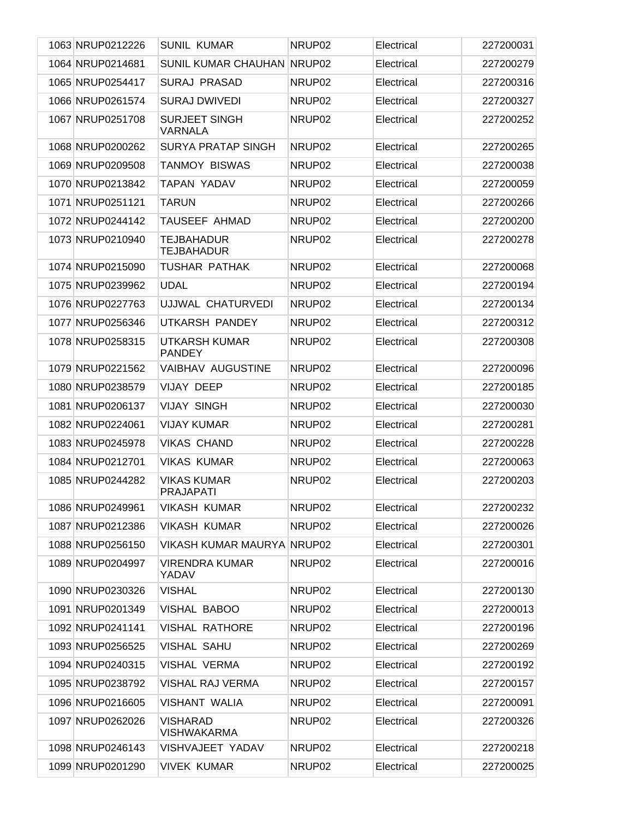| 1063 NRUP0212226 | <b>SUNIL KUMAR</b>                     | NRUP <sub>02</sub> | Electrical | 227200031 |
|------------------|----------------------------------------|--------------------|------------|-----------|
| 1064 NRUP0214681 | SUNIL KUMAR CHAUHAN                    | NRUP <sub>02</sub> | Electrical | 227200279 |
| 1065 NRUP0254417 | <b>SURAJ PRASAD</b>                    | NRUP02             | Electrical | 227200316 |
| 1066 NRUP0261574 | <b>SURAJ DWIVEDI</b>                   | NRUP02             | Electrical | 227200327 |
| 1067 NRUP0251708 | <b>SURJEET SINGH</b><br><b>VARNALA</b> | NRUP02             | Electrical | 227200252 |
| 1068 NRUP0200262 | SURYA PRATAP SINGH                     | NRUP <sub>02</sub> | Electrical | 227200265 |
| 1069 NRUP0209508 | <b>TANMOY BISWAS</b>                   | NRUP02             | Electrical | 227200038 |
| 1070 NRUP0213842 | <b>TAPAN YADAV</b>                     | NRUP02             | Electrical | 227200059 |
| 1071 NRUP0251121 | <b>TARUN</b>                           | NRUP02             | Electrical | 227200266 |
| 1072 NRUP0244142 | TAUSEEF AHMAD                          | NRUP <sub>02</sub> | Electrical | 227200200 |
| 1073 NRUP0210940 | <b>TEJBAHADUR</b><br><b>TEJBAHADUR</b> | NRUP02             | Electrical | 227200278 |
| 1074 NRUP0215090 | <b>TUSHAR PATHAK</b>                   | NRUP <sub>02</sub> | Electrical | 227200068 |
| 1075 NRUP0239962 | <b>UDAL</b>                            | NRUP <sub>02</sub> | Electrical | 227200194 |
| 1076 NRUP0227763 | UJJWAL CHATURVEDI                      | NRUP <sub>02</sub> | Electrical | 227200134 |
| 1077 NRUP0256346 | UTKARSH PANDEY                         | NRUP <sub>02</sub> | Electrical | 227200312 |
| 1078 NRUP0258315 | <b>UTKARSH KUMAR</b><br><b>PANDEY</b>  | NRUP <sub>02</sub> | Electrical | 227200308 |
| 1079 NRUP0221562 | VAIBHAV AUGUSTINE                      | NRUP <sub>02</sub> | Electrical | 227200096 |
| 1080 NRUP0238579 | <b>VIJAY DEEP</b>                      | NRUP <sub>02</sub> | Electrical | 227200185 |
| 1081 NRUP0206137 | <b>VIJAY SINGH</b>                     | NRUP <sub>02</sub> | Electrical | 227200030 |
| 1082 NRUP0224061 | <b>VIJAY KUMAR</b>                     | NRUP <sub>02</sub> | Electrical | 227200281 |
| 1083 NRUP0245978 | <b>VIKAS CHAND</b>                     | NRUP <sub>02</sub> | Electrical | 227200228 |
| 1084 NRUP0212701 | <b>VIKAS KUMAR</b>                     | NRUP <sub>02</sub> | Electrical | 227200063 |
| 1085 NRUP0244282 | <b>VIKAS KUMAR</b><br><b>PRAJAPATI</b> | NRUP02             | Electrical | 227200203 |
| 1086 NRUP0249961 | <b>VIKASH KUMAR</b>                    | NRUP02             | Electrical | 227200232 |
| 1087 NRUP0212386 | <b>VIKASH KUMAR</b>                    | NRUP <sub>02</sub> | Electrical | 227200026 |
| 1088 NRUP0256150 | <b>VIKASH KUMAR MAURYA NRUP02</b>      |                    | Electrical | 227200301 |
| 1089 NRUP0204997 | <b>VIRENDRA KUMAR</b><br>YADAV         | NRUP02             | Electrical | 227200016 |
| 1090 NRUP0230326 | <b>VISHAL</b>                          | NRUP02             | Electrical | 227200130 |
| 1091 NRUP0201349 | VISHAL BABOO                           | NRUP <sub>02</sub> | Electrical | 227200013 |
| 1092 NRUP0241141 | <b>VISHAL RATHORE</b>                  | NRUP <sub>02</sub> | Electrical | 227200196 |
| 1093 NRUP0256525 | <b>VISHAL SAHU</b>                     | NRUP <sub>02</sub> | Electrical | 227200269 |
| 1094 NRUP0240315 | <b>VISHAL VERMA</b>                    | NRUP <sub>02</sub> | Electrical | 227200192 |
| 1095 NRUP0238792 | <b>VISHAL RAJ VERMA</b>                | NRUP <sub>02</sub> | Electrical | 227200157 |
| 1096 NRUP0216605 | <b>VISHANT WALIA</b>                   | NRUP <sub>02</sub> | Electrical | 227200091 |
| 1097 NRUP0262026 | <b>VISHARAD</b><br><b>VISHWAKARMA</b>  | NRUP02             | Electrical | 227200326 |
| 1098 NRUP0246143 | VISHVAJEET YADAV                       | NRUP <sub>02</sub> | Electrical | 227200218 |
| 1099 NRUP0201290 | <b>VIVEK KUMAR</b>                     | NRUP <sub>02</sub> | Electrical | 227200025 |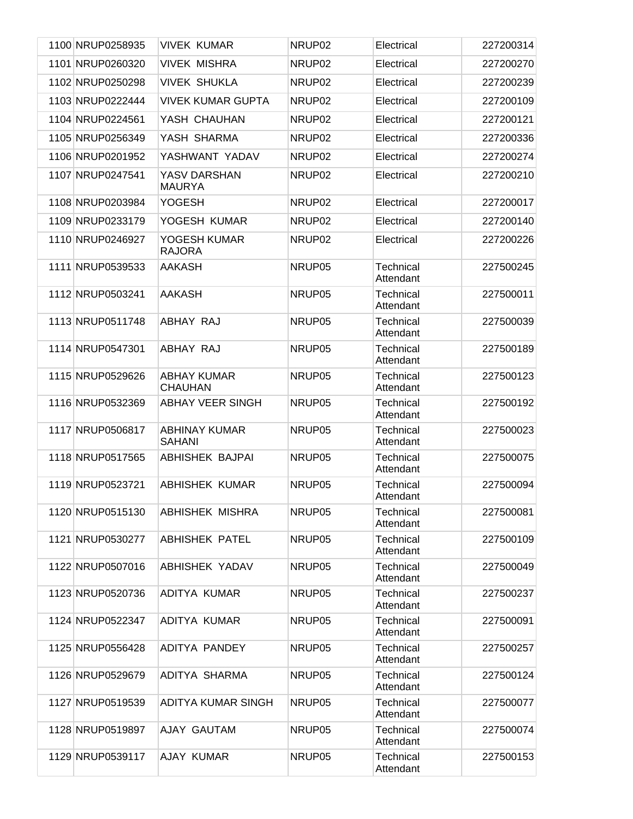|  | 1100 NRUP0258935 | <b>VIVEK KUMAR</b>                    | NRUP02             | Electrical                    | 227200314 |
|--|------------------|---------------------------------------|--------------------|-------------------------------|-----------|
|  | 1101 NRUP0260320 | <b>VIVEK MISHRA</b>                   | NRUP02             | Electrical                    | 227200270 |
|  | 1102 NRUP0250298 | <b>VIVEK SHUKLA</b>                   | NRUP02             | Electrical                    | 227200239 |
|  | 1103 NRUP0222444 | <b>VIVEK KUMAR GUPTA</b>              | NRUP02             | Electrical                    | 227200109 |
|  | 1104 NRUP0224561 | YASH CHAUHAN                          | NRUP02             | Electrical                    | 227200121 |
|  | 1105 NRUP0256349 | YASH SHARMA                           | NRUP02             | Electrical                    | 227200336 |
|  | 1106 NRUP0201952 | YASHWANT YADAV                        | NRUP02             | Electrical                    | 227200274 |
|  | 1107 NRUP0247541 | YASV DARSHAN<br><b>MAURYA</b>         | NRUP02             | Electrical                    | 227200210 |
|  | 1108 NRUP0203984 | <b>YOGESH</b>                         | NRUP02             | Electrical                    | 227200017 |
|  | 1109 NRUP0233179 | YOGESH KUMAR                          | NRUP02             | Electrical                    | 227200140 |
|  | 1110 NRUP0246927 | YOGESH KUMAR<br><b>RAJORA</b>         | NRUP <sub>02</sub> | Electrical                    | 227200226 |
|  | 1111 NRUP0539533 | AAKASH                                | NRUP05             | Technical<br>Attendant        | 227500245 |
|  | 1112 NRUP0503241 | <b>AAKASH</b>                         | NRUP05             | Technical<br>Attendant        | 227500011 |
|  | 1113 NRUP0511748 | ABHAY RAJ                             | NRUP05             | Technical<br>Attendant        | 227500039 |
|  | 1114 NRUP0547301 | ABHAY RAJ                             | NRUP05             | <b>Technical</b><br>Attendant | 227500189 |
|  | 1115 NRUP0529626 | <b>ABHAY KUMAR</b><br><b>CHAUHAN</b>  | NRUP05             | Technical<br>Attendant        | 227500123 |
|  | 1116 NRUP0532369 | <b>ABHAY VEER SINGH</b>               | NRUP05             | Technical<br>Attendant        | 227500192 |
|  | 1117 NRUP0506817 | <b>ABHINAY KUMAR</b><br><b>SAHANI</b> | NRUP05             | Technical<br>Attendant        | 227500023 |
|  | 1118 NRUP0517565 | <b>ABHISHEK BAJPAI</b>                | NRUP05             | <b>Technical</b><br>Attendant | 227500075 |
|  | 1119 NRUP0523721 | <b>ABHISHEK KUMAR</b>                 | NRUP05             | <b>Technical</b><br>Attendant | 227500094 |
|  | 1120 NRUP0515130 | <b>ABHISHEK MISHRA</b>                | NRUP05             | Technical<br>Attendant        | 227500081 |
|  | 1121 NRUP0530277 | <b>ABHISHEK PATEL</b>                 | NRUP05             | Technical<br>Attendant        | 227500109 |
|  | 1122 NRUP0507016 | ABHISHEK YADAV                        | NRUP05             | Technical<br>Attendant        | 227500049 |
|  | 1123 NRUP0520736 | <b>ADITYA KUMAR</b>                   | NRUP05             | <b>Technical</b><br>Attendant | 227500237 |
|  | 1124 NRUP0522347 | ADITYA KUMAR                          | NRUP05             | Technical<br>Attendant        | 227500091 |
|  | 1125 NRUP0556428 | ADITYA PANDEY                         | NRUP05             | Technical<br>Attendant        | 227500257 |
|  | 1126 NRUP0529679 | ADITYA SHARMA                         | NRUP05             | Technical<br>Attendant        | 227500124 |
|  | 1127 NRUP0519539 | ADITYA KUMAR SINGH                    | NRUP05             | Technical<br>Attendant        | 227500077 |
|  | 1128 NRUP0519897 | AJAY GAUTAM                           | NRUP05             | Technical<br>Attendant        | 227500074 |
|  | 1129 NRUP0539117 | AJAY KUMAR                            | NRUP05             | Technical<br>Attendant        | 227500153 |
|  |                  |                                       |                    |                               |           |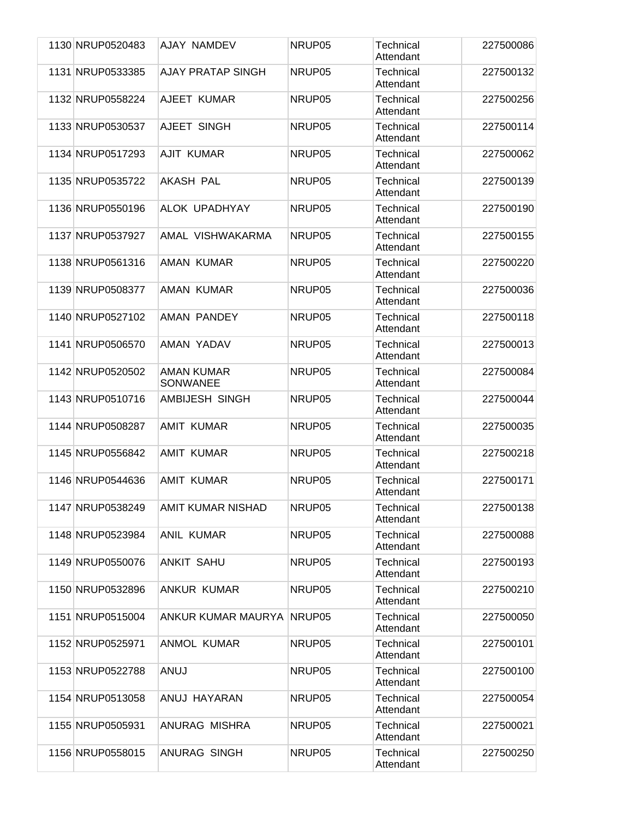| 1130 NRUP0520483 | <b>AJAY NAMDEV</b>            | NRUP05 | Technical<br>Attendant        | 227500086 |
|------------------|-------------------------------|--------|-------------------------------|-----------|
| 1131 NRUP0533385 | <b>AJAY PRATAP SINGH</b>      | NRUP05 | Technical<br>Attendant        | 227500132 |
| 1132 NRUP0558224 | AJEET KUMAR                   | NRUP05 | Technical<br>Attendant        | 227500256 |
| 1133 NRUP0530537 | AJEET SINGH                   | NRUP05 | <b>Technical</b><br>Attendant | 227500114 |
| 1134 NRUP0517293 | AJIT KUMAR                    | NRUP05 | Technical<br>Attendant        | 227500062 |
| 1135 NRUP0535722 | <b>AKASH PAL</b>              | NRUP05 | Technical<br>Attendant        | 227500139 |
| 1136 NRUP0550196 | ALOK UPADHYAY                 | NRUP05 | Technical<br>Attendant        | 227500190 |
| 1137 NRUP0537927 | AMAL VISHWAKARMA              | NRUP05 | <b>Technical</b><br>Attendant | 227500155 |
| 1138 NRUP0561316 | <b>AMAN KUMAR</b>             | NRUP05 | Technical<br>Attendant        | 227500220 |
| 1139 NRUP0508377 | AMAN KUMAR                    | NRUP05 | Technical<br>Attendant        | 227500036 |
| 1140 NRUP0527102 | AMAN PANDEY                   | NRUP05 | Technical<br>Attendant        | 227500118 |
| 1141 NRUP0506570 | AMAN YADAV                    | NRUP05 | <b>Technical</b><br>Attendant | 227500013 |
| 1142 NRUP0520502 | AMAN KUMAR<br><b>SONWANEE</b> | NRUP05 | Technical<br>Attendant        | 227500084 |
| 1143 NRUP0510716 | AMBIJESH SINGH                | NRUP05 | Technical<br>Attendant        | 227500044 |
| 1144 NRUP0508287 | <b>AMIT KUMAR</b>             | NRUP05 | Technical<br>Attendant        | 227500035 |
| 1145 NRUP0556842 | AMIT KUMAR                    | NRUP05 | Technical<br>Attendant        | 227500218 |
| 1146 NRUP0544636 | AMIT KUMAR                    | NRUP05 | <b>Technical</b><br>Attendant | 227500171 |
| 1147 NRUP0538249 | AMIT KUMAR NISHAD             | NRUP05 | <b>Technical</b><br>Attendant | 227500138 |
| 1148 NRUP0523984 | <b>ANIL KUMAR</b>             | NRUP05 | Technical<br>Attendant        | 227500088 |
| 1149 NRUP0550076 | <b>ANKIT SAHU</b>             | NRUP05 | Technical<br>Attendant        | 227500193 |
| 1150 NRUP0532896 | <b>ANKUR KUMAR</b>            | NRUP05 | Technical<br>Attendant        | 227500210 |
| 1151 NRUP0515004 | ANKUR KUMAR MAURYA            | NRUP05 | Technical<br>Attendant        | 227500050 |
| 1152 NRUP0525971 | <b>ANMOL KUMAR</b>            | NRUP05 | Technical<br>Attendant        | 227500101 |
| 1153 NRUP0522788 | ANUJ                          | NRUP05 | Technical<br>Attendant        | 227500100 |
| 1154 NRUP0513058 | ANUJ HAYARAN                  | NRUP05 | Technical<br>Attendant        | 227500054 |
| 1155 NRUP0505931 | ANURAG MISHRA                 | NRUP05 | Technical<br>Attendant        | 227500021 |
| 1156 NRUP0558015 | ANURAG SINGH                  | NRUP05 | <b>Technical</b><br>Attendant | 227500250 |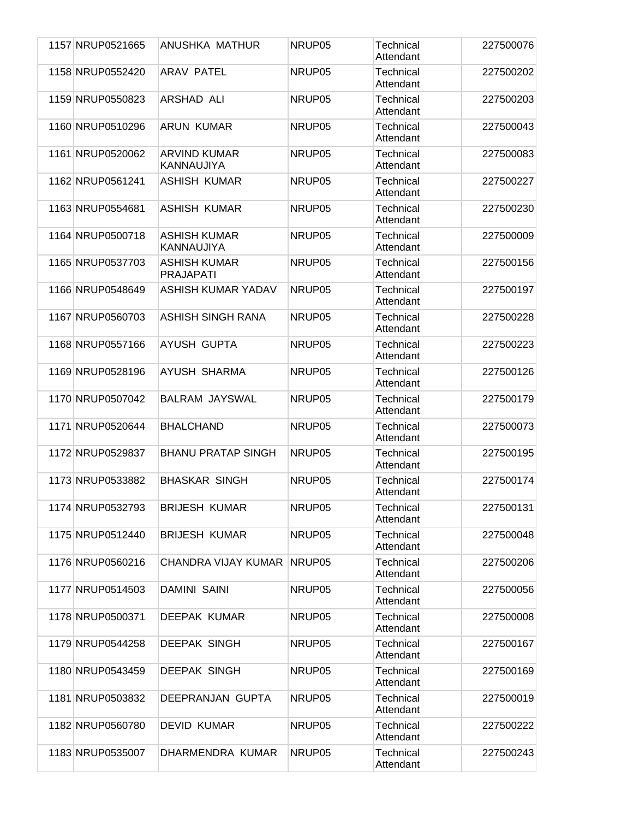| 1157 NRUP0521665 | ANUSHKA MATHUR                          | NRUP05 | Technical<br>Attendant        | 227500076 |
|------------------|-----------------------------------------|--------|-------------------------------|-----------|
| 1158 NRUP0552420 | <b>ARAV PATEL</b>                       | NRUP05 | <b>Technical</b><br>Attendant | 227500202 |
| 1159 NRUP0550823 | ARSHAD ALI                              | NRUP05 | Technical<br>Attendant        | 227500203 |
| 1160 NRUP0510296 | <b>ARUN KUMAR</b>                       | NRUP05 | Technical<br>Attendant        | 227500043 |
| 1161 NRUP0520062 | <b>ARVIND KUMAR</b><br>KANNAUJIYA       | NRUP05 | Technical<br>Attendant        | 227500083 |
| 1162 NRUP0561241 | <b>ASHISH KUMAR</b>                     | NRUP05 | <b>Technical</b><br>Attendant | 227500227 |
| 1163 NRUP0554681 | <b>ASHISH KUMAR</b>                     | NRUP05 | <b>Technical</b><br>Attendant | 227500230 |
| 1164 NRUP0500718 | <b>ASHISH KUMAR</b><br>KANNAUJIYA       | NRUP05 | <b>Technical</b><br>Attendant | 227500009 |
| 1165 NRUP0537703 | <b>ASHISH KUMAR</b><br><b>PRAJAPATI</b> | NRUP05 | Technical<br>Attendant        | 227500156 |
| 1166 NRUP0548649 | ASHISH KUMAR YADAV                      | NRUP05 | Technical<br>Attendant        | 227500197 |
| 1167 NRUP0560703 | <b>ASHISH SINGH RANA</b>                | NRUP05 | <b>Technical</b><br>Attendant | 227500228 |
| 1168 NRUP0557166 | <b>AYUSH GUPTA</b>                      | NRUP05 | <b>Technical</b><br>Attendant | 227500223 |
| 1169 NRUP0528196 | AYUSH SHARMA                            | NRUP05 | Technical<br>Attendant        | 227500126 |
| 1170 NRUP0507042 | <b>BALRAM JAYSWAL</b>                   | NRUP05 | <b>Technical</b><br>Attendant | 227500179 |
| 1171 NRUP0520644 | <b>BHALCHAND</b>                        | NRUP05 | <b>Technical</b><br>Attendant | 227500073 |
| 1172 NRUP0529837 | <b>BHANU PRATAP SINGH</b>               | NRUP05 | Technical<br>Attendant        | 227500195 |
| 1173 NRUP0533882 | <b>BHASKAR SINGH</b>                    | NRUP05 | Technical<br>Attendant        | 227500174 |
| 1174 NRUP0532793 | <b>BRIJESH KUMAR</b>                    | NRUP05 | Technical<br>Attendant        | 227500131 |
| 1175 NRUP0512440 | <b>BRIJESH KUMAR</b>                    | NRUP05 | <b>Technical</b><br>Attendant | 227500048 |
| 1176 NRUP0560216 | CHANDRA VIJAY KUMAR                     | NRUP05 | <b>Technical</b><br>Attendant | 227500206 |
| 1177 NRUP0514503 | <b>DAMINI SAINI</b>                     | NRUP05 | Technical<br>Attendant        | 227500056 |
| 1178 NRUP0500371 | DEEPAK KUMAR                            | NRUP05 | Technical<br>Attendant        | 227500008 |
| 1179 NRUP0544258 | <b>DEEPAK SINGH</b>                     | NRUP05 | Technical<br>Attendant        | 227500167 |
| 1180 NRUP0543459 | <b>DEEPAK SINGH</b>                     | NRUP05 | Technical<br>Attendant        | 227500169 |
| 1181 NRUP0503832 | DEEPRANJAN GUPTA                        | NRUP05 | <b>Technical</b><br>Attendant | 227500019 |
| 1182 NRUP0560780 | <b>DEVID KUMAR</b>                      | NRUP05 | Technical<br>Attendant        | 227500222 |
| 1183 NRUP0535007 | DHARMENDRA KUMAR                        | NRUP05 | Technical<br>Attendant        | 227500243 |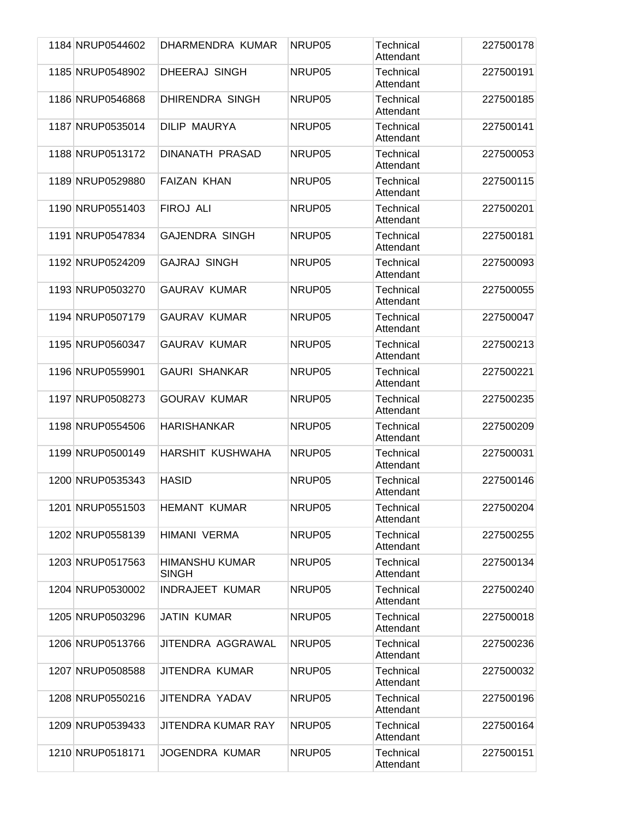| 1184 NRUP0544602 | DHARMENDRA KUMAR               | NRUP05 | Technical<br>Attendant        | 227500178 |
|------------------|--------------------------------|--------|-------------------------------|-----------|
| 1185 NRUP0548902 | <b>DHEERAJ SINGH</b>           | NRUP05 | Technical<br>Attendant        | 227500191 |
| 1186 NRUP0546868 | DHIRENDRA SINGH                | NRUP05 | Technical<br>Attendant        | 227500185 |
| 1187 NRUP0535014 | <b>DILIP MAURYA</b>            | NRUP05 | Technical<br>Attendant        | 227500141 |
| 1188 NRUP0513172 | <b>DINANATH PRASAD</b>         | NRUP05 | Technical<br>Attendant        | 227500053 |
| 1189 NRUP0529880 | <b>FAIZAN KHAN</b>             | NRUP05 | Technical<br>Attendant        | 227500115 |
| 1190 NRUP0551403 | FIROJ ALI                      | NRUP05 | Technical<br>Attendant        | 227500201 |
| 1191 NRUP0547834 | <b>GAJENDRA SINGH</b>          | NRUP05 | Technical<br>Attendant        | 227500181 |
| 1192 NRUP0524209 | <b>GAJRAJ SINGH</b>            | NRUP05 | Technical<br>Attendant        | 227500093 |
| 1193 NRUP0503270 | <b>GAURAV KUMAR</b>            | NRUP05 | <b>Technical</b><br>Attendant | 227500055 |
| 1194 NRUP0507179 | <b>GAURAV KUMAR</b>            | NRUP05 | Technical<br>Attendant        | 227500047 |
| 1195 NRUP0560347 | <b>GAURAV KUMAR</b>            | NRUP05 | Technical<br>Attendant        | 227500213 |
| 1196 NRUP0559901 | <b>GAURI SHANKAR</b>           | NRUP05 | Technical<br>Attendant        | 227500221 |
| 1197 NRUP0508273 | <b>GOURAV KUMAR</b>            | NRUP05 | Technical<br>Attendant        | 227500235 |
| 1198 NRUP0554506 | <b>HARISHANKAR</b>             | NRUP05 | Technical<br>Attendant        | 227500209 |
| 1199 NRUP0500149 | HARSHIT KUSHWAHA               | NRUP05 | Technical<br>Attendant        | 227500031 |
| 1200 NRUP0535343 | <b>HASID</b>                   | NRUP05 | Technical<br>Attendant        | 227500146 |
| 1201 NRUP0551503 | <b>HEMANT KUMAR</b>            | NRUP05 | Technical<br>Attendant        | 227500204 |
| 1202 NRUP0558139 | HIMANI VERMA                   | NRUP05 | Technical<br>Attendant        | 227500255 |
| 1203 NRUP0517563 | HIMANSHU KUMAR<br><b>SINGH</b> | NRUP05 | Technical<br>Attendant        | 227500134 |
| 1204 NRUP0530002 | <b>INDRAJEET KUMAR</b>         | NRUP05 | Technical<br>Attendant        | 227500240 |
| 1205 NRUP0503296 | <b>JATIN KUMAR</b>             | NRUP05 | Technical<br>Attendant        | 227500018 |
| 1206 NRUP0513766 | JITENDRA AGGRAWAL              | NRUP05 | Technical<br>Attendant        | 227500236 |
| 1207 NRUP0508588 | JITENDRA KUMAR                 | NRUP05 | Technical<br>Attendant        | 227500032 |
| 1208 NRUP0550216 | JITENDRA YADAV                 | NRUP05 | Technical<br>Attendant        | 227500196 |
| 1209 NRUP0539433 | <b>JITENDRA KUMAR RAY</b>      | NRUP05 | Technical<br>Attendant        | 227500164 |
| 1210 NRUP0518171 | <b>JOGENDRA KUMAR</b>          | NRUP05 | Technical<br>Attendant        | 227500151 |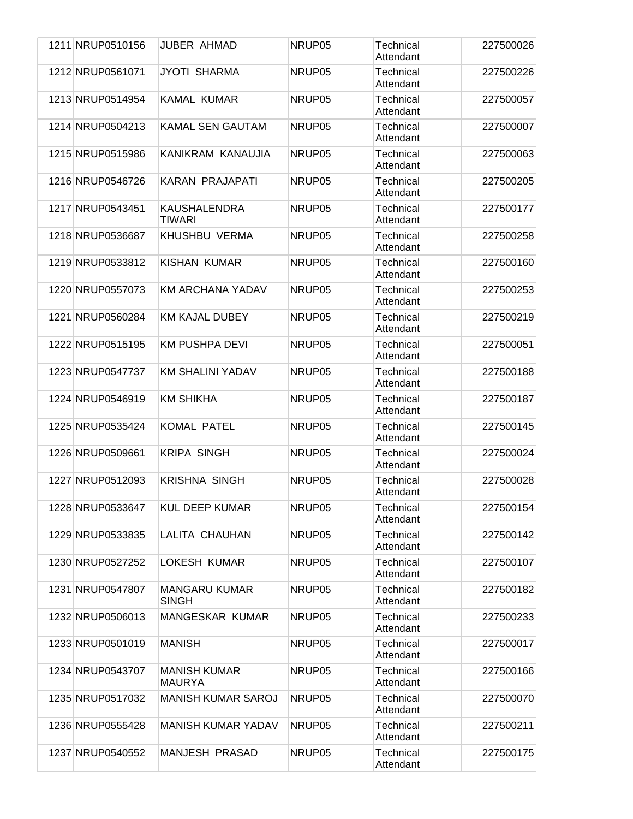| 1211 NRUP0510156 | <b>JUBER AHMAD</b>                   | NRUP05 | Technical<br>Attendant        | 227500026 |
|------------------|--------------------------------------|--------|-------------------------------|-----------|
| 1212 NRUP0561071 | <b>JYOTI SHARMA</b>                  | NRUP05 | Technical<br>Attendant        | 227500226 |
| 1213 NRUP0514954 | <b>KAMAL KUMAR</b>                   | NRUP05 | Technical<br>Attendant        | 227500057 |
| 1214 NRUP0504213 | <b>KAMAL SEN GAUTAM</b>              | NRUP05 | Technical<br>Attendant        | 227500007 |
| 1215 NRUP0515986 | KANIKRAM KANAUJIA                    | NRUP05 | Technical<br>Attendant        | 227500063 |
| 1216 NRUP0546726 | KARAN PRAJAPATI                      | NRUP05 | Technical<br>Attendant        | 227500205 |
| 1217 NRUP0543451 | <b>KAUSHALENDRA</b><br><b>TIWARI</b> | NRUP05 | Technical<br>Attendant        | 227500177 |
| 1218 NRUP0536687 | KHUSHBU VERMA                        | NRUP05 | Technical<br>Attendant        | 227500258 |
| 1219 NRUP0533812 | KISHAN KUMAR                         | NRUP05 | Technical<br>Attendant        | 227500160 |
| 1220 NRUP0557073 | KM ARCHANA YADAV                     | NRUP05 | Technical<br>Attendant        | 227500253 |
| 1221 NRUP0560284 | <b>KM KAJAL DUBEY</b>                | NRUP05 | <b>Technical</b><br>Attendant | 227500219 |
| 1222 NRUP0515195 | <b>KM PUSHPA DEVI</b>                | NRUP05 | Technical<br>Attendant        | 227500051 |
| 1223 NRUP0547737 | KM SHALINI YADAV                     | NRUP05 | Technical<br>Attendant        | 227500188 |
| 1224 NRUP0546919 | <b>KM SHIKHA</b>                     | NRUP05 | Technical<br>Attendant        | 227500187 |
| 1225 NRUP0535424 | <b>KOMAL PATEL</b>                   | NRUP05 | Technical<br>Attendant        | 227500145 |
| 1226 NRUP0509661 | <b>KRIPA SINGH</b>                   | NRUP05 | Technical<br>Attendant        | 227500024 |
| 1227 NRUP0512093 | <b>KRISHNA SINGH</b>                 | NRUP05 | Technical<br>Attendant        | 227500028 |
| 1228 NRUP0533647 | <b>KUL DEEP KUMAR</b>                | NRUP05 | Technical<br>Attendant        | 227500154 |
| 1229 NRUP0533835 | LALITA CHAUHAN                       | NRUP05 | Technical<br>Attendant        | 227500142 |
| 1230 NRUP0527252 | LOKESH KUMAR                         | NRUP05 | Technical<br>Attendant        | 227500107 |
| 1231 NRUP0547807 | <b>MANGARU KUMAR</b><br><b>SINGH</b> | NRUP05 | Technical<br>Attendant        | 227500182 |
| 1232 NRUP0506013 | MANGESKAR KUMAR                      | NRUP05 | Technical<br>Attendant        | 227500233 |
| 1233 NRUP0501019 | <b>MANISH</b>                        | NRUP05 | Technical<br>Attendant        | 227500017 |
| 1234 NRUP0543707 | <b>MANISH KUMAR</b><br><b>MAURYA</b> | NRUP05 | Technical<br>Attendant        | 227500166 |
| 1235 NRUP0517032 | <b>MANISH KUMAR SAROJ</b>            | NRUP05 | Technical<br>Attendant        | 227500070 |
| 1236 NRUP0555428 | <b>MANISH KUMAR YADAV</b>            | NRUP05 | Technical<br>Attendant        | 227500211 |
| 1237 NRUP0540552 | MANJESH PRASAD                       | NRUP05 | Technical<br>Attendant        | 227500175 |
|                  |                                      |        |                               |           |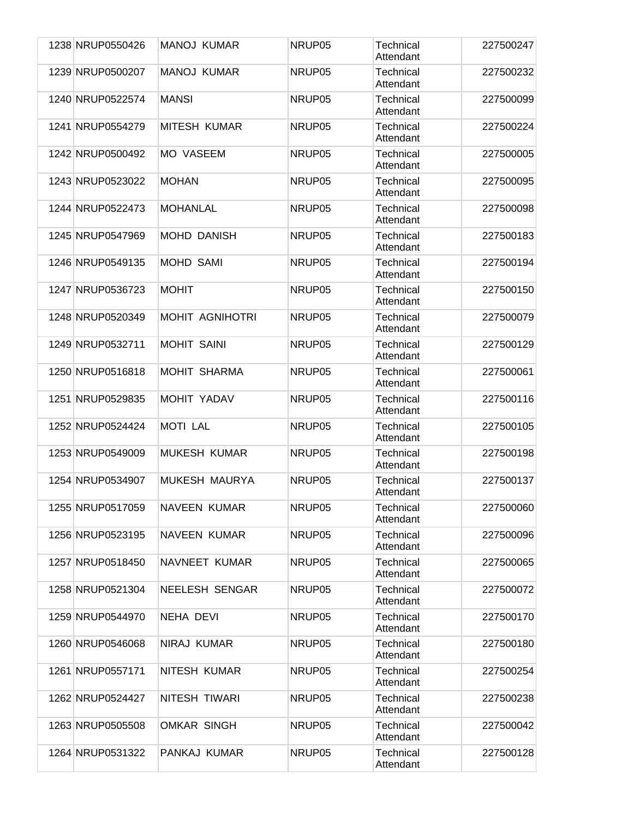| 1238 NRUP0550426 | <b>MANOJ KUMAR</b>     | NRUP05 | Technical<br>Attendant        | 227500247 |
|------------------|------------------------|--------|-------------------------------|-----------|
| 1239 NRUP0500207 | <b>MANOJ KUMAR</b>     | NRUP05 | Technical<br>Attendant        | 227500232 |
| 1240 NRUP0522574 | <b>MANSI</b>           | NRUP05 | Technical<br>Attendant        | 227500099 |
| 1241 NRUP0554279 | <b>MITESH KUMAR</b>    | NRUP05 | Technical<br>Attendant        | 227500224 |
| 1242 NRUP0500492 | <b>MO VASEEM</b>       | NRUP05 | Technical<br>Attendant        | 227500005 |
| 1243 NRUP0523022 | <b>MOHAN</b>           | NRUP05 | Technical<br>Attendant        | 227500095 |
| 1244 NRUP0522473 | <b>MOHANLAL</b>        | NRUP05 | Technical<br>Attendant        | 227500098 |
| 1245 NRUP0547969 | <b>MOHD DANISH</b>     | NRUP05 | Technical<br>Attendant        | 227500183 |
| 1246 NRUP0549135 | <b>MOHD SAMI</b>       | NRUP05 | <b>Technical</b><br>Attendant | 227500194 |
| 1247 NRUP0536723 | <b>MOHIT</b>           | NRUP05 | Technical<br>Attendant        | 227500150 |
| 1248 NRUP0520349 | <b>MOHIT AGNIHOTRI</b> | NRUP05 | Technical<br>Attendant        | 227500079 |
| 1249 NRUP0532711 | <b>MOHIT SAINI</b>     | NRUP05 | Technical<br>Attendant        | 227500129 |
| 1250 NRUP0516818 | <b>MOHIT SHARMA</b>    | NRUP05 | Technical<br>Attendant        | 227500061 |
| 1251 NRUP0529835 | <b>MOHIT YADAV</b>     | NRUP05 | Technical<br>Attendant        | 227500116 |
| 1252 NRUP0524424 | <b>MOTI LAL</b>        | NRUP05 | Technical<br>Attendant        | 227500105 |
| 1253 NRUP0549009 | <b>MUKESH KUMAR</b>    | NRUP05 | Technical<br>Attendant        | 227500198 |
| 1254 NRUP0534907 | MUKESH MAURYA          | NRUP05 | Technical<br>Attendant        | 227500137 |
| 1255 NRUP0517059 | NAVEEN KUMAR           | NRUP05 | Technical<br>Attendant        | 227500060 |
| 1256 NRUP0523195 | <b>NAVEEN KUMAR</b>    | NRUP05 | Technical<br>Attendant        | 227500096 |
| 1257 NRUP0518450 | NAVNEET KUMAR          | NRUP05 | Technical<br>Attendant        | 227500065 |
| 1258 NRUP0521304 | <b>NEELESH SENGAR</b>  | NRUP05 | Technical<br>Attendant        | 227500072 |
| 1259 NRUP0544970 | NEHA DEVI              | NRUP05 | Technical<br>Attendant        | 227500170 |
| 1260 NRUP0546068 | NIRAJ KUMAR            | NRUP05 | Technical<br>Attendant        | 227500180 |
| 1261 NRUP0557171 | NITESH KUMAR           | NRUP05 | Technical<br>Attendant        | 227500254 |
| 1262 NRUP0524427 | NITESH TIWARI          | NRUP05 | Technical<br>Attendant        | 227500238 |
| 1263 NRUP0505508 | <b>OMKAR SINGH</b>     | NRUP05 | Technical<br>Attendant        | 227500042 |
| 1264 NRUP0531322 | PANKAJ KUMAR           | NRUP05 | Technical<br>Attendant        | 227500128 |
|                  |                        |        |                               |           |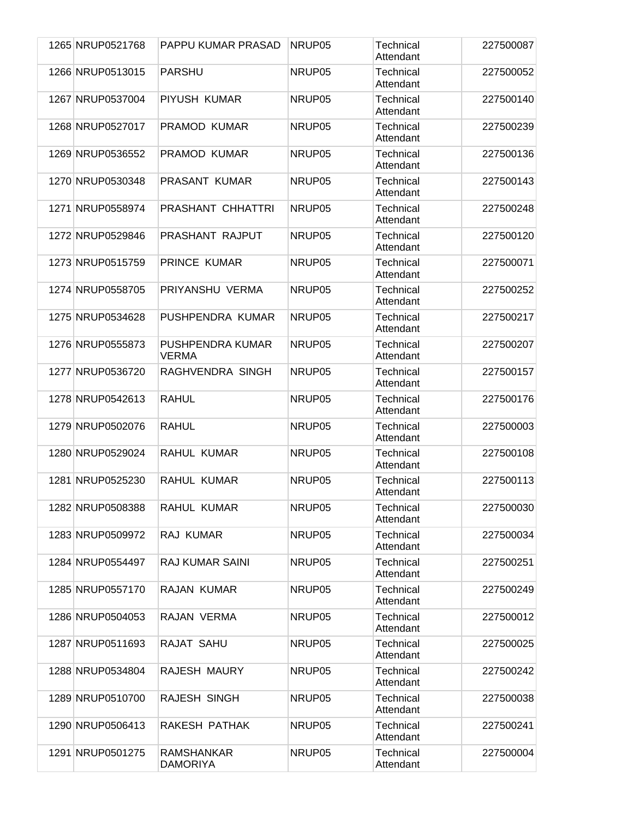| 1265 NRUP0521768 | PAPPU KUMAR PRASAD                   | NRUP05 | Technical<br>Attendant | 227500087 |
|------------------|--------------------------------------|--------|------------------------|-----------|
| 1266 NRUP0513015 | <b>PARSHU</b>                        | NRUP05 | Technical<br>Attendant | 227500052 |
| 1267 NRUP0537004 | PIYUSH KUMAR                         | NRUP05 | Technical<br>Attendant | 227500140 |
| 1268 NRUP0527017 | PRAMOD KUMAR                         | NRUP05 | Technical<br>Attendant | 227500239 |
| 1269 NRUP0536552 | <b>PRAMOD KUMAR</b>                  | NRUP05 | Technical<br>Attendant | 227500136 |
| 1270 NRUP0530348 | <b>PRASANT KUMAR</b>                 | NRUP05 | Technical<br>Attendant | 227500143 |
| 1271 NRUP0558974 | PRASHANT CHHATTRI                    | NRUP05 | Technical<br>Attendant | 227500248 |
| 1272 NRUP0529846 | PRASHANT RAJPUT                      | NRUP05 | Technical<br>Attendant | 227500120 |
| 1273 NRUP0515759 | PRINCE KUMAR                         | NRUP05 | Technical<br>Attendant | 227500071 |
| 1274 NRUP0558705 | PRIYANSHU VERMA                      | NRUP05 | Technical<br>Attendant | 227500252 |
| 1275 NRUP0534628 | PUSHPENDRA KUMAR                     | NRUP05 | Technical<br>Attendant | 227500217 |
| 1276 NRUP0555873 | PUSHPENDRA KUMAR<br><b>VERMA</b>     | NRUP05 | Technical<br>Attendant | 227500207 |
| 1277 NRUP0536720 | RAGHVENDRA SINGH                     | NRUP05 | Technical<br>Attendant | 227500157 |
| 1278 NRUP0542613 | RAHUL                                | NRUP05 | Technical<br>Attendant | 227500176 |
| 1279 NRUP0502076 | RAHUL                                | NRUP05 | Technical<br>Attendant | 227500003 |
| 1280 NRUP0529024 | RAHUL KUMAR                          | NRUP05 | Technical<br>Attendant | 227500108 |
| 1281 NRUP0525230 | RAHUL KUMAR                          | NRUP05 | Technical<br>Attendant | 227500113 |
| 1282 NRUP0508388 | RAHUL KUMAR                          | NRUP05 | Technical<br>Attendant | 227500030 |
| 1283 NRUP0509972 | RAJ KUMAR                            | NRUP05 | Technical<br>Attendant | 227500034 |
| 1284 NRUP0554497 | <b>RAJ KUMAR SAINI</b>               | NRUP05 | Technical<br>Attendant | 227500251 |
| 1285 NRUP0557170 | RAJAN KUMAR                          | NRUP05 | Technical<br>Attendant | 227500249 |
| 1286 NRUP0504053 | RAJAN VERMA                          | NRUP05 | Technical<br>Attendant | 227500012 |
| 1287 NRUP0511693 | RAJAT SAHU                           | NRUP05 | Technical<br>Attendant | 227500025 |
| 1288 NRUP0534804 | RAJESH MAURY                         | NRUP05 | Technical<br>Attendant | 227500242 |
| 1289 NRUP0510700 | RAJESH SINGH                         | NRUP05 | Technical<br>Attendant | 227500038 |
| 1290 NRUP0506413 | RAKESH PATHAK                        | NRUP05 | Technical<br>Attendant | 227500241 |
| 1291 NRUP0501275 | <b>RAMSHANKAR</b><br><b>DAMORIYA</b> | NRUP05 | Technical<br>Attendant | 227500004 |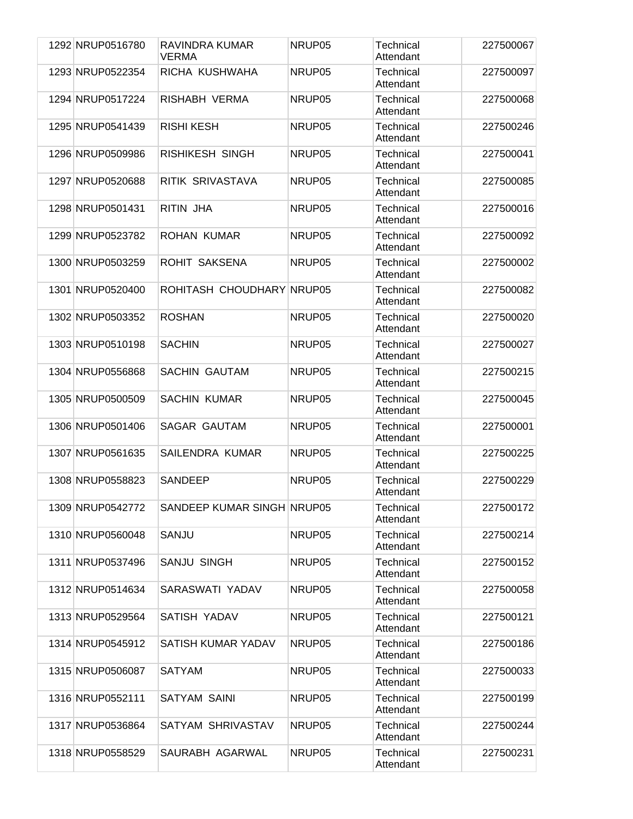| 1292 NRUP0516780 | RAVINDRA KUMAR<br>VERMA    | NRUP05 | Technical<br>Attendant        | 227500067 |
|------------------|----------------------------|--------|-------------------------------|-----------|
| 1293 NRUP0522354 | RICHA KUSHWAHA             | NRUP05 | Technical<br>Attendant        | 227500097 |
| 1294 NRUP0517224 | RISHABH VERMA              | NRUP05 | <b>Technical</b><br>Attendant | 227500068 |
| 1295 NRUP0541439 | <b>RISHI KESH</b>          | NRUP05 | Technical<br>Attendant        | 227500246 |
| 1296 NRUP0509986 | RISHIKESH SINGH            | NRUP05 | Technical<br>Attendant        | 227500041 |
| 1297 NRUP0520688 | RITIK SRIVASTAVA           | NRUP05 | Technical<br>Attendant        | 227500085 |
| 1298 NRUP0501431 | RITIN JHA                  | NRUP05 | Technical<br>Attendant        | 227500016 |
| 1299 NRUP0523782 | ROHAN KUMAR                | NRUP05 | Technical<br>Attendant        | 227500092 |
| 1300 NRUP0503259 | ROHIT SAKSENA              | NRUP05 | Technical<br>Attendant        | 227500002 |
| 1301 NRUP0520400 | ROHITASH CHOUDHARY NRUP05  |        | Technical<br>Attendant        | 227500082 |
| 1302 NRUP0503352 | <b>ROSHAN</b>              | NRUP05 | Technical<br>Attendant        | 227500020 |
| 1303 NRUP0510198 | <b>SACHIN</b>              | NRUP05 | Technical<br>Attendant        | 227500027 |
| 1304 NRUP0556868 | <b>SACHIN GAUTAM</b>       | NRUP05 | Technical<br>Attendant        | 227500215 |
| 1305 NRUP0500509 | <b>SACHIN KUMAR</b>        | NRUP05 | Technical<br>Attendant        | 227500045 |
| 1306 NRUP0501406 | <b>SAGAR GAUTAM</b>        | NRUP05 | Technical<br>Attendant        | 227500001 |
| 1307 NRUP0561635 | SAILENDRA KUMAR            | NRUP05 | Technical<br>Attendant        | 227500225 |
| 1308 NRUP0558823 | <b>SANDEEP</b>             | NRUP05 | Technical<br>Attendant        | 227500229 |
| 1309 NRUP0542772 | SANDEEP KUMAR SINGH NRUP05 |        | Technical<br>Attendant        | 227500172 |
| 1310 NRUP0560048 | SANJU                      | NRUP05 | Technical<br>Attendant        | 227500214 |
| 1311 NRUP0537496 | <b>SANJU SINGH</b>         | NRUP05 | Technical<br>Attendant        | 227500152 |
| 1312 NRUP0514634 | SARASWATI YADAV            | NRUP05 | Technical<br>Attendant        | 227500058 |
| 1313 NRUP0529564 | SATISH YADAV               | NRUP05 | Technical<br>Attendant        | 227500121 |
| 1314 NRUP0545912 | SATISH KUMAR YADAV         | NRUP05 | Technical<br>Attendant        | 227500186 |
| 1315 NRUP0506087 | <b>SATYAM</b>              | NRUP05 | Technical<br>Attendant        | 227500033 |
| 1316 NRUP0552111 | <b>SATYAM SAINI</b>        | NRUP05 | Technical<br>Attendant        | 227500199 |
| 1317 NRUP0536864 | SATYAM SHRIVASTAV          | NRUP05 | Technical<br>Attendant        | 227500244 |
| 1318 NRUP0558529 | SAURABH AGARWAL            | NRUP05 | Technical<br>Attendant        | 227500231 |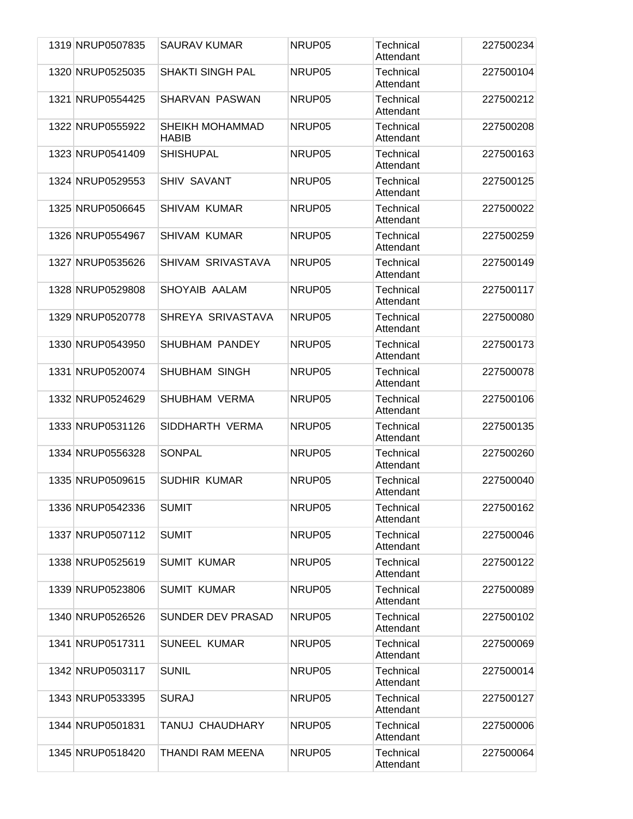|  | 1319 NRUP0507835 | <b>SAURAV KUMAR</b>             | NRUP05 | Technical<br>Attendant | 227500234 |
|--|------------------|---------------------------------|--------|------------------------|-----------|
|  | 1320 NRUP0525035 | <b>SHAKTI SINGH PAL</b>         | NRUP05 | Technical<br>Attendant | 227500104 |
|  | 1321 NRUP0554425 | <b>SHARVAN PASWAN</b>           | NRUP05 | Technical<br>Attendant | 227500212 |
|  | 1322 NRUP0555922 | SHEIKH MOHAMMAD<br><b>HABIB</b> | NRUP05 | Technical<br>Attendant | 227500208 |
|  | 1323 NRUP0541409 | <b>SHISHUPAL</b>                | NRUP05 | Technical<br>Attendant | 227500163 |
|  | 1324 NRUP0529553 | <b>SHIV SAVANT</b>              | NRUP05 | Technical<br>Attendant | 227500125 |
|  | 1325 NRUP0506645 | <b>SHIVAM KUMAR</b>             | NRUP05 | Technical<br>Attendant | 227500022 |
|  | 1326 NRUP0554967 | <b>SHIVAM KUMAR</b>             | NRUP05 | Technical<br>Attendant | 227500259 |
|  | 1327 NRUP0535626 | SHIVAM SRIVASTAVA               | NRUP05 | Technical<br>Attendant | 227500149 |
|  | 1328 NRUP0529808 | SHOYAIB AALAM                   | NRUP05 | Technical<br>Attendant | 227500117 |
|  | 1329 NRUP0520778 | SHREYA SRIVASTAVA               | NRUP05 | Technical<br>Attendant | 227500080 |
|  | 1330 NRUP0543950 | <b>SHUBHAM PANDEY</b>           | NRUP05 | Technical<br>Attendant | 227500173 |
|  | 1331 NRUP0520074 | <b>SHUBHAM SINGH</b>            | NRUP05 | Technical<br>Attendant | 227500078 |
|  | 1332 NRUP0524629 | <b>SHUBHAM VERMA</b>            | NRUP05 | Technical<br>Attendant | 227500106 |
|  | 1333 NRUP0531126 | SIDDHARTH VERMA                 | NRUP05 | Technical<br>Attendant | 227500135 |
|  | 1334 NRUP0556328 | SONPAL                          | NRUP05 | Technical<br>Attendant | 227500260 |
|  | 1335 NRUP0509615 | <b>SUDHIR KUMAR</b>             | NRUP05 | Technical<br>Attendant | 227500040 |
|  | 1336 NRUP0542336 | <b>SUMIT</b>                    | NRUP05 | Technical<br>Attendant | 227500162 |
|  | 1337 NRUP0507112 | <b>SUMIT</b>                    | NRUP05 | Technical<br>Attendant | 227500046 |
|  | 1338 NRUP0525619 | <b>SUMIT KUMAR</b>              | NRUP05 | Technical<br>Attendant | 227500122 |
|  | 1339 NRUP0523806 | <b>SUMIT KUMAR</b>              | NRUP05 | Technical<br>Attendant | 227500089 |
|  | 1340 NRUP0526526 | <b>SUNDER DEV PRASAD</b>        | NRUP05 | Technical<br>Attendant | 227500102 |
|  | 1341 NRUP0517311 | <b>SUNEEL KUMAR</b>             | NRUP05 | Technical<br>Attendant | 227500069 |
|  | 1342 NRUP0503117 | <b>SUNIL</b>                    | NRUP05 | Technical<br>Attendant | 227500014 |
|  | 1343 NRUP0533395 | <b>SURAJ</b>                    | NRUP05 | Technical<br>Attendant | 227500127 |
|  | 1344 NRUP0501831 | TANUJ CHAUDHARY                 | NRUP05 | Technical<br>Attendant | 227500006 |
|  | 1345 NRUP0518420 | THANDI RAM MEENA                | NRUP05 | Technical<br>Attendant | 227500064 |
|  |                  |                                 |        |                        |           |